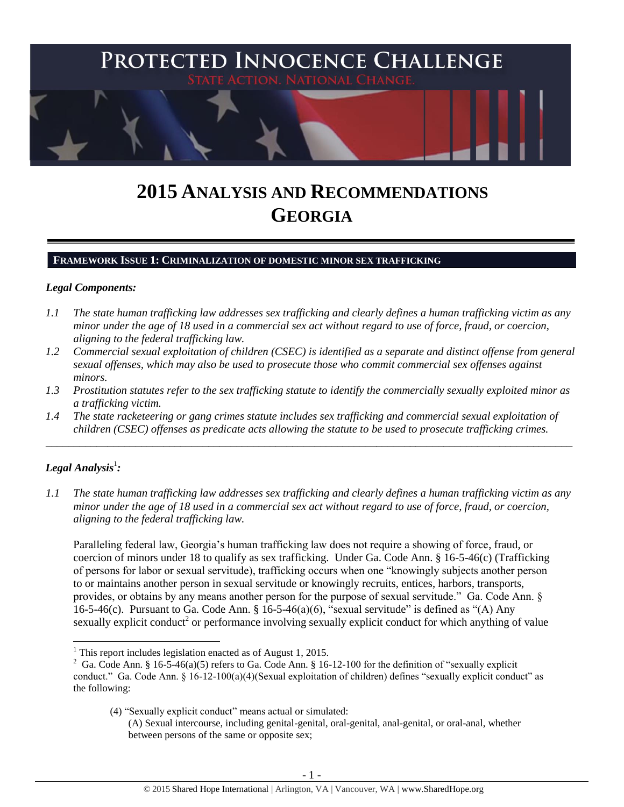

# **2015 ANALYSIS AND RECOMMENDATIONS GEORGIA**

# **FRAMEWORK ISSUE 1: CRIMINALIZATION OF DOMESTIC MINOR SEX TRAFFICKING**

#### *Legal Components:*

- *1.1 The state human trafficking law addresses sex trafficking and clearly defines a human trafficking victim as any minor under the age of 18 used in a commercial sex act without regard to use of force, fraud, or coercion, aligning to the federal trafficking law.*
- *1.2 Commercial sexual exploitation of children (CSEC) is identified as a separate and distinct offense from general sexual offenses, which may also be used to prosecute those who commit commercial sex offenses against minors.*
- *1.3 Prostitution statutes refer to the sex trafficking statute to identify the commercially sexually exploited minor as a trafficking victim.*

\_\_\_\_\_\_\_\_\_\_\_\_\_\_\_\_\_\_\_\_\_\_\_\_\_\_\_\_\_\_\_\_\_\_\_\_\_\_\_\_\_\_\_\_\_\_\_\_\_\_\_\_\_\_\_\_\_\_\_\_\_\_\_\_\_\_\_\_\_\_\_\_\_\_\_\_\_\_\_\_\_\_\_\_\_\_\_\_\_\_\_\_\_\_

*1.4 The state racketeering or gang crimes statute includes sex trafficking and commercial sexual exploitation of children (CSEC) offenses as predicate acts allowing the statute to be used to prosecute trafficking crimes.* 

# $\bm{L}$ egal Analysis $^1$ :

 $\overline{\phantom{a}}$ 

*1.1 The state human trafficking law addresses sex trafficking and clearly defines a human trafficking victim as any minor under the age of 18 used in a commercial sex act without regard to use of force, fraud, or coercion, aligning to the federal trafficking law.*

Paralleling federal law, Georgia's human trafficking law does not require a showing of force, fraud, or coercion of minors under 18 to qualify as sex trafficking. Under Ga. Code Ann. § 16-5-46(c) (Trafficking of persons for labor or sexual servitude), trafficking occurs when one "knowingly subjects another person to or maintains another person in sexual servitude or knowingly recruits, entices, harbors, transports, provides, or obtains by any means another person for the purpose of sexual servitude." Ga. Code Ann. § 16-5-46(c). Pursuant to Ga. Code Ann. § 16-5-46(a)(6), "sexual servitude" is defined as "(A) Any sexually explicit conduct<sup>2</sup> or performance involving sexually explicit conduct for which anything of value

(4) "Sexually explicit conduct" means actual or simulated:

 $<sup>1</sup>$  This report includes legislation enacted as of August 1, 2015.</sup>

<sup>&</sup>lt;sup>2</sup> Ga. Code Ann. § 16-5-46(a)(5) refers to Ga. Code Ann. § 16-12-100 for the definition of "sexually explicit conduct." Ga. Code Ann. § 16-12-100(a)(4)(Sexual exploitation of children) defines "sexually explicit conduct" as the following:

<sup>(</sup>A) Sexual intercourse, including genital-genital, oral-genital, anal-genital, or oral-anal, whether between persons of the same or opposite sex;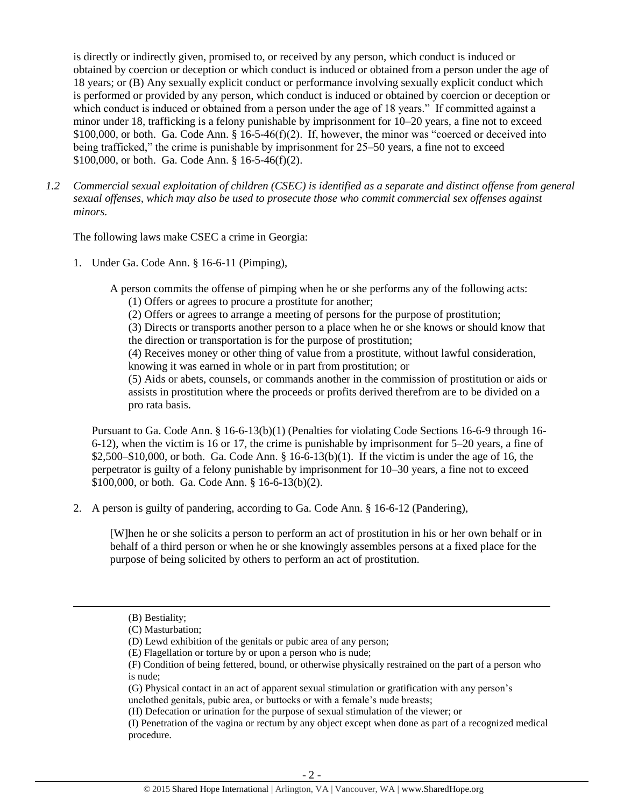is directly or indirectly given, promised to, or received by any person, which conduct is induced or obtained by coercion or deception or which conduct is induced or obtained from a person under the age of 18 years; or (B) Any sexually explicit conduct or performance involving sexually explicit conduct which is performed or provided by any person, which conduct is induced or obtained by coercion or deception or which conduct is induced or obtained from a person under the age of 18 years." If committed against a minor under 18, trafficking is a felony punishable by imprisonment for 10–20 years, a fine not to exceed \$100,000, or both. Ga. Code Ann. § 16-5-46(f)(2). If, however, the minor was "coerced or deceived into being trafficked," the crime is punishable by imprisonment for 25–50 years, a fine not to exceed \$100,000, or both. Ga. Code Ann. § 16-5-46(f)(2).

*1.2 Commercial sexual exploitation of children (CSEC) is identified as a separate and distinct offense from general sexual offenses, which may also be used to prosecute those who commit commercial sex offenses against minors.*

The following laws make CSEC a crime in Georgia:

1. Under Ga. Code Ann. § 16-6-11 (Pimping),

A person commits the offense of pimping when he or she performs any of the following acts:

(1) Offers or agrees to procure a prostitute for another;

(2) Offers or agrees to arrange a meeting of persons for the purpose of prostitution;

(3) Directs or transports another person to a place when he or she knows or should know that the direction or transportation is for the purpose of prostitution;

(4) Receives money or other thing of value from a prostitute, without lawful consideration, knowing it was earned in whole or in part from prostitution; or

(5) Aids or abets, counsels, or commands another in the commission of prostitution or aids or assists in prostitution where the proceeds or profits derived therefrom are to be divided on a pro rata basis.

Pursuant to Ga. Code Ann. § 16-6-13(b)(1) (Penalties for violating Code Sections 16-6-9 through 16- 6-12), when the victim is 16 or 17, the crime is punishable by imprisonment for 5–20 years, a fine of  $$2,500–$10,000$ , or both. Ga. Code Ann.  $§$  16-6-13(b)(1). If the victim is under the age of 16, the perpetrator is guilty of a felony punishable by imprisonment for 10–30 years, a fine not to exceed \$100,000, or both. Ga. Code Ann. § 16-6-13(b)(2).

2. A person is guilty of pandering, according to Ga. Code Ann. § 16-6-12 (Pandering),

[W]hen he or she solicits a person to perform an act of prostitution in his or her own behalf or in behalf of a third person or when he or she knowingly assembles persons at a fixed place for the purpose of being solicited by others to perform an act of prostitution.

 $\overline{\phantom{a}}$ 

(I) Penetration of the vagina or rectum by any object except when done as part of a recognized medical procedure.

<sup>(</sup>B) Bestiality;

<sup>(</sup>C) Masturbation;

<sup>(</sup>D) Lewd exhibition of the genitals or pubic area of any person;

<sup>(</sup>E) Flagellation or torture by or upon a person who is nude;

<sup>(</sup>F) Condition of being fettered, bound, or otherwise physically restrained on the part of a person who is nude;

<sup>(</sup>G) Physical contact in an act of apparent sexual stimulation or gratification with any person's unclothed genitals, pubic area, or buttocks or with a female's nude breasts;

<sup>(</sup>H) Defecation or urination for the purpose of sexual stimulation of the viewer; or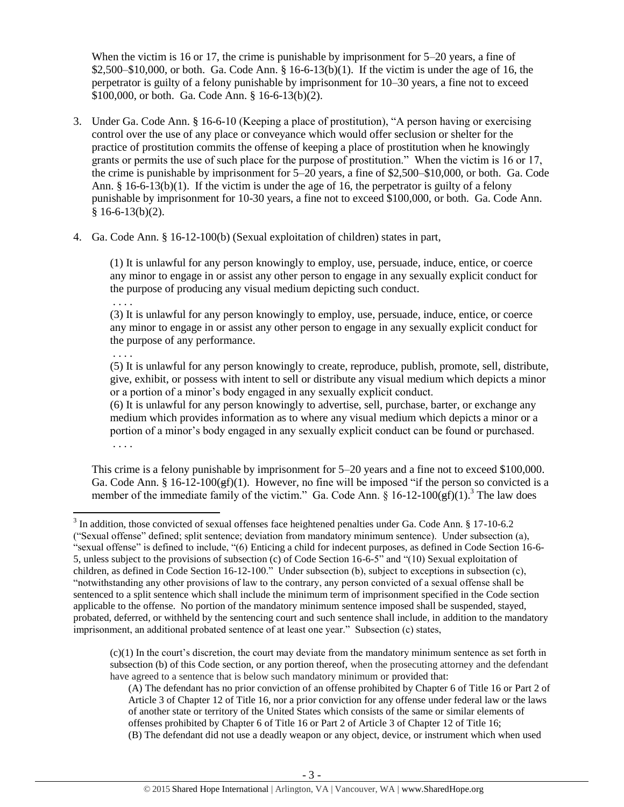When the victim is 16 or 17, the crime is punishable by imprisonment for 5–20 years, a fine of  $$2,500–$10,000$ , or both. Ga. Code Ann.  $§$  16-6-13(b)(1). If the victim is under the age of 16, the perpetrator is guilty of a felony punishable by imprisonment for 10–30 years, a fine not to exceed \$100,000, or both. Ga. Code Ann. § 16-6-13(b)(2).

- 3. Under Ga. Code Ann. § 16-6-10 (Keeping a place of prostitution), "A person having or exercising control over the use of any place or conveyance which would offer seclusion or shelter for the practice of prostitution commits the offense of keeping a place of prostitution when he knowingly grants or permits the use of such place for the purpose of prostitution." When the victim is 16 or 17, the crime is punishable by imprisonment for 5–20 years, a fine of \$2,500–\$10,000, or both. Ga. Code Ann.  $\S$  16-6-13(b)(1). If the victim is under the age of 16, the perpetrator is guilty of a felony punishable by imprisonment for 10-30 years, a fine not to exceed \$100,000, or both. Ga. Code Ann.  $§ 16-6-13(b)(2).$
- 4. Ga. Code Ann. § 16-12-100(b) (Sexual exploitation of children) states in part,

(1) It is unlawful for any person knowingly to employ, use, persuade, induce, entice, or coerce any minor to engage in or assist any other person to engage in any sexually explicit conduct for the purpose of producing any visual medium depicting such conduct.

. . . .

(3) It is unlawful for any person knowingly to employ, use, persuade, induce, entice, or coerce any minor to engage in or assist any other person to engage in any sexually explicit conduct for the purpose of any performance.

. . . .

(5) It is unlawful for any person knowingly to create, reproduce, publish, promote, sell, distribute, give, exhibit, or possess with intent to sell or distribute any visual medium which depicts a minor or a portion of a minor's body engaged in any sexually explicit conduct.

(6) It is unlawful for any person knowingly to advertise, sell, purchase, barter, or exchange any medium which provides information as to where any visual medium which depicts a minor or a portion of a minor's body engaged in any sexually explicit conduct can be found or purchased. . . . .

This crime is a felony punishable by imprisonment for 5–20 years and a fine not to exceed \$100,000. Ga. Code Ann. § 16-12-100 $(f)(1)$ . However, no fine will be imposed "if the person so convicted is a member of the immediate family of the victim." Ga. Code Ann.  $\hat{\S}$  16-12-100 $\hat{\S}$ f)(1).<sup>3</sup> The law does

 $(c)(1)$  In the court's discretion, the court may deviate from the mandatory minimum sentence as set forth in subsection (b) of this Code section, or any portion thereof, when the prosecuting attorney and the defendant have agreed to a sentence that is below such mandatory minimum or provided that:

(A) The defendant has no prior conviction of an offense prohibited by Chapter 6 of Title 16 or Part 2 of Article 3 of Chapter 12 of Title 16, nor a prior conviction for any offense under federal law or the laws of another state or territory of the United States which consists of the same or similar elements of offenses prohibited by Chapter 6 of Title 16 or Part 2 of Article 3 of Chapter 12 of Title 16; (B) The defendant did not use a deadly weapon or any object, device, or instrument which when used

<sup>&</sup>lt;sup>3</sup> In addition, those convicted of sexual offenses face heightened penalties under Ga. Code Ann. § 17-10-6.2 ("Sexual offense" defined; split sentence; deviation from mandatory minimum sentence). Under subsection (a), "sexual offense" is defined to include, "(6) Enticing a child for indecent purposes, as defined in Code Section 16-6- 5, unless subject to the provisions of subsection (c) of Code Section 16-6-5" and "(10) Sexual exploitation of children, as defined in Code Section 16-12-100." Under subsection (b), subject to exceptions in subsection (c), "notwithstanding any other provisions of law to the contrary, any person convicted of a sexual offense shall be sentenced to a split sentence which shall include the minimum term of imprisonment specified in the Code section applicable to the offense. No portion of the mandatory minimum sentence imposed shall be suspended, stayed, probated, deferred, or withheld by the sentencing court and such sentence shall include, in addition to the mandatory imprisonment, an additional probated sentence of at least one year." Subsection (c) states,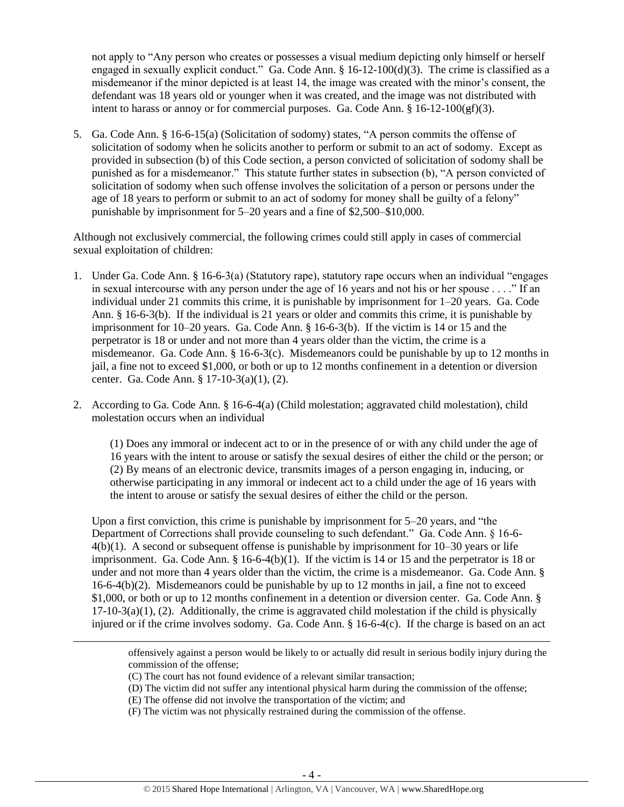not apply to "Any person who creates or possesses a visual medium depicting only himself or herself engaged in sexually explicit conduct." Ga. Code Ann. § 16-12-100(d)(3). The crime is classified as a misdemeanor if the minor depicted is at least 14, the image was created with the minor's consent, the defendant was 18 years old or younger when it was created, and the image was not distributed with intent to harass or annoy or for commercial purposes. Ga. Code Ann.  $\S 16$ -12-100( $gf$ )(3).

5. Ga. Code Ann. § 16-6-15(a) (Solicitation of sodomy) states, "A person commits the offense of solicitation of sodomy when he solicits another to perform or submit to an act of sodomy. Except as provided in subsection (b) of this Code section, a person convicted of solicitation of sodomy shall be punished as for a misdemeanor." This statute further states in subsection (b), "A person convicted of solicitation of sodomy when such offense involves the solicitation of a person or persons under the age of 18 years to perform or submit to an act of sodomy for money shall be guilty of a felony" punishable by imprisonment for 5–20 years and a fine of \$2,500–\$10,000.

Although not exclusively commercial, the following crimes could still apply in cases of commercial sexual exploitation of children:

- 1. Under Ga. Code Ann. § 16-6-3(a) (Statutory rape), statutory rape occurs when an individual "engages in sexual intercourse with any person under the age of 16 years and not his or her spouse . . . ." If an individual under 21 commits this crime, it is punishable by imprisonment for 1–20 years. Ga. Code Ann. § 16-6-3(b). If the individual is 21 years or older and commits this crime, it is punishable by imprisonment for 10–20 years. Ga. Code Ann. § 16-6-3(b). If the victim is 14 or 15 and the perpetrator is 18 or under and not more than 4 years older than the victim, the crime is a misdemeanor. Ga. Code Ann. § 16-6-3(c). Misdemeanors could be punishable by up to 12 months in jail, a fine not to exceed \$1,000, or both or up to 12 months confinement in a detention or diversion center. Ga. Code Ann. § 17-10-3(a)(1), (2).
- 2. According to Ga. Code Ann. § 16-6-4(a) (Child molestation; aggravated child molestation), child molestation occurs when an individual

(1) Does any immoral or indecent act to or in the presence of or with any child under the age of 16 years with the intent to arouse or satisfy the sexual desires of either the child or the person; or (2) By means of an electronic device, transmits images of a person engaging in, inducing, or otherwise participating in any immoral or indecent act to a child under the age of 16 years with the intent to arouse or satisfy the sexual desires of either the child or the person.

Upon a first conviction, this crime is punishable by imprisonment for 5–20 years, and "the Department of Corrections shall provide counseling to such defendant." Ga. Code Ann. § 16-6- 4(b)(1). A second or subsequent offense is punishable by imprisonment for 10–30 years or life imprisonment. Ga. Code Ann.  $\S 16-6-4(b)(1)$ . If the victim is 14 or 15 and the perpetrator is 18 or under and not more than 4 years older than the victim, the crime is a misdemeanor. Ga. Code Ann. §  $16-6-4(b)(2)$ . Misdemeanors could be punishable by up to 12 months in jail, a fine not to exceed \$1,000, or both or up to 12 months confinement in a detention or diversion center. Ga. Code Ann. §  $17-10-3(a)(1)$ , (2). Additionally, the crime is aggravated child molestation if the child is physically injured or if the crime involves sodomy. Ga. Code Ann. § 16-6-4(c). If the charge is based on an act

(E) The offense did not involve the transportation of the victim; and

 $\overline{\phantom{a}}$ 

(F) The victim was not physically restrained during the commission of the offense.

offensively against a person would be likely to or actually did result in serious bodily injury during the commission of the offense;

<sup>(</sup>C) The court has not found evidence of a relevant similar transaction;

<sup>(</sup>D) The victim did not suffer any intentional physical harm during the commission of the offense;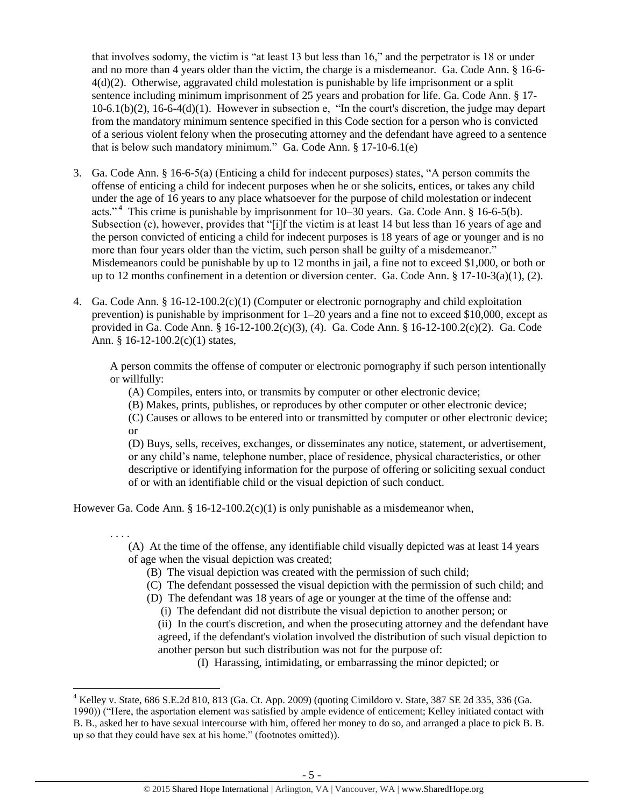that involves sodomy, the victim is "at least 13 but less than 16," and the perpetrator is 18 or under and no more than 4 years older than the victim, the charge is a misdemeanor. Ga. Code Ann. § 16-6- 4(d)(2). Otherwise, aggravated child molestation is punishable by life imprisonment or a split sentence including minimum imprisonment of 25 years and probation for life. Ga. Code Ann. § 17-  $10-6.1(b)(2)$ ,  $16-6-4(d)(1)$ . However in subsection e, "In the court's discretion, the judge may depart from the mandatory minimum sentence specified in this Code section for a person who is convicted of a serious violent felony when the prosecuting attorney and the defendant have agreed to a sentence that is below such mandatory minimum." Ga. Code Ann. § 17-10-6.1(e)

- 3. Ga. Code Ann. § 16-6-5(a) (Enticing a child for indecent purposes) states, "A person commits the offense of enticing a child for indecent purposes when he or she solicits, entices, or takes any child under the age of 16 years to any place whatsoever for the purpose of child molestation or indecent acts."<sup>4</sup> This crime is punishable by imprisonment for 10–30 years. Ga. Code Ann. § 16-6-5(b). Subsection (c), however, provides that "[i]f the victim is at least 14 but less than 16 years of age and the person convicted of enticing a child for indecent purposes is 18 years of age or younger and is no more than four years older than the victim, such person shall be guilty of a misdemeanor." Misdemeanors could be punishable by up to 12 months in jail, a fine not to exceed \$1,000, or both or up to 12 months confinement in a detention or diversion center. Ga. Code Ann.  $\S 17$ -10-3(a)(1), (2).
- 4. Ga. Code Ann. § 16-12-100.2(c)(1) (Computer or electronic pornography and child exploitation prevention) is punishable by imprisonment for 1–20 years and a fine not to exceed \$10,000, except as provided in Ga. Code Ann. § 16-12-100.2(c)(3), (4). Ga. Code Ann. § 16-12-100.2(c)(2). Ga. Code Ann. § 16-12-100.2(c)(1) states,

A person commits the offense of computer or electronic pornography if such person intentionally or willfully:

(A) Compiles, enters into, or transmits by computer or other electronic device;

(B) Makes, prints, publishes, or reproduces by other computer or other electronic device;

(C) Causes or allows to be entered into or transmitted by computer or other electronic device; or

(D) Buys, sells, receives, exchanges, or disseminates any notice, statement, or advertisement, or any child's name, telephone number, place of residence, physical characteristics, or other descriptive or identifying information for the purpose of offering or soliciting sexual conduct of or with an identifiable child or the visual depiction of such conduct.

However Ga. Code Ann. § 16-12-100.2(c)(1) is only punishable as a misdemeanor when,

 $\overline{\phantom{a}}$ 

. . . . (A) At the time of the offense, any identifiable child visually depicted was at least 14 years of age when the visual depiction was created;

- (B) The visual depiction was created with the permission of such child;
- (C) The defendant possessed the visual depiction with the permission of such child; and
- (D) The defendant was 18 years of age or younger at the time of the offense and:
	- (i) The defendant did not distribute the visual depiction to another person; or

(ii) In the court's discretion, and when the prosecuting attorney and the defendant have agreed, if the defendant's violation involved the distribution of such visual depiction to another person but such distribution was not for the purpose of:

(I) Harassing, intimidating, or embarrassing the minor depicted; or

 $^4$  Kelley v. State, 686 S.E.2d 810, 813 (Ga. Ct. App. 2009) (quoting Cimildoro v. State, 387 SE 2d 335, 336 (Ga. 1990)) ("Here, the asportation element was satisfied by ample evidence of enticement; Kelley initiated contact with B. B., asked her to have sexual intercourse with him, offered her money to do so, and arranged a place to pick B. B. up so that they could have sex at his home." (footnotes omitted)).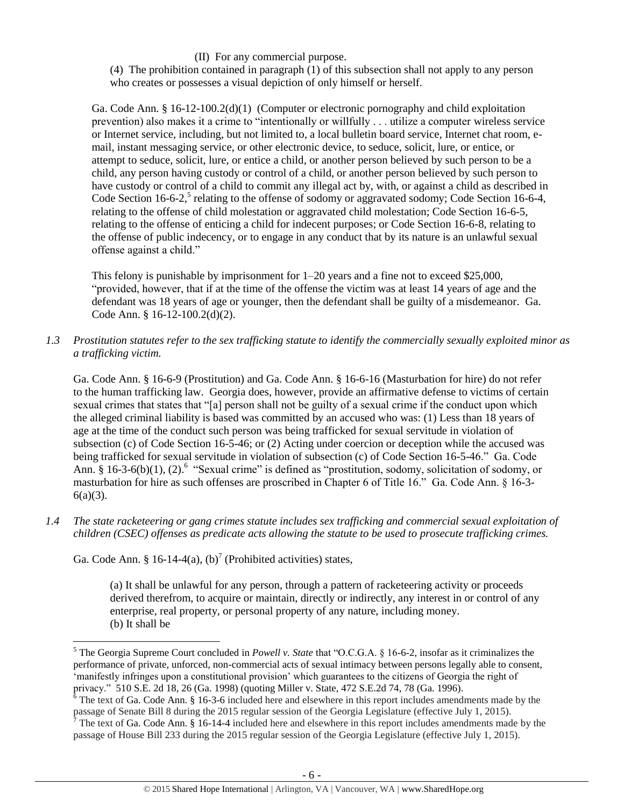(II) For any commercial purpose.

(4) The prohibition contained in paragraph (1) of this subsection shall not apply to any person who creates or possesses a visual depiction of only himself or herself.

Ga. Code Ann. § 16-12-100.2(d)(1) (Computer or electronic pornography and child exploitation prevention) also makes it a crime to "intentionally or willfully . . . utilize a computer wireless service or Internet service, including, but not limited to, a local bulletin board service, Internet chat room, email, instant messaging service, or other electronic device, to seduce, solicit, lure, or entice, or attempt to seduce, solicit, lure, or entice a child, or another person believed by such person to be a child, any person having custody or control of a child, or another person believed by such person to have custody or control of a child to commit any illegal act by, with, or against a child as described in Code Section 16-6-2,<sup>5</sup> relating to the offense of sodomy or aggravated sodomy; Code Section 16-6-4, relating to the offense of child molestation or aggravated child molestation; Code Section 16-6-5, relating to the offense of enticing a child for indecent purposes; or Code Section 16-6-8, relating to the offense of public indecency, or to engage in any conduct that by its nature is an unlawful sexual offense against a child."

<span id="page-5-0"></span>This felony is punishable by imprisonment for  $1-20$  years and a fine not to exceed \$25,000, "provided, however, that if at the time of the offense the victim was at least 14 years of age and the defendant was 18 years of age or younger, then the defendant shall be guilty of a misdemeanor. Ga. Code Ann. § 16-12-100.2(d)(2).

*1.3 Prostitution statutes refer to the sex trafficking statute to identify the commercially sexually exploited minor as a trafficking victim.* 

Ga. Code Ann. § 16-6-9 (Prostitution) and Ga. Code Ann. § 16-6-16 (Masturbation for hire) do not refer to the human trafficking law. Georgia does, however, provide an affirmative defense to victims of certain sexual crimes that states that "[a] person shall not be guilty of a sexual crime if the conduct upon which the alleged criminal liability is based was committed by an accused who was: (1) Less than 18 years of age at the time of the conduct such person was being trafficked for sexual servitude in violation of subsection (c) of Code Section 16-5-46; or (2) Acting under coercion or deception while the accused was being trafficked for sexual servitude in violation of subsection (c) of Code Section 16-5-46." Ga. Code Ann. § 16-3-6(b)(1), (2).<sup>6</sup> "Sexual crime" is defined as "prostitution, sodomy, solicitation of sodomy, or masturbation for hire as such offenses are proscribed in Chapter 6 of Title 16." Ga. Code Ann. § 16-3- 6(a)(3).

*1.4 The state racketeering or gang crimes statute includes sex trafficking and commercial sexual exploitation of children (CSEC) offenses as predicate acts allowing the statute to be used to prosecute trafficking crimes.* 

Ga. Code Ann. § 16-14-4(a), (b)<sup>7</sup> (Prohibited activities) states,

 $\overline{\phantom{a}}$ 

(a) It shall be unlawful for any person, through a pattern of racketeering activity or proceeds derived therefrom, to acquire or maintain, directly or indirectly, any interest in or control of any enterprise, real property, or personal property of any nature, including money. (b) It shall be

<sup>5</sup> The Georgia Supreme Court concluded in *Powell v. State* that "O.C.G.A. § 16-6-2, insofar as it criminalizes the performance of private, unforced, non-commercial acts of sexual intimacy between persons legally able to consent, 'manifestly infringes upon a constitutional provision' which guarantees to the citizens of Georgia the right of privacy." 510 S.E. 2d 18, 26 (Ga. 1998) (quoting Miller v. State, 472 S.E.2d 74, 78 (Ga. 1996).

The text of Ga. Code Ann. § 16-3-6 included here and elsewhere in this report includes amendments made by the passage of Senate Bill 8 during the 2015 regular session of the Georgia Legislature (effective July 1, 2015).

<sup>&</sup>lt;sup>7</sup> The text of Ga. Code Ann. § 16-14-4 included here and elsewhere in this report includes amendments made by the passage of House Bill 233 during the 2015 regular session of the Georgia Legislature (effective July 1, 2015).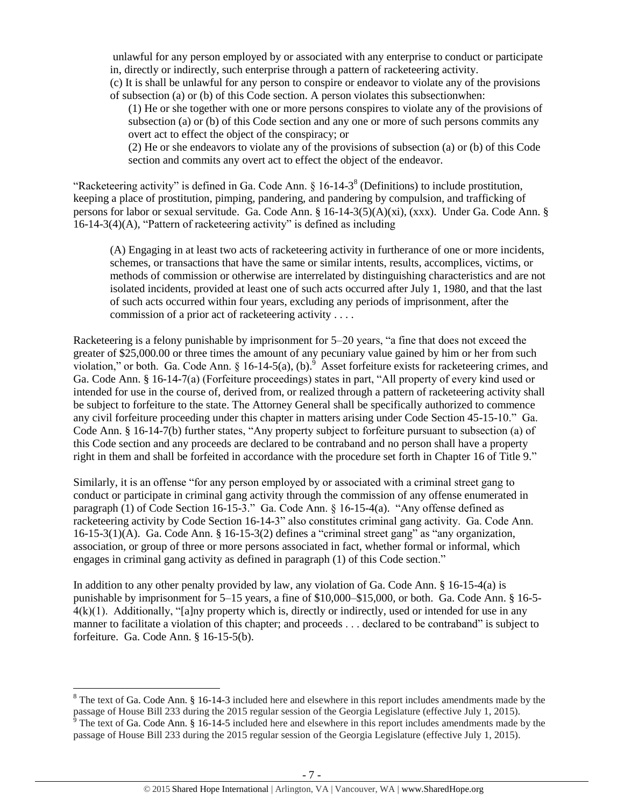unlawful for any person employed by or associated with any enterprise to conduct or participate in, directly or indirectly, such enterprise through a pattern of racketeering activity.

(c) It is shall be unlawful for any person to conspire or endeavor to violate any of the provisions of subsection (a) or (b) of this Code section. A person violates this subsectionwhen:

(1) He or she together with one or more persons conspires to violate any of the provisions of subsection (a) or (b) of this Code section and any one or more of such persons commits any overt act to effect the object of the conspiracy; or

<span id="page-6-0"></span>(2) He or she endeavors to violate any of the provisions of subsection (a) or (b) of this Code section and commits any overt act to effect the object of the endeavor.

"Racketeering activity" is defined in Ga. Code Ann.  $\S 16-14-3^8$  (Definitions) to include prostitution, keeping a place of prostitution, pimping, pandering, and pandering by compulsion, and trafficking of persons for labor or sexual servitude. Ga. Code Ann. § 16-14-3(5)(A)(xi), (xxx). Under Ga. Code Ann. § 16-14-3(4)(A), "Pattern of racketeering activity" is defined as including

(A) Engaging in at least two acts of racketeering activity in furtherance of one or more incidents, schemes, or transactions that have the same or similar intents, results, accomplices, victims, or methods of commission or otherwise are interrelated by distinguishing characteristics and are not isolated incidents, provided at least one of such acts occurred after July 1, 1980, and that the last of such acts occurred within four years, excluding any periods of imprisonment, after the commission of a prior act of racketeering activity . . . .

Racketeering is a felony punishable by imprisonment for 5–20 years, "a fine that does not exceed the greater of \$25,000.00 or three times the amount of any pecuniary value gained by him or her from such violation," or both. Ga. Code Ann. § 16-14-5(a), (b). Asset for feiture exists for racketeering crimes, and Ga. Code Ann. § 16-14-7(a) (Forfeiture proceedings) states in part, "All property of every kind used or intended for use in the course of, derived from, or realized through a pattern of racketeering activity shall be subject to forfeiture to the state. The Attorney General shall be specifically authorized to commence any civil forfeiture proceeding under this chapter in matters arising under Code Section 45-15-10." Ga. Code Ann. § 16-14-7(b) further states, "Any property subject to forfeiture pursuant to subsection (a) of this Code section and any proceeds are declared to be contraband and no person shall have a property right in them and shall be forfeited in accordance with the procedure set forth in Chapter 16 of Title 9."

Similarly, it is an offense "for any person employed by or associated with a criminal street gang to conduct or participate in criminal gang activity through the commission of any offense enumerated in paragraph (1) of Code Section 16-15-3." Ga. Code Ann. § 16-15-4(a). "Any offense defined as racketeering activity by Code Section 16-14-3" also constitutes criminal gang activity. Ga. Code Ann. 16-15-3(1)(A). Ga. Code Ann. § 16-15-3(2) defines a "criminal street gang" as "any organization, association, or group of three or more persons associated in fact, whether formal or informal, which engages in criminal gang activity as defined in paragraph (1) of this Code section."

In addition to any other penalty provided by law, any violation of Ga. Code Ann. § 16-15-4(a) is punishable by imprisonment for 5–15 years, a fine of \$10,000–\$15,000, or both. Ga. Code Ann. § 16-5-  $4(k)(1)$ . Additionally, "[a]ny property which is, directly or indirectly, used or intended for use in any manner to facilitate a violation of this chapter; and proceeds . . . declared to be contraband" is subject to forfeiture. Ga. Code Ann. § 16-15-5(b).

 $8$  The text of Ga. Code Ann. § 16-14-3 included here and elsewhere in this report includes amendments made by the passage of House Bill 233 during the 2015 regular session of the Georgia Legislature (effective July 1, 2015).  $\frac{9}{9}$  The text of Ga. Code Ann. § 16-14-5 included here and elsewhere in this report includes amendments made by the

passage of House Bill 233 during the 2015 regular session of the Georgia Legislature (effective July 1, 2015).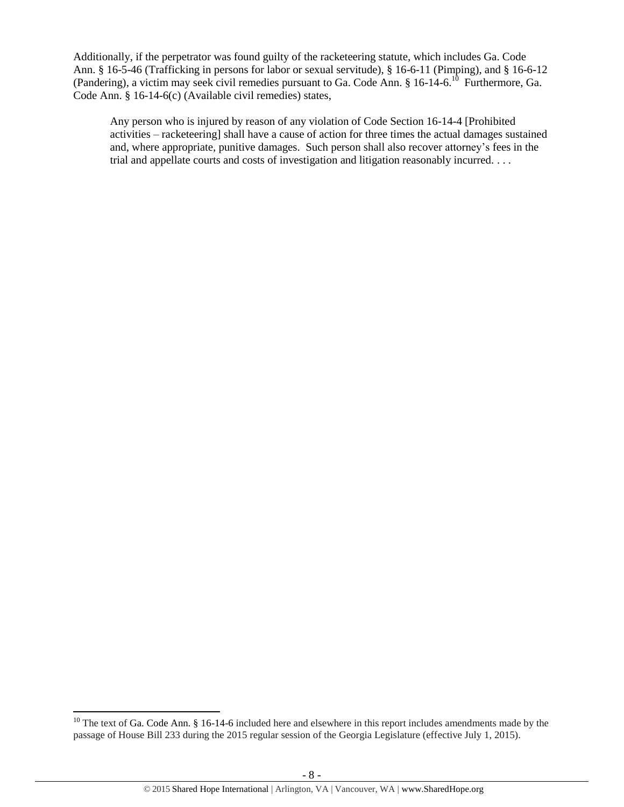Additionally, if the perpetrator was found guilty of the racketeering statute, which includes Ga. Code Ann. § 16-5-46 (Trafficking in persons for labor or sexual servitude), § 16-6-11 (Pimping), and § 16-6-12 (Pandering), a victim may seek civil remedies pursuant to Ga. Code Ann.  $\S 16$ -14-6.<sup>10</sup> Furthermore, Ga. Code Ann. § 16-14-6(c) (Available civil remedies) states,

Any person who is injured by reason of any violation of Code Section 16-14-4 [Prohibited activities – racketeering] shall have a cause of action for three times the actual damages sustained and, where appropriate, punitive damages. Such person shall also recover attorney's fees in the trial and appellate courts and costs of investigation and litigation reasonably incurred. . . .

 $10$  The text of Ga. Code Ann. § 16-14-6 included here and elsewhere in this report includes amendments made by the passage of House Bill 233 during the 2015 regular session of the Georgia Legislature (effective July 1, 2015).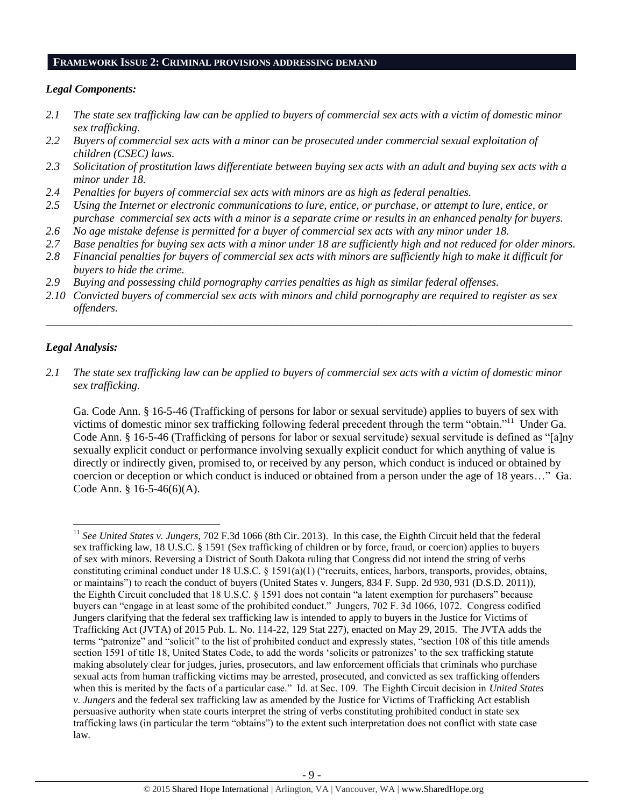#### **FRAMEWORK ISSUE 2: CRIMINAL PROVISIONS ADDRESSING DEMAND**

## *Legal Components:*

- *2.1 The state sex trafficking law can be applied to buyers of commercial sex acts with a victim of domestic minor sex trafficking.*
- *2.2 Buyers of commercial sex acts with a minor can be prosecuted under commercial sexual exploitation of children (CSEC) laws.*
- *2.3 Solicitation of prostitution laws differentiate between buying sex acts with an adult and buying sex acts with a minor under 18.*
- *2.4 Penalties for buyers of commercial sex acts with minors are as high as federal penalties.*
- *2.5 Using the Internet or electronic communications to lure, entice, or purchase, or attempt to lure, entice, or purchase commercial sex acts with a minor is a separate crime or results in an enhanced penalty for buyers.*
- *2.6 No age mistake defense is permitted for a buyer of commercial sex acts with any minor under 18.*
- *2.7 Base penalties for buying sex acts with a minor under 18 are sufficiently high and not reduced for older minors.*
- *2.8 Financial penalties for buyers of commercial sex acts with minors are sufficiently high to make it difficult for buyers to hide the crime.*
- *2.9 Buying and possessing child pornography carries penalties as high as similar federal offenses.*
- *2.10 Convicted buyers of commercial sex acts with minors and child pornography are required to register as sex offenders.*

\_\_\_\_\_\_\_\_\_\_\_\_\_\_\_\_\_\_\_\_\_\_\_\_\_\_\_\_\_\_\_\_\_\_\_\_\_\_\_\_\_\_\_\_\_\_\_\_\_\_\_\_\_\_\_\_\_\_\_\_\_\_\_\_\_\_\_\_\_\_\_\_\_\_\_\_\_\_\_\_\_\_\_\_\_\_\_\_\_\_\_\_\_\_

# *Legal Analysis:*

 $\overline{a}$ 

*2.1 The state sex trafficking law can be applied to buyers of commercial sex acts with a victim of domestic minor sex trafficking.* 

Ga. Code Ann. § 16-5-46 (Trafficking of persons for labor or sexual servitude) applies to buyers of sex with victims of domestic minor sex trafficking following federal precedent through the term "obtain."<sup>11</sup> Under Ga. Code Ann. § 16-5-46 (Trafficking of persons for labor or sexual servitude) sexual servitude is defined as "[a]ny sexually explicit conduct or performance involving sexually explicit conduct for which anything of value is directly or indirectly given, promised to, or received by any person, which conduct is induced or obtained by coercion or deception or which conduct is induced or obtained from a person under the age of 18 years…" Ga. Code Ann. § 16-5-46(6)(A).

<sup>11</sup> *See United States v. Jungers*, 702 F.3d 1066 (8th Cir. 2013). In this case, the Eighth Circuit held that the federal sex trafficking law, 18 U.S.C. § 1591 (Sex trafficking of children or by force, fraud, or coercion) applies to buyers of sex with minors. Reversing a District of South Dakota ruling that Congress did not intend the string of verbs constituting criminal conduct under 18 U.S.C. § 1591(a)(1) ("recruits, entices, harbors, transports, provides, obtains, or maintains") to reach the conduct of buyers (United States v. Jungers, 834 F. Supp. 2d 930, 931 (D.S.D. 2011)), the Eighth Circuit concluded that 18 U.S.C. § 1591 does not contain "a latent exemption for purchasers" because buyers can "engage in at least some of the prohibited conduct." Jungers, 702 F. 3d 1066, 1072. Congress codified Jungers clarifying that the federal sex trafficking law is intended to apply to buyers in the Justice for Victims of Trafficking Act (JVTA) of 2015 Pub. L. No. 114-22, 129 Stat 227), enacted on May 29, 2015. The JVTA adds the terms "patronize" and "solicit" to the list of prohibited conduct and expressly states, "section 108 of this title amends section 1591 of title 18, United States Code, to add the words 'solicits or patronizes' to the sex trafficking statute making absolutely clear for judges, juries, prosecutors, and law enforcement officials that criminals who purchase sexual acts from human trafficking victims may be arrested, prosecuted, and convicted as sex trafficking offenders when this is merited by the facts of a particular case." Id. at Sec. 109. The Eighth Circuit decision in *United States v. Jungers* and the federal sex trafficking law as amended by the Justice for Victims of Trafficking Act establish persuasive authority when state courts interpret the string of verbs constituting prohibited conduct in state sex trafficking laws (in particular the term "obtains") to the extent such interpretation does not conflict with state case law.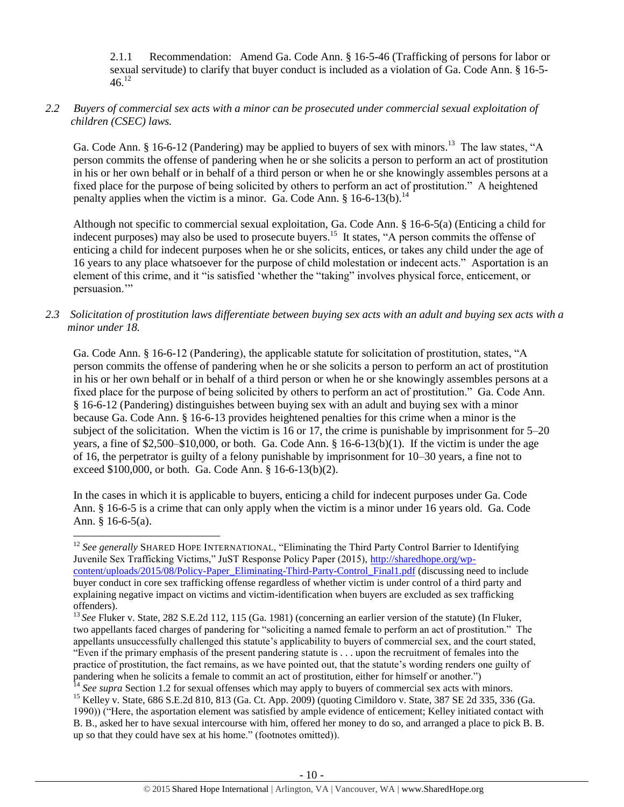2.1.1 Recommendation: Amend Ga. Code Ann. § 16-5-46 (Trafficking of persons for labor or sexual servitude) to clarify that buyer conduct is included as a violation of Ga. Code Ann. § 16-5-  $46^{12}$ 

# *2.2 Buyers of commercial sex acts with a minor can be prosecuted under commercial sexual exploitation of children (CSEC) laws.*

Ga. Code Ann. § 16-6-12 (Pandering) may be applied to buyers of sex with minors.<sup>13</sup> The law states, "A person commits the offense of pandering when he or she solicits a person to perform an act of prostitution in his or her own behalf or in behalf of a third person or when he or she knowingly assembles persons at a fixed place for the purpose of being solicited by others to perform an act of prostitution." A heightened penalty applies when the victim is a minor. Ga. Code Ann.  $\S$  16-6-13(b).<sup>14</sup>

Although not specific to commercial sexual exploitation, Ga. Code Ann. § 16-6-5(a) (Enticing a child for indecent purposes) may also be used to prosecute buyers.<sup>15</sup> It states, "A person commits the offense of enticing a child for indecent purposes when he or she solicits, entices, or takes any child under the age of 16 years to any place whatsoever for the purpose of child molestation or indecent acts." Asportation is an element of this crime, and it "is satisfied 'whether the "taking" involves physical force, enticement, or persuasion.'"

# *2.3 Solicitation of prostitution laws differentiate between buying sex acts with an adult and buying sex acts with a minor under 18.*

Ga. Code Ann. § 16-6-12 (Pandering), the applicable statute for solicitation of prostitution, states, "A person commits the offense of pandering when he or she solicits a person to perform an act of prostitution in his or her own behalf or in behalf of a third person or when he or she knowingly assembles persons at a fixed place for the purpose of being solicited by others to perform an act of prostitution." Ga. Code Ann. § 16-6-12 (Pandering) distinguishes between buying sex with an adult and buying sex with a minor because Ga. Code Ann. § 16-6-13 provides heightened penalties for this crime when a minor is the subject of the solicitation. When the victim is 16 or 17, the crime is punishable by imprisonment for 5–20 years, a fine of \$2,500–\$10,000, or both. Ga. Code Ann. § 16-6-13(b)(1). If the victim is under the age of 16, the perpetrator is guilty of a felony punishable by imprisonment for 10–30 years, a fine not to exceed \$100,000, or both. Ga. Code Ann. § 16-6-13(b)(2).

In the cases in which it is applicable to buyers, enticing a child for indecent purposes under Ga. Code Ann. § 16-6-5 is a crime that can only apply when the victim is a minor under 16 years old. Ga. Code Ann. § 16-6-5(a).

<sup>&</sup>lt;sup>12</sup> See generally SHARED HOPE INTERNATIONAL, "Eliminating the Third Party Control Barrier to Identifying Juvenile Sex Trafficking Victims," JuST Response Policy Paper (2015), [http://sharedhope.org/wp](http://sharedhope.org/wp-content/uploads/2015/08/Policy-Paper_Eliminating-Third-Party-Control_Final1.pdf)[content/uploads/2015/08/Policy-Paper\\_Eliminating-Third-Party-Control\\_Final1.pdf](http://sharedhope.org/wp-content/uploads/2015/08/Policy-Paper_Eliminating-Third-Party-Control_Final1.pdf) (discussing need to include buyer conduct in core sex trafficking offense regardless of whether victim is under control of a third party and explaining negative impact on victims and victim-identification when buyers are excluded as sex trafficking offenders).

<sup>&</sup>lt;sup>13</sup> See Fluker v. State, 282 S.E.2d 112, 115 (Ga. 1981) (concerning an earlier version of the statute) (In Fluker, two appellants faced charges of pandering for "soliciting a named female to perform an act of prostitution." The appellants unsuccessfully challenged this statute's applicability to buyers of commercial sex, and the court stated, "Even if the primary emphasis of the present pandering statute is . . . upon the recruitment of females into the practice of prostitution, the fact remains, as we have pointed out, that the statute's wording renders one guilty of pandering when he solicits a female to commit an act of prostitution, either for himself or another.")

<sup>&</sup>lt;sup>14</sup> See supra Section 1.2 for sexual offenses which may apply to buyers of commercial sex acts with minors. <sup>15</sup> Kelley v. State, 686 S.E.2d 810, 813 (Ga. Ct. App. 2009) (quoting Cimildoro v. State, 387 SE 2d 335, 336 (Ga. 1990)) ("Here, the asportation element was satisfied by ample evidence of enticement; Kelley initiated contact with B. B., asked her to have sexual intercourse with him, offered her money to do so, and arranged a place to pick B. B. up so that they could have sex at his home." (footnotes omitted)).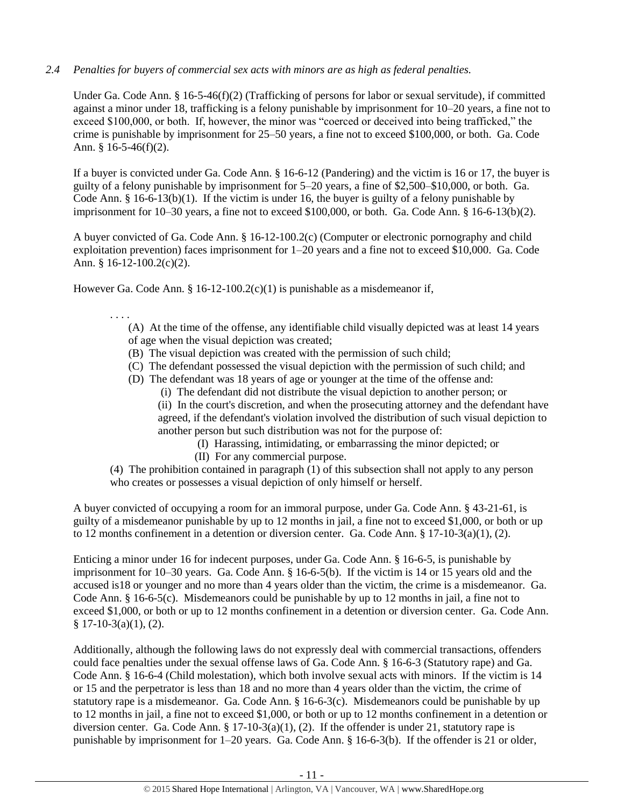# *2.4 Penalties for buyers of commercial sex acts with minors are as high as federal penalties.*

Under Ga. Code Ann. § 16-5-46(f)(2) (Trafficking of persons for labor or sexual servitude), if committed against a minor under 18, trafficking is a felony punishable by imprisonment for 10–20 years, a fine not to exceed \$100,000, or both. If, however, the minor was "coerced or deceived into being trafficked," the crime is punishable by imprisonment for 25–50 years, a fine not to exceed \$100,000, or both. Ga. Code Ann. § 16-5-46(f)(2).

If a buyer is convicted under Ga. Code Ann. § 16-6-12 (Pandering) and the victim is 16 or 17, the buyer is guilty of a felony punishable by imprisonment for 5–20 years, a fine of \$2,500–\$10,000, or both. Ga. Code Ann. § 16-6-13(b)(1). If the victim is under 16, the buyer is guilty of a felony punishable by imprisonment for 10–30 years, a fine not to exceed \$100,000, or both. Ga. Code Ann. § 16-6-13(b)(2).

A buyer convicted of Ga. Code Ann. § 16-12-100.2(c) (Computer or electronic pornography and child exploitation prevention) faces imprisonment for 1–20 years and a fine not to exceed \$10,000. Ga. Code Ann. § 16-12-100.2(c)(2).

However Ga. Code Ann. § 16-12-100.2(c)(1) is punishable as a misdemeanor if,

. . . .

(A) At the time of the offense, any identifiable child visually depicted was at least 14 years of age when the visual depiction was created;

- (B) The visual depiction was created with the permission of such child;
- (C) The defendant possessed the visual depiction with the permission of such child; and
- (D) The defendant was 18 years of age or younger at the time of the offense and:
	- (i) The defendant did not distribute the visual depiction to another person; or

(ii) In the court's discretion, and when the prosecuting attorney and the defendant have agreed, if the defendant's violation involved the distribution of such visual depiction to another person but such distribution was not for the purpose of:

- (I) Harassing, intimidating, or embarrassing the minor depicted; or
- (II) For any commercial purpose.

(4) The prohibition contained in paragraph (1) of this subsection shall not apply to any person who creates or possesses a visual depiction of only himself or herself.

A buyer convicted of occupying a room for an immoral purpose, under Ga. Code Ann. § 43-21-61, is guilty of a misdemeanor punishable by up to 12 months in jail, a fine not to exceed \$1,000, or both or up to 12 months confinement in a detention or diversion center. Ga. Code Ann. § 17-10-3(a)(1), (2).

Enticing a minor under 16 for indecent purposes, under Ga. Code Ann. § 16-6-5, is punishable by imprisonment for 10–30 years. Ga. Code Ann. § 16-6-5(b). If the victim is 14 or 15 years old and the accused is18 or younger and no more than 4 years older than the victim, the crime is a misdemeanor. Ga. Code Ann. § 16-6-5(c). Misdemeanors could be punishable by up to 12 months in jail, a fine not to exceed \$1,000, or both or up to 12 months confinement in a detention or diversion center. Ga. Code Ann.  $§ 17-10-3(a)(1), (2).$ 

Additionally, although the following laws do not expressly deal with commercial transactions, offenders could face penalties under the sexual offense laws of Ga. Code Ann. § 16-6-3 (Statutory rape) and Ga. Code Ann. § 16-6-4 (Child molestation), which both involve sexual acts with minors. If the victim is 14 or 15 and the perpetrator is less than 18 and no more than 4 years older than the victim, the crime of statutory rape is a misdemeanor. Ga. Code Ann. § 16-6-3(c). Misdemeanors could be punishable by up to 12 months in jail, a fine not to exceed \$1,000, or both or up to 12 months confinement in a detention or diversion center. Ga. Code Ann. § 17-10-3(a)(1), (2). If the offender is under 21, statutory rape is punishable by imprisonment for 1–20 years. Ga. Code Ann. § 16-6-3(b). If the offender is 21 or older,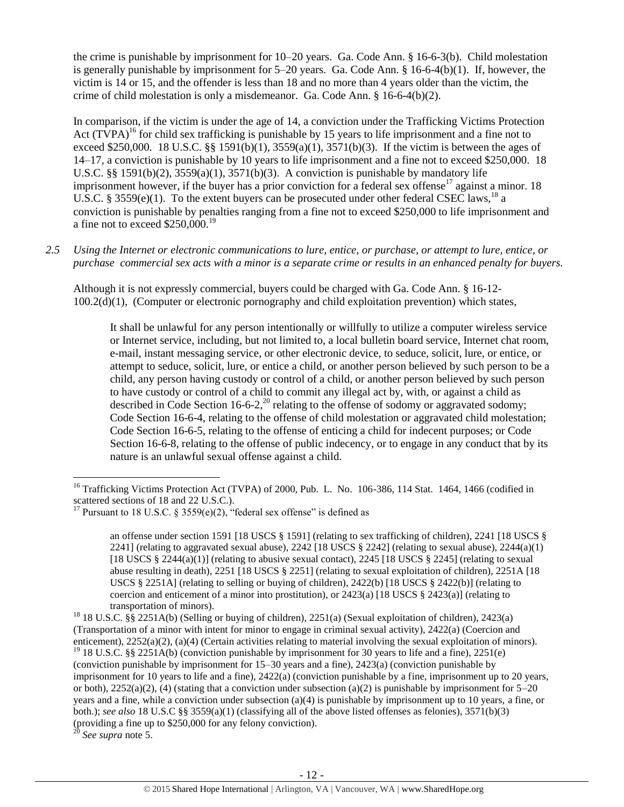the crime is punishable by imprisonment for 10–20 years. Ga. Code Ann. § 16-6-3(b). Child molestation is generally punishable by imprisonment for 5–20 years. Ga. Code Ann. § 16-6-4(b)(1). If, however, the victim is 14 or 15, and the offender is less than 18 and no more than 4 years older than the victim, the crime of child molestation is only a misdemeanor. Ga. Code Ann. § 16-6-4(b)(2).

<span id="page-11-0"></span>In comparison, if the victim is under the age of 14, a conviction under the Trafficking Victims Protection Act  $(T\hat{V}PA)^{16}$  for child sex trafficking is punishable by 15 years to life imprisonment and a fine not to exceed \$250,000. 18 U.S.C. §§ 1591(b)(1),  $3559(a)(1)$ ,  $3571(b)(3)$ . If the victim is between the ages of 14–17, a conviction is punishable by 10 years to life imprisonment and a fine not to exceed \$250,000. 18 U.S.C. §§ 1591(b)(2), 3559(a)(1), 3571(b)(3). A conviction is punishable by mandatory life imprisonment however, if the buyer has a prior conviction for a federal sex offense<sup>17</sup> against a minor. 18 U.S.C. § 3559(e)(1). To the extent buyers can be prosecuted under other federal CSEC laws,<sup>18</sup> a conviction is punishable by penalties ranging from a fine not to exceed \$250,000 to life imprisonment and a fine not to exceed  $$250,000.<sup>19</sup>$ 

*2.5 Using the Internet or electronic communications to lure, entice, or purchase, or attempt to lure, entice, or purchase commercial sex acts with a minor is a separate crime or results in an enhanced penalty for buyers.*

Although it is not expressly commercial, buyers could be charged with Ga. Code Ann. § 16-12- 100.2(d)(1), (Computer or electronic pornography and child exploitation prevention) which states,

<span id="page-11-1"></span>It shall be unlawful for any person intentionally or willfully to utilize a computer wireless service or Internet service, including, but not limited to, a local bulletin board service, Internet chat room, e-mail, instant messaging service, or other electronic device, to seduce, solicit, lure, or entice, or attempt to seduce, solicit, lure, or entice a child, or another person believed by such person to be a child, any person having custody or control of a child, or another person believed by such person to have custody or control of a child to commit any illegal act by, with, or against a child as described in Code Section 16-6-2,<sup>20</sup> relating to the offense of sodomy or aggravated sodomy; Code Section 16-6-4, relating to the offense of child molestation or aggravated child molestation; Code Section 16-6-5, relating to the offense of enticing a child for indecent purposes; or Code Section 16-6-8, relating to the offense of public indecency, or to engage in any conduct that by its nature is an unlawful sexual offense against a child.

 $\overline{\phantom{a}}$ <sup>16</sup> Trafficking Victims Protection Act (TVPA) of 2000, Pub. L. No. 106-386, 114 Stat. 1464, 1466 (codified in scattered sections of 18 and 22 U.S.C.).

<sup>&</sup>lt;sup>17</sup> Pursuant to 18 U.S.C. § 3559(e)(2), "federal sex offense" is defined as

an offense under section 1591 [18 USCS § 1591] (relating to sex trafficking of children), 2241 [18 USCS § 2241] (relating to aggravated sexual abuse),  $2242$  [18 USCS § 2242] (relating to sexual abuse),  $2244(a)(1)$ [18 USCS § 2244(a)(1)] (relating to abusive sexual contact), 2245 [18 USCS § 2245] (relating to sexual abuse resulting in death), 2251 [18 USCS § 2251] (relating to sexual exploitation of children), 2251A [18 USCS § 2251A] (relating to selling or buying of children), 2422(b) [18 USCS § 2422(b)] (relating to coercion and enticement of a minor into prostitution), or  $2423(a)$  [18 USCS §  $2423(a)$ ] (relating to transportation of minors).

<sup>18</sup> 18 U.S.C. §§ 2251A(b) (Selling or buying of children), 2251(a) (Sexual exploitation of children), 2423(a) (Transportation of a minor with intent for minor to engage in criminal sexual activity), 2422(a) (Coercion and enticement), 2252(a)(2), (a)(4) (Certain activities relating to material involving the sexual exploitation of minors). <sup>19</sup> 18 U.S.C. §§ 2251A(b) (conviction punishable by imprisonment for 30 years to life and a fine), 2251(e) (conviction punishable by imprisonment for 15–30 years and a fine), 2423(a) (conviction punishable by imprisonment for 10 years to life and a fine), 2422(a) (conviction punishable by a fine, imprisonment up to 20 years, or both),  $2252(a)(2)$ , (4) (stating that a conviction under subsection (a)(2) is punishable by imprisonment for  $5-20$ years and a fine, while a conviction under subsection (a)(4) is punishable by imprisonment up to 10 years, a fine, or both.); *see also* 18 U.S.C §§ 3559(a)(1) (classifying all of the above listed offenses as felonies), 3571(b)(3) (providing a fine up to \$250,000 for any felony conviction).

<sup>20</sup> *See supra* note [5.](#page-5-0)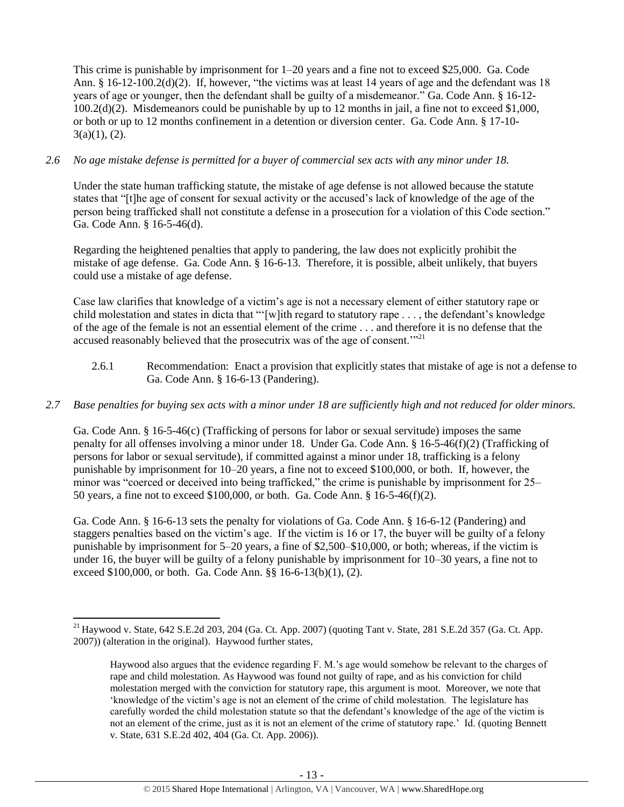This crime is punishable by imprisonment for 1–20 years and a fine not to exceed \$25,000. Ga. Code Ann. § 16-12-100.2(d)(2). If, however, "the victims was at least 14 years of age and the defendant was 18 years of age or younger, then the defendant shall be guilty of a misdemeanor." Ga. Code Ann. § 16-12- 100.2(d)(2). Misdemeanors could be punishable by up to 12 months in jail, a fine not to exceed \$1,000, or both or up to 12 months confinement in a detention or diversion center. Ga. Code Ann. § 17-10-  $3(a)(1), (2).$ 

# *2.6 No age mistake defense is permitted for a buyer of commercial sex acts with any minor under 18.*

Under the state human trafficking statute, the mistake of age defense is not allowed because the statute states that "[t]he age of consent for sexual activity or the accused's lack of knowledge of the age of the person being trafficked shall not constitute a defense in a prosecution for a violation of this Code section." Ga. Code Ann. § 16-5-46(d).

Regarding the heightened penalties that apply to pandering, the law does not explicitly prohibit the mistake of age defense. Ga. Code Ann. § 16-6-13. Therefore, it is possible, albeit unlikely, that buyers could use a mistake of age defense.

Case law clarifies that knowledge of a victim's age is not a necessary element of either statutory rape or child molestation and states in dicta that "'[w]ith regard to statutory rape . . . , the defendant's knowledge of the age of the female is not an essential element of the crime . . . and therefore it is no defense that the accused reasonably believed that the prosecutrix was of the age of consent."<sup>21</sup>

2.6.1 Recommendation: Enact a provision that explicitly states that mistake of age is not a defense to Ga. Code Ann. § 16-6-13 (Pandering).

# *2.7 Base penalties for buying sex acts with a minor under 18 are sufficiently high and not reduced for older minors.*

Ga. Code Ann. § 16-5-46(c) (Trafficking of persons for labor or sexual servitude) imposes the same penalty for all offenses involving a minor under 18. Under Ga. Code Ann. § 16-5-46(f)(2) (Trafficking of persons for labor or sexual servitude), if committed against a minor under 18, trafficking is a felony punishable by imprisonment for 10–20 years, a fine not to exceed \$100,000, or both. If, however, the minor was "coerced or deceived into being trafficked," the crime is punishable by imprisonment for 25– 50 years, a fine not to exceed \$100,000, or both. Ga. Code Ann. § 16-5-46(f)(2).

Ga. Code Ann. § 16-6-13 sets the penalty for violations of Ga. Code Ann. § 16-6-12 (Pandering) and staggers penalties based on the victim's age. If the victim is 16 or 17, the buyer will be guilty of a felony punishable by imprisonment for 5–20 years, a fine of \$2,500–\$10,000, or both; whereas, if the victim is under 16, the buyer will be guilty of a felony punishable by imprisonment for 10–30 years, a fine not to exceed \$100,000, or both. Ga. Code Ann. §§ 16-6-13(b)(1), (2).

 $\overline{\phantom{a}}$  $^{21}$  Haywood v. State, 642 S.E.2d 203, 204 (Ga. Ct. App. 2007) (quoting Tant v. State, 281 S.E.2d 357 (Ga. Ct. App. 2007)) (alteration in the original). Haywood further states,

Haywood also argues that the evidence regarding F. M.'s age would somehow be relevant to the charges of rape and child molestation. As Haywood was found not guilty of rape, and as his conviction for child molestation merged with the conviction for statutory rape, this argument is moot. Moreover, we note that 'knowledge of the victim's age is not an element of the crime of child molestation. The legislature has carefully worded the child molestation statute so that the defendant's knowledge of the age of the victim is not an element of the crime, just as it is not an element of the crime of statutory rape.' Id. (quoting Bennett v. State, 631 S.E.2d 402, 404 (Ga. Ct. App. 2006)).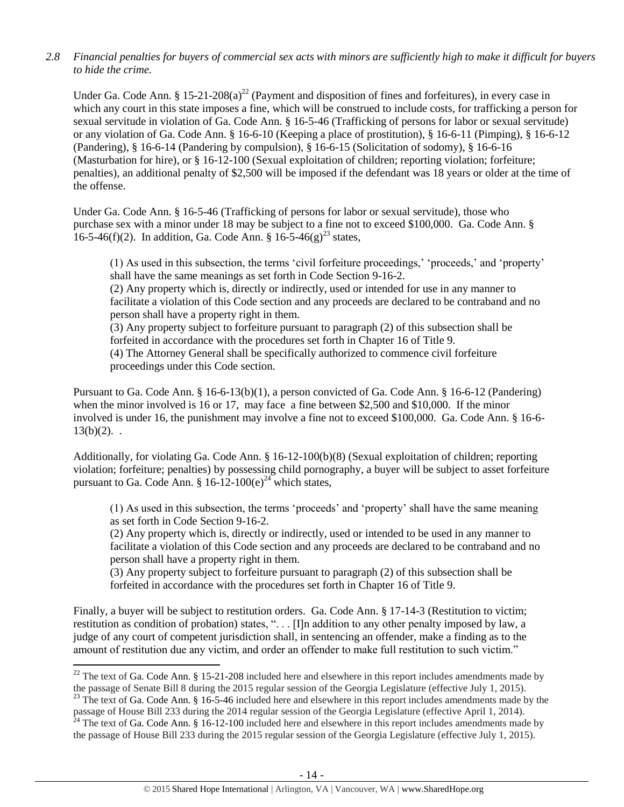# *2.8 Financial penalties for buyers of commercial sex acts with minors are sufficiently high to make it difficult for buyers to hide the crime.*

Under Ga. Code Ann. § 15-21-208(a)<sup>22</sup> (Payment and disposition of fines and forfeitures), in every case in which any court in this state imposes a fine, which will be construed to include costs, for trafficking a person for sexual servitude in violation of Ga. Code Ann. § 16-5-46 (Trafficking of persons for labor or sexual servitude) or any violation of Ga. Code Ann. § 16-6-10 (Keeping a place of prostitution), § 16-6-11 (Pimping), § 16-6-12 (Pandering), § 16-6-14 (Pandering by compulsion), § 16-6-15 (Solicitation of sodomy), § 16-6-16 (Masturbation for hire), or § 16-12-100 (Sexual exploitation of children; reporting violation; forfeiture; penalties), an additional penalty of \$2,500 will be imposed if the defendant was 18 years or older at the time of the offense.

Under Ga. Code Ann. § 16-5-46 (Trafficking of persons for labor or sexual servitude), those who purchase sex with a minor under 18 may be subject to a fine not to exceed \$100,000. Ga. Code Ann. § 16-5-46(f)(2). In addition, Ga. Code Ann. §  $16-5-46(g)^{23}$  states,

<span id="page-13-0"></span>(1) As used in this subsection, the terms 'civil forfeiture proceedings,' 'proceeds,' and 'property' shall have the same meanings as set forth in Code Section 9-16-2.

(2) Any property which is, directly or indirectly, used or intended for use in any manner to facilitate a violation of this Code section and any proceeds are declared to be contraband and no person shall have a property right in them.

(3) Any property subject to forfeiture pursuant to paragraph (2) of this subsection shall be forfeited in accordance with the procedures set forth in Chapter 16 of Title 9. (4) The Attorney General shall be specifically authorized to commence civil forfeiture proceedings under this Code section.

Pursuant to Ga. Code Ann. § 16-6-13(b)(1), a person convicted of Ga. Code Ann. § 16-6-12 (Pandering) when the minor involved is 16 or 17, may face a fine between \$2,500 and \$10,000. If the minor involved is under 16, the punishment may involve a fine not to exceed \$100,000. Ga. Code Ann. § 16-6-  $13(b)(2)$ .

Additionally, for violating Ga. Code Ann. § 16-12-100(b)(8) (Sexual exploitation of children; reporting violation; forfeiture; penalties) by possessing child pornography, a buyer will be subject to asset forfeiture pursuant to Ga. Code Ann. §  $16-12-100(e)^{24}$  which states,

(1) As used in this subsection, the terms 'proceeds' and 'property' shall have the same meaning as set forth in Code Section 9-16-2.

(2) Any property which is, directly or indirectly, used or intended to be used in any manner to facilitate a violation of this Code section and any proceeds are declared to be contraband and no person shall have a property right in them.

(3) Any property subject to forfeiture pursuant to paragraph (2) of this subsection shall be forfeited in accordance with the procedures set forth in Chapter 16 of Title 9.

Finally, a buyer will be subject to restitution orders. Ga. Code Ann. § 17-14-3 (Restitution to victim; restitution as condition of probation) states, ". . . [I]n addition to any other penalty imposed by law, a judge of any court of competent jurisdiction shall, in sentencing an offender, make a finding as to the amount of restitution due any victim, and order an offender to make full restitution to such victim."

 $\overline{a}$ 

 $^{22}$  The text of Ga. Code Ann. § 15-21-208 included here and elsewhere in this report includes amendments made by the passage of Senate Bill 8 during the 2015 regular session of the Georgia Legislature (effective July 1, 2015).

 $^{23}$  The text of Ga. Code Ann. § 16-5-46 included here and elsewhere in this report includes amendments made by the passage of House Bill 233 during the 2014 regular session of the Georgia Legislature (effective April 1, 2014).

 $^{24}$  The text of Ga. Code Ann. § 16-12-100 included here and elsewhere in this report includes amendments made by the passage of House Bill 233 during the 2015 regular session of the Georgia Legislature (effective July 1, 2015).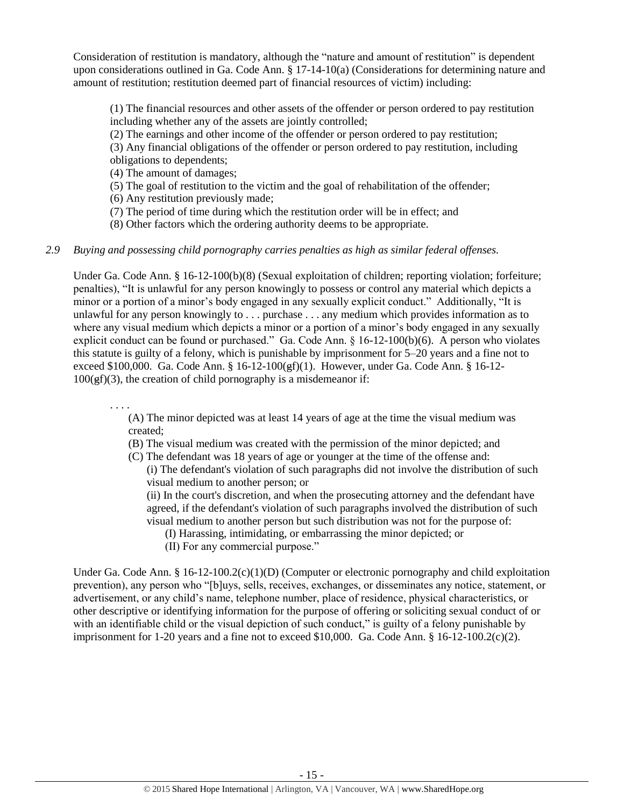Consideration of restitution is mandatory, although the "nature and amount of restitution" is dependent upon considerations outlined in Ga. Code Ann. § 17-14-10(a) (Considerations for determining nature and amount of restitution; restitution deemed part of financial resources of victim) including:

(1) The financial resources and other assets of the offender or person ordered to pay restitution including whether any of the assets are jointly controlled;

(2) The earnings and other income of the offender or person ordered to pay restitution;

(3) Any financial obligations of the offender or person ordered to pay restitution, including obligations to dependents;

(4) The amount of damages;

(5) The goal of restitution to the victim and the goal of rehabilitation of the offender;

(6) Any restitution previously made;

(7) The period of time during which the restitution order will be in effect; and

(8) Other factors which the ordering authority deems to be appropriate.

# *2.9 Buying and possessing child pornography carries penalties as high as similar federal offenses.*

Under Ga. Code Ann. § 16-12-100(b)(8) (Sexual exploitation of children; reporting violation; forfeiture; penalties), "It is unlawful for any person knowingly to possess or control any material which depicts a minor or a portion of a minor's body engaged in any sexually explicit conduct." Additionally, "It is unlawful for any person knowingly to . . . purchase . . . any medium which provides information as to where any visual medium which depicts a minor or a portion of a minor's body engaged in any sexually explicit conduct can be found or purchased." Ga. Code Ann. § 16-12-100(b)(6). A person who violates this statute is guilty of a felony, which is punishable by imprisonment for 5–20 years and a fine not to exceed \$100,000. Ga. Code Ann. § 16-12-100(gf)(1). However, under Ga. Code Ann. § 16-12-  $100(\text{gf})(3)$ , the creation of child pornography is a misdemeanor if:

. . . . (A) The minor depicted was at least 14 years of age at the time the visual medium was created;

- (B) The visual medium was created with the permission of the minor depicted; and
- (C) The defendant was 18 years of age or younger at the time of the offense and: (i) The defendant's violation of such paragraphs did not involve the distribution of such visual medium to another person; or

(ii) In the court's discretion, and when the prosecuting attorney and the defendant have agreed, if the defendant's violation of such paragraphs involved the distribution of such visual medium to another person but such distribution was not for the purpose of:

- (I) Harassing, intimidating, or embarrassing the minor depicted; or
- (II) For any commercial purpose."

Under Ga. Code Ann. § 16-12-100.2(c)(1)(D) (Computer or electronic pornography and child exploitation prevention), any person who "[b]uys, sells, receives, exchanges, or disseminates any notice, statement, or advertisement, or any child's name, telephone number, place of residence, physical characteristics, or other descriptive or identifying information for the purpose of offering or soliciting sexual conduct of or with an identifiable child or the visual depiction of such conduct," is guilty of a felony punishable by imprisonment for 1-20 years and a fine not to exceed \$10,000. Ga. Code Ann.  $\S$  16-12-100.2(c)(2).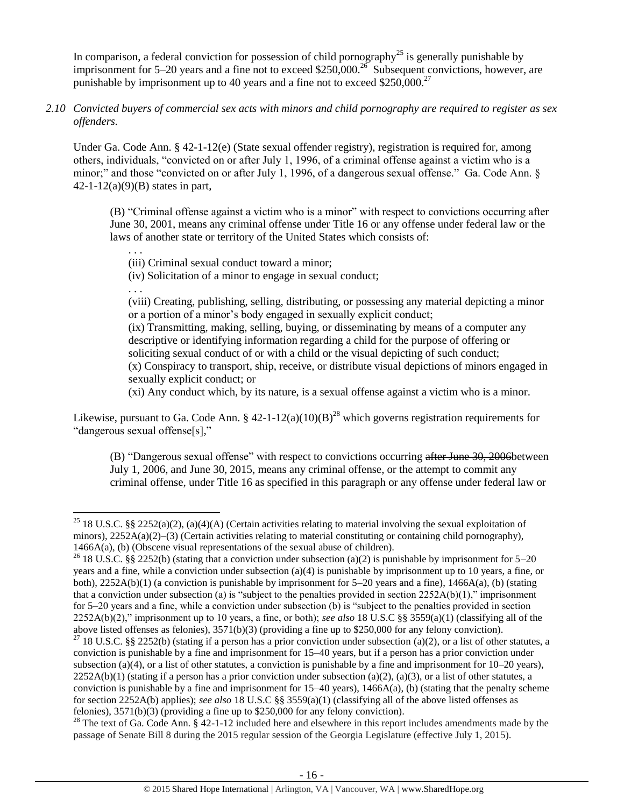In comparison, a federal conviction for possession of child pornography<sup>25</sup> is generally punishable by imprisonment for 5–20 years and a fine not to exceed \$250,000.<sup>26</sup> Subsequent convictions, however, are punishable by imprisonment up to 40 years and a fine not to exceed \$250,000.<sup>27</sup>

*2.10 Convicted buyers of commercial sex acts with minors and child pornography are required to register as sex offenders.*

Under Ga. Code Ann. § 42-1-12(e) (State sexual offender registry), registration is required for, among others, individuals, "convicted on or after July 1, 1996, of a criminal offense against a victim who is a minor;" and those "convicted on or after July 1, 1996, of a dangerous sexual offense." Ga. Code Ann. §  $42 - 1 - 12(a)(9)(B)$  states in part,

(B) "Criminal offense against a victim who is a minor" with respect to convictions occurring after June 30, 2001, means any criminal offense under Title 16 or any offense under federal law or the laws of another state or territory of the United States which consists of:

(iii) Criminal sexual conduct toward a minor;

(iv) Solicitation of a minor to engage in sexual conduct;

. . .

l

. . .

(viii) Creating, publishing, selling, distributing, or possessing any material depicting a minor or a portion of a minor's body engaged in sexually explicit conduct;

(ix) Transmitting, making, selling, buying, or disseminating by means of a computer any descriptive or identifying information regarding a child for the purpose of offering or soliciting sexual conduct of or with a child or the visual depicting of such conduct; (x) Conspiracy to transport, ship, receive, or distribute visual depictions of minors engaged in sexually explicit conduct; or

(xi) Any conduct which, by its nature, is a sexual offense against a victim who is a minor.

Likewise, pursuant to Ga. Code Ann. § 42-1-12(a)(10)(B)<sup>28</sup> which governs registration requirements for "dangerous sexual offense[s],"

(B) "Dangerous sexual offense" with respect to convictions occurring after June 30, 2006 between July 1, 2006, and June 30, 2015, means any criminal offense, or the attempt to commit any criminal offense, under Title 16 as specified in this paragraph or any offense under federal law or

<sup>&</sup>lt;sup>25</sup> 18 U.S.C. §§ 2252(a)(2), (a)(4)(A) (Certain activities relating to material involving the sexual exploitation of minors), 2252A(a)(2)–(3) (Certain activities relating to material constituting or containing child pornography), 1466A(a), (b) (Obscene visual representations of the sexual abuse of children).

<sup>&</sup>lt;sup>26</sup> 18 U.S.C. §§ 2252(b) (stating that a conviction under subsection (a)(2) is punishable by imprisonment for 5–20 years and a fine, while a conviction under subsection (a)(4) is punishable by imprisonment up to 10 years, a fine, or both), 2252A(b)(1) (a conviction is punishable by imprisonment for 5–20 years and a fine), 1466A(a), (b) (stating that a conviction under subsection (a) is "subject to the penalties provided in section  $2252A(b)(1)$ ," imprisonment for 5–20 years and a fine, while a conviction under subsection (b) is "subject to the penalties provided in section 2252A(b)(2)," imprisonment up to 10 years, a fine, or both); *see also* 18 U.S.C §§ 3559(a)(1) (classifying all of the above listed offenses as felonies), 3571(b)(3) (providing a fine up to \$250,000 for any felony conviction).

<sup>&</sup>lt;sup>27</sup> 18 U.S.C. §§ 2252(b) (stating if a person has a prior conviction under subsection (a)(2), or a list of other statutes, a conviction is punishable by a fine and imprisonment for 15–40 years, but if a person has a prior conviction under subsection (a)(4), or a list of other statutes, a conviction is punishable by a fine and imprisonment for  $10-20$  years),  $2252A(b)(1)$  (stating if a person has a prior conviction under subsection (a)(2), (a)(3), or a list of other statutes, a conviction is punishable by a fine and imprisonment for  $15-40$  years),  $1466A(a)$ , (b) (stating that the penalty scheme for section 2252A(b) applies); *see also* 18 U.S.C §§ 3559(a)(1) (classifying all of the above listed offenses as felonies), 3571(b)(3) (providing a fine up to \$250,000 for any felony conviction).

 $^{28}$  The text of Ga. Code Ann. § 42-1-12 included here and elsewhere in this report includes amendments made by the passage of Senate Bill 8 during the 2015 regular session of the Georgia Legislature (effective July 1, 2015).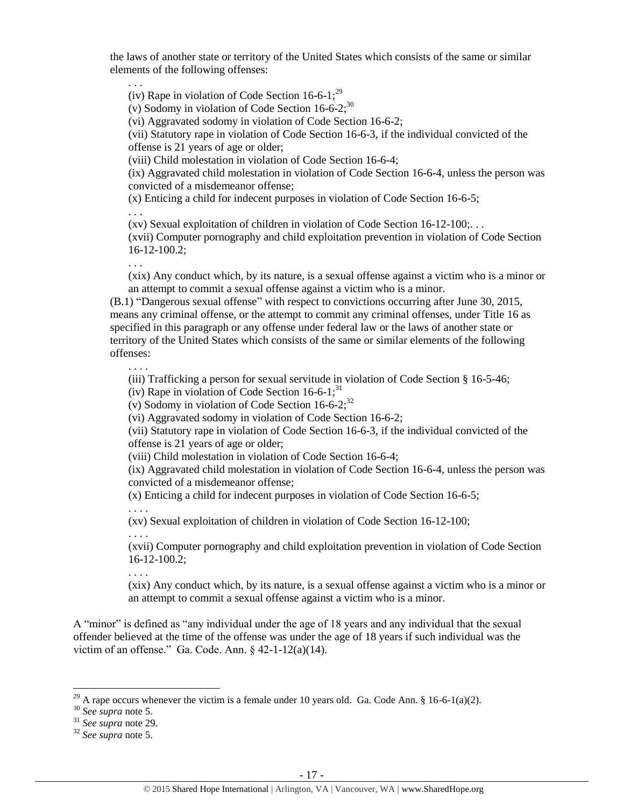the laws of another state or territory of the United States which consists of the same or similar elements of the following offenses:

. . .

<span id="page-16-0"></span>(iv) Rape in violation of Code Section  $16-6-1$ ;<sup>29</sup>

(v) Sodomy in violation of Code Section  $16-6-2;^{30}$ 

(vi) Aggravated sodomy in violation of Code Section 16-6-2;

(vii) Statutory rape in violation of Code Section 16-6-3, if the individual convicted of the offense is 21 years of age or older;

(viii) Child molestation in violation of Code Section 16-6-4;

(ix) Aggravated child molestation in violation of Code Section 16-6-4, unless the person was convicted of a misdemeanor offense;

(x) Enticing a child for indecent purposes in violation of Code Section 16-6-5;

. . .

(xv) Sexual exploitation of children in violation of Code Section 16-12-100;. . .

(xvii) Computer pornography and child exploitation prevention in violation of Code Section 16-12-100.2;

. . .

. . . .

(xix) Any conduct which, by its nature, is a sexual offense against a victim who is a minor or an attempt to commit a sexual offense against a victim who is a minor.

(B.1) "Dangerous sexual offense" with respect to convictions occurring after June 30, 2015, means any criminal offense, or the attempt to commit any criminal offenses, under Title 16 as specified in this paragraph or any offense under federal law or the laws of another state or territory of the United States which consists of the same or similar elements of the following offenses:

(iii) Trafficking a person for sexual servitude in violation of Code Section § 16-5-46;

(iv) Rape in violation of Code Section  $16-6-1$ ;<sup>31</sup>

(v) Sodomy in violation of Code Section  $16-6-2$ ;<sup>32</sup>

(vi) Aggravated sodomy in violation of Code Section 16-6-2;

(vii) Statutory rape in violation of Code Section 16-6-3, if the individual convicted of the offense is 21 years of age or older;

(viii) Child molestation in violation of Code Section 16-6-4;

(ix) Aggravated child molestation in violation of Code Section 16-6-4, unless the person was convicted of a misdemeanor offense;

(x) Enticing a child for indecent purposes in violation of Code Section 16-6-5;

. . . .

. . . .

(xv) Sexual exploitation of children in violation of Code Section 16-12-100;

(xvii) Computer pornography and child exploitation prevention in violation of Code Section 16-12-100.2;

. . . .

(xix) Any conduct which, by its nature, is a sexual offense against a victim who is a minor or an attempt to commit a sexual offense against a victim who is a minor.

A "minor" is defined as "any individual under the age of 18 years and any individual that the sexual offender believed at the time of the offense was under the age of 18 years if such individual was the victim of an offense." Ga. Code. Ann.  $\S$  42-1-12(a)(14).

<sup>&</sup>lt;sup>29</sup> A rape occurs whenever the victim is a female under 10 years old. Ga. Code Ann. § 16-6-1(a)(2).

<sup>30</sup> *See supra* note [5.](#page-5-0)

<sup>31</sup> *See supra* note [29.](#page-16-0)

<sup>32</sup> *See supra* note [5.](#page-5-0)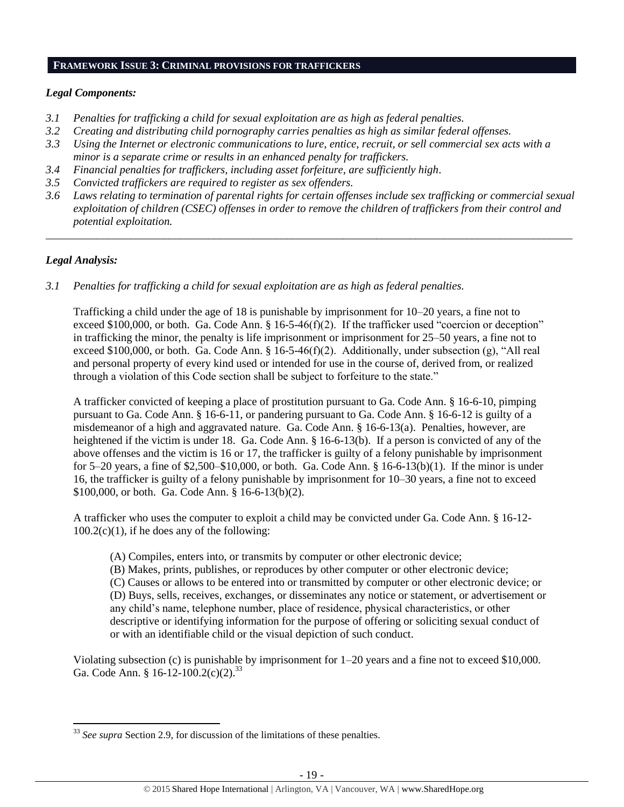### **FRAMEWORK ISSUE 3: CRIMINAL PROVISIONS FOR TRAFFICKERS**

## *Legal Components:*

- *3.1 Penalties for trafficking a child for sexual exploitation are as high as federal penalties.*
- *3.2 Creating and distributing child pornography carries penalties as high as similar federal offenses.*
- *3.3 Using the Internet or electronic communications to lure, entice, recruit, or sell commercial sex acts with a minor is a separate crime or results in an enhanced penalty for traffickers.*
- *3.4 Financial penalties for traffickers, including asset forfeiture, are sufficiently high*.
- *3.5 Convicted traffickers are required to register as sex offenders.*
- *3.6 Laws relating to termination of parental rights for certain offenses include sex trafficking or commercial sexual exploitation of children (CSEC) offenses in order to remove the children of traffickers from their control and potential exploitation.*

*\_\_\_\_\_\_\_\_\_\_\_\_\_\_\_\_\_\_\_\_\_\_\_\_\_\_\_\_\_\_\_\_\_\_\_\_\_\_\_\_\_\_\_\_\_\_\_\_\_\_\_\_\_\_\_\_\_\_\_\_\_\_\_\_\_\_\_\_\_\_\_\_\_\_\_\_\_\_\_\_\_\_\_\_\_\_\_\_\_\_\_\_\_\_*

# *Legal Analysis:*

 $\overline{\phantom{a}}$ 

*3.1 Penalties for trafficking a child for sexual exploitation are as high as federal penalties.* 

Trafficking a child under the age of 18 is punishable by imprisonment for 10–20 years, a fine not to exceed \$100,000, or both. Ga. Code Ann. § 16-5-46(f)(2). If the trafficker used "coercion or deception" in trafficking the minor, the penalty is life imprisonment or imprisonment for 25–50 years, a fine not to exceed \$100,000, or both. Ga. Code Ann. § 16-5-46(f)(2). Additionally, under subsection (g), "All real and personal property of every kind used or intended for use in the course of, derived from, or realized through a violation of this Code section shall be subject to forfeiture to the state."

A trafficker convicted of keeping a place of prostitution pursuant to Ga. Code Ann. § 16-6-10, pimping pursuant to Ga. Code Ann. § 16-6-11, or pandering pursuant to Ga. Code Ann. § 16-6-12 is guilty of a misdemeanor of a high and aggravated nature. Ga. Code Ann. § 16-6-13(a). Penalties, however, are heightened if the victim is under 18. Ga. Code Ann. § 16-6-13(b). If a person is convicted of any of the above offenses and the victim is 16 or 17, the trafficker is guilty of a felony punishable by imprisonment for 5–20 years, a fine of  $$2,500–$10,000$ , or both. Ga. Code Ann. § 16-6-13(b)(1). If the minor is under 16, the trafficker is guilty of a felony punishable by imprisonment for 10–30 years, a fine not to exceed \$100,000, or both. Ga. Code Ann. § 16-6-13(b)(2).

A trafficker who uses the computer to exploit a child may be convicted under Ga. Code Ann. § 16-12-  $100.2(c)(1)$ , if he does any of the following:

- (A) Compiles, enters into, or transmits by computer or other electronic device;
- (B) Makes, prints, publishes, or reproduces by other computer or other electronic device;

(C) Causes or allows to be entered into or transmitted by computer or other electronic device; or (D) Buys, sells, receives, exchanges, or disseminates any notice or statement, or advertisement or any child's name, telephone number, place of residence, physical characteristics, or other descriptive or identifying information for the purpose of offering or soliciting sexual conduct of or with an identifiable child or the visual depiction of such conduct.

Violating subsection (c) is punishable by imprisonment for 1–20 years and a fine not to exceed \$10,000. Ga. Code Ann. § 16-12-100.2(c)(2).<sup>33</sup>

<sup>&</sup>lt;sup>33</sup> See supra Section 2.9, for discussion of the limitations of these penalties.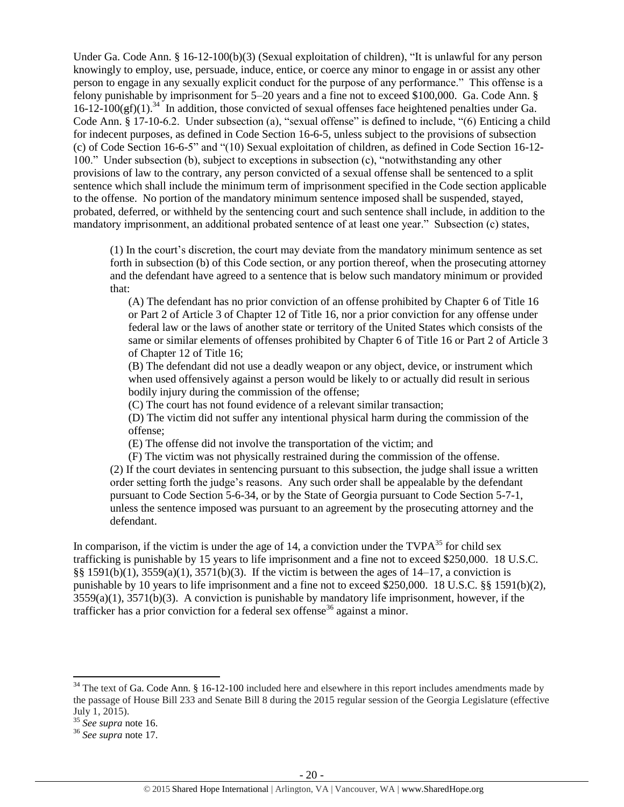Under Ga. Code Ann. § 16-12-100(b)(3) (Sexual exploitation of children), "It is unlawful for any person knowingly to employ, use, persuade, induce, entice, or coerce any minor to engage in or assist any other person to engage in any sexually explicit conduct for the purpose of any performance." This offense is a felony punishable by imprisonment for 5–20 years and a fine not to exceed \$100,000. Ga. Code Ann. §  $16-12-100$ (gf)(1).<sup>34</sup> In addition, those convicted of sexual offenses face heightened penalties under Ga. Code Ann. § 17-10-6.2. Under subsection (a), "sexual offense" is defined to include, "(6) Enticing a child for indecent purposes, as defined in Code Section 16-6-5, unless subject to the provisions of subsection (c) of Code Section 16-6-5" and "(10) Sexual exploitation of children, as defined in Code Section 16-12- 100." Under subsection (b), subject to exceptions in subsection (c), "notwithstanding any other provisions of law to the contrary, any person convicted of a sexual offense shall be sentenced to a split sentence which shall include the minimum term of imprisonment specified in the Code section applicable to the offense. No portion of the mandatory minimum sentence imposed shall be suspended, stayed, probated, deferred, or withheld by the sentencing court and such sentence shall include, in addition to the mandatory imprisonment, an additional probated sentence of at least one year." Subsection (c) states,

(1) In the court's discretion, the court may deviate from the mandatory minimum sentence as set forth in subsection (b) of this Code section, or any portion thereof, when the prosecuting attorney and the defendant have agreed to a sentence that is below such mandatory minimum or provided that:

(A) The defendant has no prior conviction of an offense prohibited by Chapter 6 of Title 16 or Part 2 of Article 3 of Chapter 12 of Title 16, nor a prior conviction for any offense under federal law or the laws of another state or territory of the United States which consists of the same or similar elements of offenses prohibited by Chapter 6 of Title 16 or Part 2 of Article 3 of Chapter 12 of Title 16;

(B) The defendant did not use a deadly weapon or any object, device, or instrument which when used offensively against a person would be likely to or actually did result in serious bodily injury during the commission of the offense;

(C) The court has not found evidence of a relevant similar transaction;

(D) The victim did not suffer any intentional physical harm during the commission of the offense;

(E) The offense did not involve the transportation of the victim; and

(F) The victim was not physically restrained during the commission of the offense. (2) If the court deviates in sentencing pursuant to this subsection, the judge shall issue a written order setting forth the judge's reasons. Any such order shall be appealable by the defendant pursuant to Code Section 5-6-34, or by the State of Georgia pursuant to Code Section 5-7-1, unless the sentence imposed was pursuant to an agreement by the prosecuting attorney and the defendant.

In comparison, if the victim is under the age of 14, a conviction under the  $TVPA^{35}$  for child sex trafficking is punishable by 15 years to life imprisonment and a fine not to exceed \$250,000. 18 U.S.C. §§ 1591(b)(1), 3559(a)(1), 3571(b)(3). If the victim is between the ages of 14–17, a conviction is punishable by 10 years to life imprisonment and a fine not to exceed \$250,000. 18 U.S.C. §§ 1591(b)(2),  $3559(a)(1)$ ,  $3571(b)(3)$ . A conviction is punishable by mandatory life imprisonment, however, if the trafficker has a prior conviction for a federal sex offense<sup>36</sup> against a minor.

 $34$  The text of Ga. Code Ann. § 16-12-100 included here and elsewhere in this report includes amendments made by the passage of House Bill 233 and Senate Bill 8 during the 2015 regular session of the Georgia Legislature (effective July 1, 2015).

<sup>35</sup> *See supra* note [16.](#page-11-0)

<sup>36</sup> *See supra* note [17.](#page-11-1)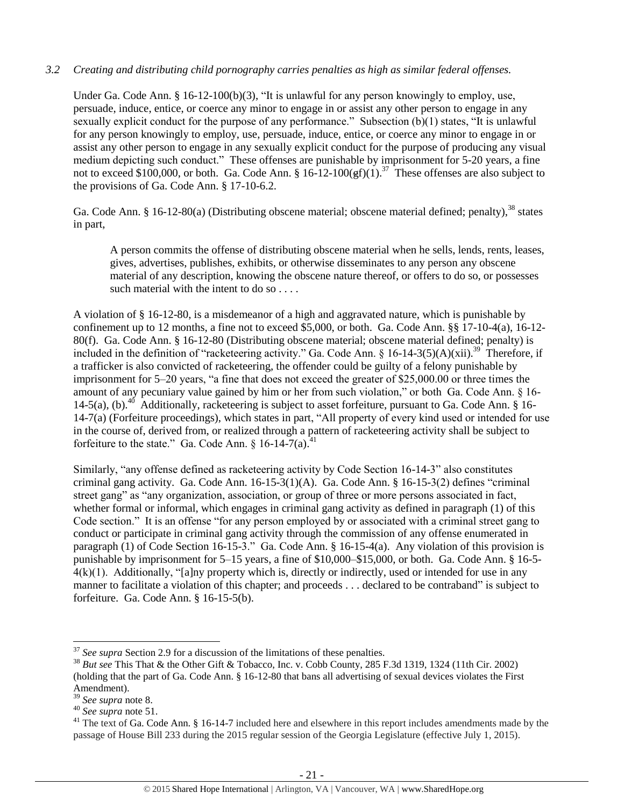# *3.2 Creating and distributing child pornography carries penalties as high as similar federal offenses.*

Under Ga. Code Ann. § 16-12-100(b)(3), "It is unlawful for any person knowingly to employ, use, persuade, induce, entice, or coerce any minor to engage in or assist any other person to engage in any sexually explicit conduct for the purpose of any performance." Subsection (b)(1) states, "It is unlawful for any person knowingly to employ, use, persuade, induce, entice, or coerce any minor to engage in or assist any other person to engage in any sexually explicit conduct for the purpose of producing any visual medium depicting such conduct." These offenses are punishable by imprisonment for 5-20 years, a fine not to exceed \$100,000, or both. Ga. Code Ann. §  $16-12-100(gf)(1)$ .<sup>37</sup> These offenses are also subject to the provisions of Ga. Code Ann. § 17-10-6.2.

Ga. Code Ann. § 16-12-80(a) (Distributing obscene material; obscene material defined; penalty),  $38$  states in part,

A person commits the offense of distributing obscene material when he sells, lends, rents, leases, gives, advertises, publishes, exhibits, or otherwise disseminates to any person any obscene material of any description, knowing the obscene nature thereof, or offers to do so, or possesses such material with the intent to do so . . . .

A violation of § 16-12-80, is a misdemeanor of a high and aggravated nature, which is punishable by confinement up to 12 months, a fine not to exceed \$5,000, or both. Ga. Code Ann. §§ 17-10-4(a), 16-12- 80(f). Ga. Code Ann. § 16-12-80 (Distributing obscene material; obscene material defined; penalty) is included in the definition of "racketeering activity." Ga. Code Ann. § 16-14-3(5)(A)(xii).<sup>39</sup> Therefore, if a trafficker is also convicted of racketeering, the offender could be guilty of a felony punishable by imprisonment for 5–20 years, "a fine that does not exceed the greater of \$25,000.00 or three times the amount of any pecuniary value gained by him or her from such violation," or both Ga. Code Ann. § 16- 14-5(a), (b).<sup>40</sup> Additionally, racketeering is subject to asset forfeiture, pursuant to Ga. Code Ann. § 16-14-7(a) (Forfeiture proceedings), which states in part, "All property of every kind used or intended for use in the course of, derived from, or realized through a pattern of racketeering activity shall be subject to forfeiture to the state." Ga. Code Ann.  $\S$  16-14-7(a).<sup>4</sup>

Similarly, "any offense defined as racketeering activity by Code Section 16-14-3" also constitutes criminal gang activity. Ga. Code Ann. 16-15-3(1)(A). Ga. Code Ann. § 16-15-3(2) defines "criminal street gang" as "any organization, association, or group of three or more persons associated in fact, whether formal or informal, which engages in criminal gang activity as defined in paragraph (1) of this Code section." It is an offense "for any person employed by or associated with a criminal street gang to conduct or participate in criminal gang activity through the commission of any offense enumerated in paragraph (1) of Code Section 16-15-3." Ga. Code Ann. § 16-15-4(a). Any violation of this provision is punishable by imprisonment for 5–15 years, a fine of \$10,000–\$15,000, or both. Ga. Code Ann. § 16-5-  $4(k)(1)$ . Additionally, "[a]ny property which is, directly or indirectly, used or intended for use in any manner to facilitate a violation of this chapter; and proceeds . . . declared to be contraband" is subject to forfeiture. Ga. Code Ann. § 16-15-5(b).

<sup>&</sup>lt;sup>37</sup> See supra Section 2.9 for a discussion of the limitations of these penalties.

<sup>&</sup>lt;sup>38</sup> *But see* This That & the Other Gift & Tobacco, Inc. v. Cobb County, 285 F.3d 1319, 1324 (11th Cir. 2002) (holding that the part of Ga. Code Ann. § 16-12-80 that bans all advertising of sexual devices violates the First Amendment).

<sup>39</sup> *See supra* note [8.](#page-6-0)

<sup>40</sup> *See supra* note [51.](#page-23-0)

 $41$  The text of Ga. Code Ann. § 16-14-7 included here and elsewhere in this report includes amendments made by the passage of House Bill 233 during the 2015 regular session of the Georgia Legislature (effective July 1, 2015).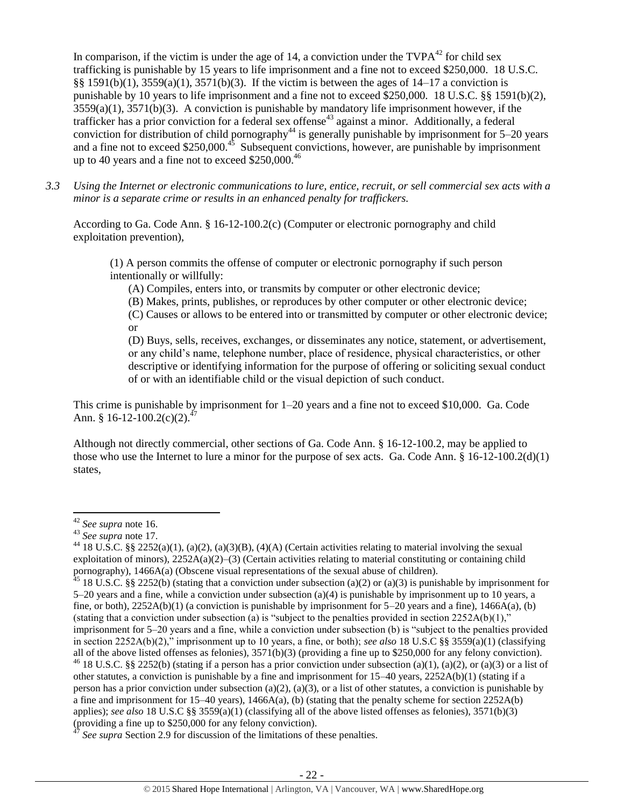In comparison, if the victim is under the age of 14, a conviction under the  $TVPA^{42}$  for child sex trafficking is punishable by 15 years to life imprisonment and a fine not to exceed \$250,000. 18 U.S.C. §§ 1591(b)(1), 3559(a)(1), 3571(b)(3). If the victim is between the ages of 14–17 a conviction is punishable by 10 years to life imprisonment and a fine not to exceed \$250,000. 18 U.S.C. §§ 1591(b)(2), 3559(a)(1), 3571(b)(3). A conviction is punishable by mandatory life imprisonment however, if the trafficker has a prior conviction for a federal sex offense<sup>43</sup> against a minor. Additionally, a federal conviction for distribution of child pornography<sup>44</sup> is generally punishable by imprisonment for  $5-20$  years and a fine not to exceed \$250,000.<sup>45</sup> Subsequent convictions, however, are punishable by imprisonment up to 40 years and a fine not to exceed  $$250,000.<sup>46</sup>$ 

*3.3 Using the Internet or electronic communications to lure, entice, recruit, or sell commercial sex acts with a minor is a separate crime or results in an enhanced penalty for traffickers.*

According to Ga. Code Ann. § 16-12-100.2(c) (Computer or electronic pornography and child exploitation prevention),

(1) A person commits the offense of computer or electronic pornography if such person intentionally or willfully:

(A) Compiles, enters into, or transmits by computer or other electronic device;

(B) Makes, prints, publishes, or reproduces by other computer or other electronic device;

(C) Causes or allows to be entered into or transmitted by computer or other electronic device; or

(D) Buys, sells, receives, exchanges, or disseminates any notice, statement, or advertisement, or any child's name, telephone number, place of residence, physical characteristics, or other descriptive or identifying information for the purpose of offering or soliciting sexual conduct of or with an identifiable child or the visual depiction of such conduct.

This crime is punishable by imprisonment for 1–20 years and a fine not to exceed \$10,000. Ga. Code Ann.  $$16-12-100.2(c)(2).^{47}$ 

Although not directly commercial, other sections of Ga. Code Ann. § 16-12-100.2, may be applied to those who use the Internet to lure a minor for the purpose of sex acts. Ga. Code Ann.  $\S 16-12-100.2(d)(1)$ states,

l <sup>42</sup> *See supra* note [16.](#page-11-0)

<sup>43</sup> *See supra* note [17.](#page-11-1)

<sup>&</sup>lt;sup>44</sup> 18 U.S.C. §§ 2252(a)(1), (a)(2), (a)(3)(B), (4)(A) (Certain activities relating to material involving the sexual exploitation of minors),  $2252A(a)(2)-(3)$  (Certain activities relating to material constituting or containing child pornography), 1466A(a) (Obscene visual representations of the sexual abuse of children).

 $^{45}$  18 U.S.C. §§ 2252(b) (stating that a conviction under subsection (a)(2) or (a)(3) is punishable by imprisonment for 5–20 years and a fine, while a conviction under subsection (a)(4) is punishable by imprisonment up to 10 years, a fine, or both),  $2252A(b)(1)$  (a conviction is punishable by imprisonment for 5–20 years and a fine),  $1466A(a)$ , (b) (stating that a conviction under subsection (a) is "subject to the penalties provided in section  $2252A(b)(1)$ ," imprisonment for 5–20 years and a fine, while a conviction under subsection (b) is "subject to the penalties provided in section 2252A(b)(2)," imprisonment up to 10 years, a fine, or both); *see also* 18 U.S.C §§ 3559(a)(1) (classifying all of the above listed offenses as felonies),  $3571(b)(3)$  (providing a fine up to \$250,000 for any felony conviction).

<sup>&</sup>lt;sup>46</sup> 18 U.S.C. §§ 2252(b) (stating if a person has a prior conviction under subsection (a)(1), (a)(2), or (a)(3) or a list of other statutes, a conviction is punishable by a fine and imprisonment for  $15-40$  years,  $2252A(b)(1)$  (stating if a person has a prior conviction under subsection (a)(2), (a)(3), or a list of other statutes, a conviction is punishable by a fine and imprisonment for 15–40 years), 1466A(a), (b) (stating that the penalty scheme for section 2252A(b) applies); *see also* 18 U.S.C §§ 3559(a)(1) (classifying all of the above listed offenses as felonies), 3571(b)(3) (providing a fine up to  $$250,000$  for any felony conviction).

See supra Section 2.9 for discussion of the limitations of these penalties.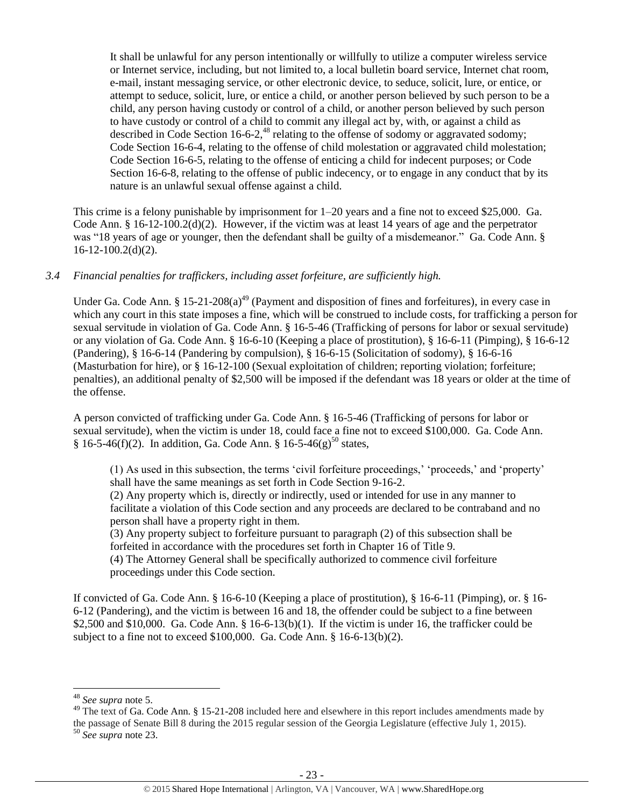It shall be unlawful for any person intentionally or willfully to utilize a computer wireless service or Internet service, including, but not limited to, a local bulletin board service, Internet chat room, e-mail, instant messaging service, or other electronic device, to seduce, solicit, lure, or entice, or attempt to seduce, solicit, lure, or entice a child, or another person believed by such person to be a child, any person having custody or control of a child, or another person believed by such person to have custody or control of a child to commit any illegal act by, with, or against a child as described in Code Section 16-6-2,<sup>48</sup> relating to the offense of sodomy or aggravated sodomy; Code Section 16-6-4, relating to the offense of child molestation or aggravated child molestation; Code Section 16-6-5, relating to the offense of enticing a child for indecent purposes; or Code Section 16-6-8, relating to the offense of public indecency, or to engage in any conduct that by its nature is an unlawful sexual offense against a child.

This crime is a felony punishable by imprisonment for 1–20 years and a fine not to exceed \$25,000. Ga. Code Ann. § 16-12-100.2(d)(2). However, if the victim was at least 14 years of age and the perpetrator was "18 years of age or younger, then the defendant shall be guilty of a misdemeanor." Ga. Code Ann. § 16-12-100.2(d)(2).

# *3.4 Financial penalties for traffickers, including asset forfeiture, are sufficiently high.*

Under Ga. Code Ann. § 15-21-208(a)<sup>49</sup> (Payment and disposition of fines and forfeitures), in every case in which any court in this state imposes a fine, which will be construed to include costs, for trafficking a person for sexual servitude in violation of Ga. Code Ann. § 16-5-46 (Trafficking of persons for labor or sexual servitude) or any violation of Ga. Code Ann. § 16-6-10 (Keeping a place of prostitution), § 16-6-11 (Pimping), § 16-6-12 (Pandering), § 16-6-14 (Pandering by compulsion), § 16-6-15 (Solicitation of sodomy), § 16-6-16 (Masturbation for hire), or § 16-12-100 (Sexual exploitation of children; reporting violation; forfeiture; penalties), an additional penalty of \$2,500 will be imposed if the defendant was 18 years or older at the time of the offense.

A person convicted of trafficking under Ga. Code Ann. § 16-5-46 (Trafficking of persons for labor or sexual servitude), when the victim is under 18, could face a fine not to exceed \$100,000. Ga. Code Ann.  $§ 16-5-46(f)(2)$ . In addition, Ga. Code Ann. § 16-5-46(g)<sup>50</sup> states,

(1) As used in this subsection, the terms 'civil forfeiture proceedings,' 'proceeds,' and 'property' shall have the same meanings as set forth in Code Section 9-16-2.

(2) Any property which is, directly or indirectly, used or intended for use in any manner to facilitate a violation of this Code section and any proceeds are declared to be contraband and no person shall have a property right in them.

(3) Any property subject to forfeiture pursuant to paragraph (2) of this subsection shall be forfeited in accordance with the procedures set forth in Chapter 16 of Title 9.

(4) The Attorney General shall be specifically authorized to commence civil forfeiture proceedings under this Code section.

If convicted of Ga. Code Ann. § 16-6-10 (Keeping a place of prostitution), § 16-6-11 (Pimping), or. § 16- 6-12 (Pandering), and the victim is between 16 and 18, the offender could be subject to a fine between \$2,500 and \$10,000. Ga. Code Ann.  $\S$  16-6-13(b)(1). If the victim is under 16, the trafficker could be subject to a fine not to exceed \$100,000. Ga. Code Ann. § 16-6-13(b)(2).

<sup>48</sup> *See supra* note [5.](#page-5-0)

<sup>&</sup>lt;sup>49</sup> The text of Ga. Code Ann. § 15-21-208 included here and elsewhere in this report includes amendments made by the passage of Senate Bill 8 during the 2015 regular session of the Georgia Legislature (effective July 1, 2015).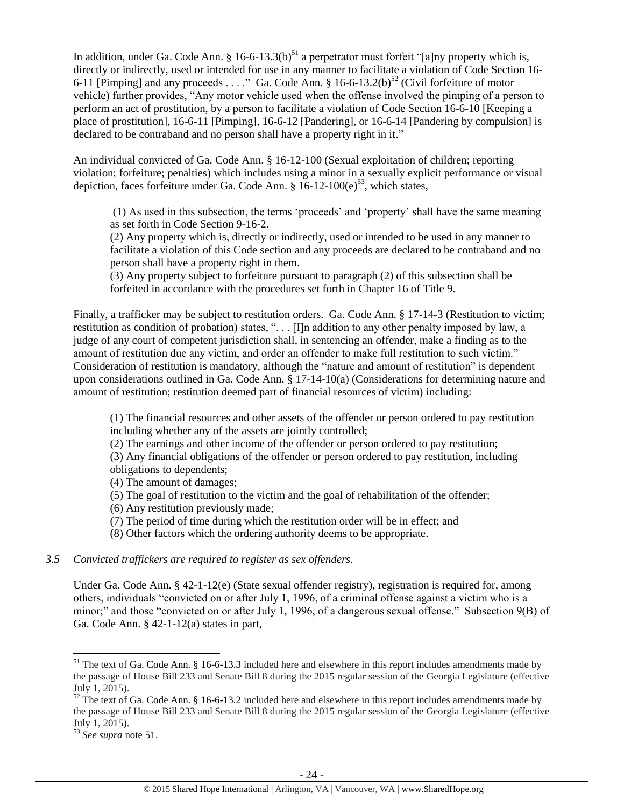<span id="page-23-0"></span>In addition, under Ga. Code Ann. § 16-6-13.3(b)<sup>51</sup> a perpetrator must forfeit "[a]ny property which is, directly or indirectly, used or intended for use in any manner to facilitate a violation of Code Section 16- 6-11 [Pimping] and any proceeds . . . ." Ga. Code Ann. § 16-6-13.2(b)<sup>52</sup> (Civil forfeiture of motor vehicle) further provides, "Any motor vehicle used when the offense involved the pimping of a person to perform an act of prostitution, by a person to facilitate a violation of Code Section 16-6-10 [Keeping a place of prostitution], 16-6-11 [Pimping], 16-6-12 [Pandering], or 16-6-14 [Pandering by compulsion] is declared to be contraband and no person shall have a property right in it."

An individual convicted of Ga. Code Ann. § 16-12-100 (Sexual exploitation of children; reporting violation; forfeiture; penalties) which includes using a minor in a sexually explicit performance or visual depiction, faces forfeiture under Ga. Code Ann.  $\S 16-12-100(e)^{53}$ , which states,

(1) As used in this subsection, the terms 'proceeds' and 'property' shall have the same meaning as set forth in Code Section 9-16-2.

(2) Any property which is, directly or indirectly, used or intended to be used in any manner to facilitate a violation of this Code section and any proceeds are declared to be contraband and no person shall have a property right in them.

(3) Any property subject to forfeiture pursuant to paragraph (2) of this subsection shall be forfeited in accordance with the procedures set forth in Chapter 16 of Title 9.

Finally, a trafficker may be subject to restitution orders. Ga. Code Ann. § 17-14-3 (Restitution to victim; restitution as condition of probation) states, ". . . [I]n addition to any other penalty imposed by law, a judge of any court of competent jurisdiction shall, in sentencing an offender, make a finding as to the amount of restitution due any victim, and order an offender to make full restitution to such victim." Consideration of restitution is mandatory, although the "nature and amount of restitution" is dependent upon considerations outlined in Ga. Code Ann. § 17-14-10(a) (Considerations for determining nature and amount of restitution; restitution deemed part of financial resources of victim) including:

(1) The financial resources and other assets of the offender or person ordered to pay restitution including whether any of the assets are jointly controlled;

(2) The earnings and other income of the offender or person ordered to pay restitution;

(3) Any financial obligations of the offender or person ordered to pay restitution, including obligations to dependents;

(4) The amount of damages;

(5) The goal of restitution to the victim and the goal of rehabilitation of the offender;

(6) Any restitution previously made;

(7) The period of time during which the restitution order will be in effect; and

(8) Other factors which the ordering authority deems to be appropriate.

#### *3.5 Convicted traffickers are required to register as sex offenders.*

Under Ga. Code Ann. § 42-1-12(e) (State sexual offender registry), registration is required for, among others, individuals "convicted on or after July 1, 1996, of a criminal offense against a victim who is a minor;" and those "convicted on or after July 1, 1996, of a dangerous sexual offense." Subsection 9(B) of Ga. Code Ann. § 42-1-12(a) states in part,

 $51$  The text of Ga. Code Ann. § 16-6-13.3 included here and elsewhere in this report includes amendments made by the passage of House Bill 233 and Senate Bill 8 during the 2015 regular session of the Georgia Legislature (effective July 1, 2015).

 $\frac{52}{2}$  The text of Ga. Code Ann. § 16-6-13.2 included here and elsewhere in this report includes amendments made by the passage of House Bill 233 and Senate Bill 8 during the 2015 regular session of the Georgia Legislature (effective July 1, 2015).

<sup>53</sup> *See supra* note [51.](#page-23-0)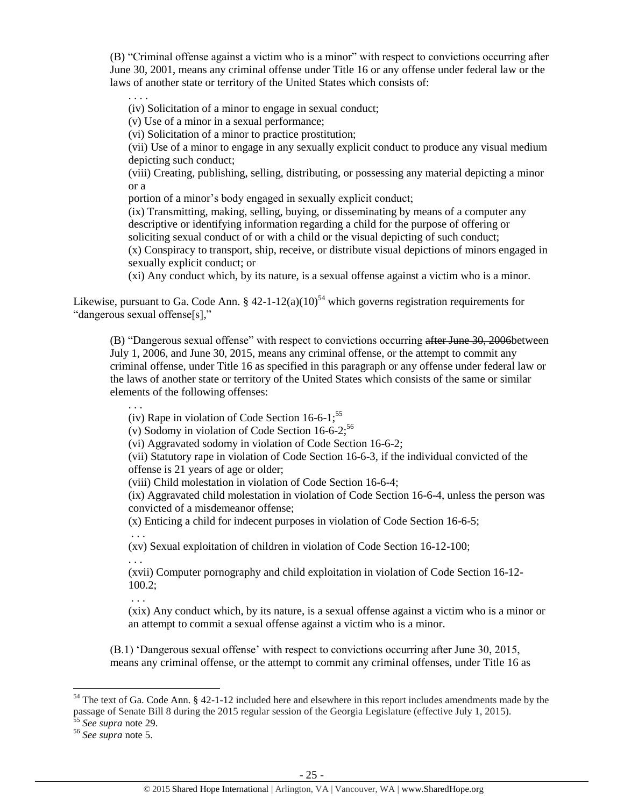(B) "Criminal offense against a victim who is a minor" with respect to convictions occurring after June 30, 2001, means any criminal offense under Title 16 or any offense under federal law or the laws of another state or territory of the United States which consists of:

. . . . (iv) Solicitation of a minor to engage in sexual conduct;

(v) Use of a minor in a sexual performance;

(vi) Solicitation of a minor to practice prostitution;

(vii) Use of a minor to engage in any sexually explicit conduct to produce any visual medium depicting such conduct;

(viii) Creating, publishing, selling, distributing, or possessing any material depicting a minor or a

portion of a minor's body engaged in sexually explicit conduct;

(ix) Transmitting, making, selling, buying, or disseminating by means of a computer any descriptive or identifying information regarding a child for the purpose of offering or soliciting sexual conduct of or with a child or the visual depicting of such conduct;

(x) Conspiracy to transport, ship, receive, or distribute visual depictions of minors engaged in sexually explicit conduct; or

(xi) Any conduct which, by its nature, is a sexual offense against a victim who is a minor.

Likewise, pursuant to Ga. Code Ann. §  $42-1-12(a)(10)^{54}$  which governs registration requirements for "dangerous sexual offense[s],"

(B) "Dangerous sexual offense" with respect to convictions occurring after June 30, 2006 between July 1, 2006, and June 30, 2015, means any criminal offense, or the attempt to commit any criminal offense, under Title 16 as specified in this paragraph or any offense under federal law or the laws of another state or territory of the United States which consists of the same or similar elements of the following offenses:

. . .

(iv) Rape in violation of Code Section  $16-6-1$ ;<sup>55</sup>

(v) Sodomy in violation of Code Section  $16-6-2$ ;<sup>56</sup>

(vi) Aggravated sodomy in violation of Code Section 16-6-2;

(vii) Statutory rape in violation of Code Section 16-6-3, if the individual convicted of the offense is 21 years of age or older;

(viii) Child molestation in violation of Code Section 16-6-4;

(ix) Aggravated child molestation in violation of Code Section 16-6-4, unless the person was convicted of a misdemeanor offense;

(x) Enticing a child for indecent purposes in violation of Code Section 16-6-5;

(xv) Sexual exploitation of children in violation of Code Section 16-12-100;

. . .

. . .

(xvii) Computer pornography and child exploitation in violation of Code Section 16-12- 100.2;

. . . (xix) Any conduct which, by its nature, is a sexual offense against a victim who is a minor or an attempt to commit a sexual offense against a victim who is a minor.

(B.1) 'Dangerous sexual offense' with respect to convictions occurring after June 30, 2015, means any criminal offense, or the attempt to commit any criminal offenses, under Title 16 as

 $54$  The text of Ga. Code Ann. § 42-1-12 included here and elsewhere in this report includes amendments made by the passage of Senate Bill 8 during the 2015 regular session of the Georgia Legislature (effective July 1, 2015). <sup>55</sup> *See supra* note [29.](#page-16-0)

<sup>56</sup> *See supra* note [5.](#page-5-0)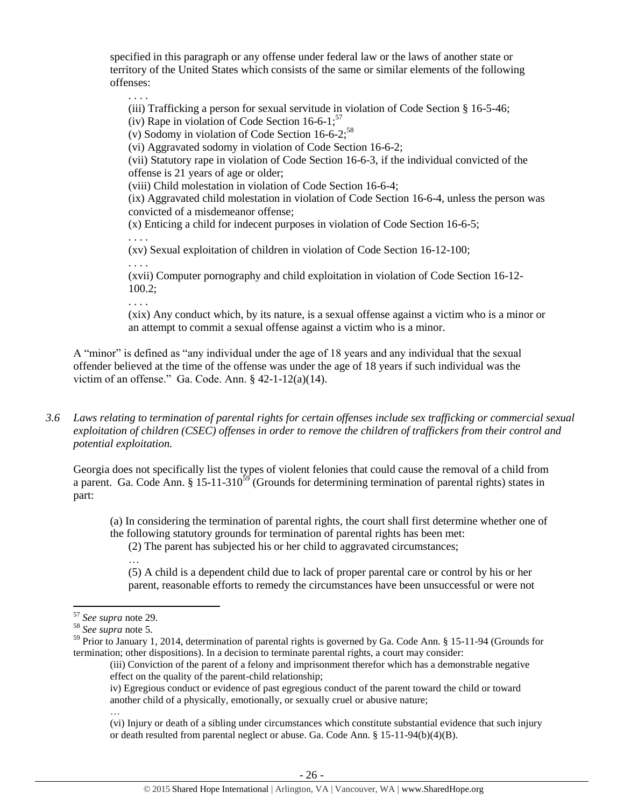specified in this paragraph or any offense under federal law or the laws of another state or territory of the United States which consists of the same or similar elements of the following offenses:

. . . . (iii) Trafficking a person for sexual servitude in violation of Code Section § 16-5-46; (iv) Rape in violation of Code Section  $16-6-1$ ;<sup>57</sup>

(v) Sodomy in violation of Code Section  $16-6-2$ ;<sup>58</sup>

(vi) Aggravated sodomy in violation of Code Section 16-6-2;

(vii) Statutory rape in violation of Code Section 16-6-3, if the individual convicted of the offense is 21 years of age or older;

(viii) Child molestation in violation of Code Section 16-6-4;

(ix) Aggravated child molestation in violation of Code Section 16-6-4, unless the person was convicted of a misdemeanor offense;

(x) Enticing a child for indecent purposes in violation of Code Section 16-6-5;

. . . .

. . . .

(xv) Sexual exploitation of children in violation of Code Section 16-12-100;

(xvii) Computer pornography and child exploitation in violation of Code Section 16-12- 100.2;

. . . .

(xix) Any conduct which, by its nature, is a sexual offense against a victim who is a minor or an attempt to commit a sexual offense against a victim who is a minor.

A "minor" is defined as "any individual under the age of 18 years and any individual that the sexual offender believed at the time of the offense was under the age of 18 years if such individual was the victim of an offense." Ga. Code. Ann. § 42-1-12(a)(14).

*3.6 Laws relating to termination of parental rights for certain offenses include sex trafficking or commercial sexual exploitation of children (CSEC) offenses in order to remove the children of traffickers from their control and potential exploitation.* 

Georgia does not specifically list the types of violent felonies that could cause the removal of a child from a parent. Ga. Code Ann. § 15-11-310<sup>59</sup> (Grounds for determining termination of parental rights) states in part:

(a) In considering the termination of parental rights, the court shall first determine whether one of the following statutory grounds for termination of parental rights has been met:

(2) The parent has subjected his or her child to aggravated circumstances;

(5) A child is a dependent child due to lack of proper parental care or control by his or her parent, reasonable efforts to remedy the circumstances have been unsuccessful or were not

…

iv) Egregious conduct or evidence of past egregious conduct of the parent toward the child or toward another child of a physically, emotionally, or sexually cruel or abusive nature;

(vi) Injury or death of a sibling under circumstances which constitute substantial evidence that such injury or death resulted from parental neglect or abuse. Ga. Code Ann. § 15-11-94(b)(4)(B).

<sup>…</sup>

 $\overline{\phantom{a}}$ <sup>57</sup> *See supra* note [29.](#page-16-0)

<sup>58</sup> *See supra* note [5.](#page-5-0)

<sup>&</sup>lt;sup>59</sup> Prior to January 1, 2014, determination of parental rights is governed by Ga. Code Ann. § 15-11-94 (Grounds for termination; other dispositions). In a decision to terminate parental rights, a court may consider:

<sup>(</sup>iii) Conviction of the parent of a felony and imprisonment therefor which has a demonstrable negative effect on the quality of the parent-child relationship;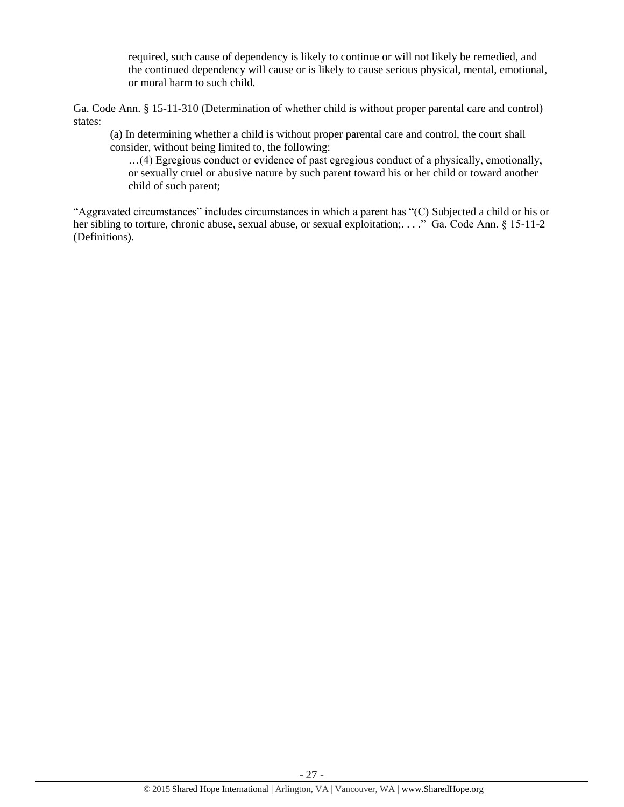required, such cause of dependency is likely to continue or will not likely be remedied, and the continued dependency will cause or is likely to cause serious physical, mental, emotional, or moral harm to such child.

Ga. Code Ann. § 15-11-310 (Determination of whether child is without proper parental care and control) states:

(a) In determining whether a child is without proper parental care and control, the court shall consider, without being limited to, the following:

…(4) Egregious conduct or evidence of past egregious conduct of a physically, emotionally, or sexually cruel or abusive nature by such parent toward his or her child or toward another child of such parent;

"Aggravated circumstances" includes circumstances in which a parent has "(C) Subjected a child or his or her sibling to torture, chronic abuse, sexual abuse, or sexual exploitation;...." Ga. Code Ann. § 15-11-2 (Definitions).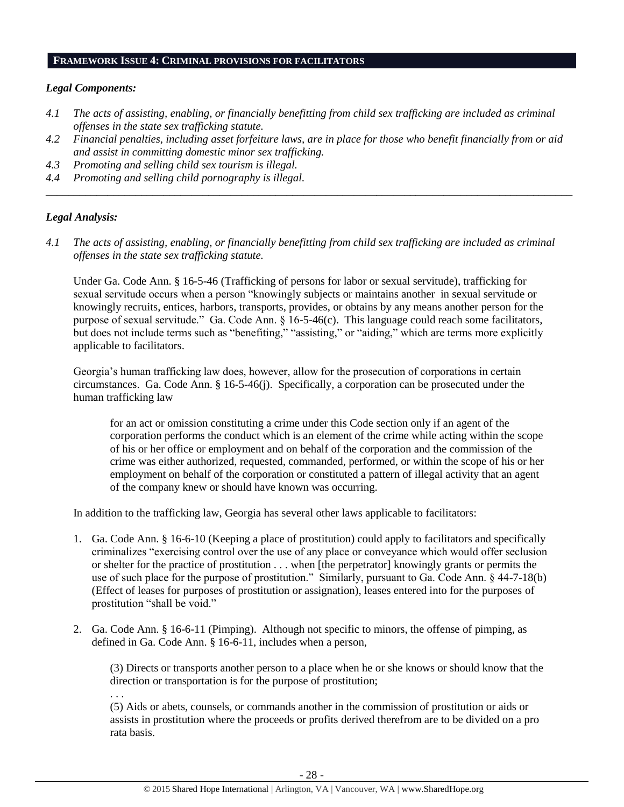#### **FRAMEWORK ISSUE 4: CRIMINAL PROVISIONS FOR FACILITATORS**

#### *Legal Components:*

- *4.1 The acts of assisting, enabling, or financially benefitting from child sex trafficking are included as criminal offenses in the state sex trafficking statute.*
- *4.2 Financial penalties, including asset forfeiture laws, are in place for those who benefit financially from or aid and assist in committing domestic minor sex trafficking.*

*\_\_\_\_\_\_\_\_\_\_\_\_\_\_\_\_\_\_\_\_\_\_\_\_\_\_\_\_\_\_\_\_\_\_\_\_\_\_\_\_\_\_\_\_\_\_\_\_\_\_\_\_\_\_\_\_\_\_\_\_\_\_\_\_\_\_\_\_\_\_\_\_\_\_\_\_\_\_\_\_\_\_\_\_\_\_\_\_\_\_\_\_\_\_*

- *4.3 Promoting and selling child sex tourism is illegal.*
- *4.4 Promoting and selling child pornography is illegal.*

#### *Legal Analysis:*

*4.1 The acts of assisting, enabling, or financially benefitting from child sex trafficking are included as criminal offenses in the state sex trafficking statute.*

Under Ga. Code Ann. § 16-5-46 (Trafficking of persons for labor or sexual servitude), trafficking for sexual servitude occurs when a person "knowingly subjects or maintains another in sexual servitude or knowingly recruits, entices, harbors, transports, provides, or obtains by any means another person for the purpose of sexual servitude." Ga. Code Ann. § 16-5-46(c). This language could reach some facilitators, but does not include terms such as "benefiting," "assisting," or "aiding," which are terms more explicitly applicable to facilitators.

Georgia's human trafficking law does, however, allow for the prosecution of corporations in certain circumstances. Ga. Code Ann. § 16-5-46(j). Specifically, a corporation can be prosecuted under the human trafficking law

for an act or omission constituting a crime under this Code section only if an agent of the corporation performs the conduct which is an element of the crime while acting within the scope of his or her office or employment and on behalf of the corporation and the commission of the crime was either authorized, requested, commanded, performed, or within the scope of his or her employment on behalf of the corporation or constituted a pattern of illegal activity that an agent of the company knew or should have known was occurring.

In addition to the trafficking law, Georgia has several other laws applicable to facilitators:

- 1. Ga. Code Ann. § 16-6-10 (Keeping a place of prostitution) could apply to facilitators and specifically criminalizes "exercising control over the use of any place or conveyance which would offer seclusion or shelter for the practice of prostitution . . . when [the perpetrator] knowingly grants or permits the use of such place for the purpose of prostitution." Similarly, pursuant to Ga. Code Ann. § 44-7-18(b) (Effect of leases for purposes of prostitution or assignation), leases entered into for the purposes of prostitution "shall be void."
- 2. Ga. Code Ann. § 16-6-11 (Pimping). Although not specific to minors, the offense of pimping, as defined in Ga. Code Ann. § 16-6-11, includes when a person,

(3) Directs or transports another person to a place when he or she knows or should know that the direction or transportation is for the purpose of prostitution; . . .

(5) Aids or abets, counsels, or commands another in the commission of prostitution or aids or assists in prostitution where the proceeds or profits derived therefrom are to be divided on a pro rata basis.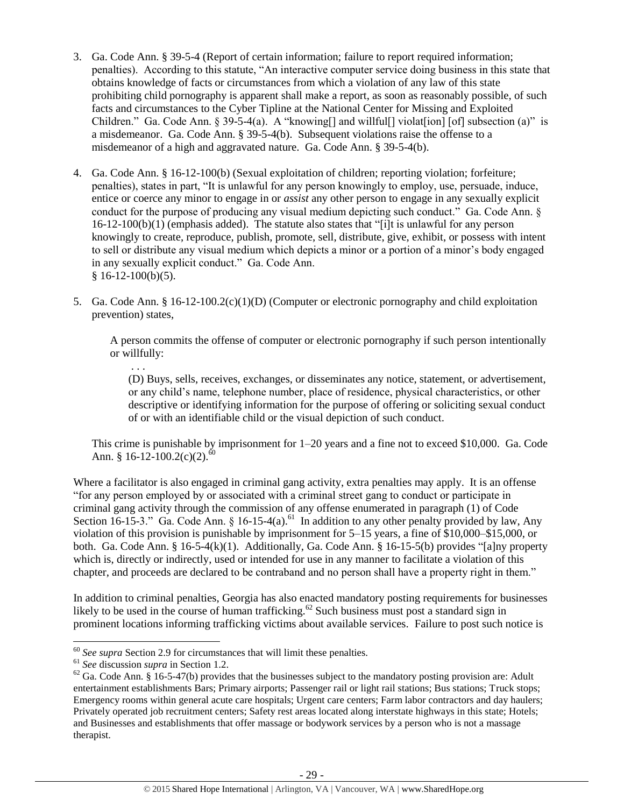- 3. Ga. Code Ann. § 39-5-4 (Report of certain information; failure to report required information; penalties). According to this statute, "An interactive computer service doing business in this state that obtains knowledge of facts or circumstances from which a violation of any law of this state prohibiting child pornography is apparent shall make a report, as soon as reasonably possible, of such facts and circumstances to the Cyber Tipline at the National Center for Missing and Exploited Children." Ga. Code Ann. § 39-5-4(a). A "knowing [] and will full [] violat [ion] [of] subsection (a)" is a misdemeanor. Ga. Code Ann. § 39-5-4(b). Subsequent violations raise the offense to a misdemeanor of a high and aggravated nature. Ga. Code Ann. § 39-5-4(b).
- 4. Ga. Code Ann. § 16-12-100(b) (Sexual exploitation of children; reporting violation; forfeiture; penalties), states in part, "It is unlawful for any person knowingly to employ, use, persuade, induce, entice or coerce any minor to engage in or *assist* any other person to engage in any sexually explicit conduct for the purpose of producing any visual medium depicting such conduct." Ga. Code Ann. § 16-12-100(b)(1) (emphasis added). The statute also states that "[i]t is unlawful for any person knowingly to create, reproduce, publish, promote, sell, distribute, give, exhibit, or possess with intent to sell or distribute any visual medium which depicts a minor or a portion of a minor's body engaged in any sexually explicit conduct." Ga. Code Ann.  $§ 16-12-100(b)(5).$
- 5. Ga. Code Ann. § 16-12-100.2(c)(1)(D) (Computer or electronic pornography and child exploitation prevention) states,

A person commits the offense of computer or electronic pornography if such person intentionally or willfully:

(D) Buys, sells, receives, exchanges, or disseminates any notice, statement, or advertisement, or any child's name, telephone number, place of residence, physical characteristics, or other descriptive or identifying information for the purpose of offering or soliciting sexual conduct of or with an identifiable child or the visual depiction of such conduct.

This crime is punishable by imprisonment for 1–20 years and a fine not to exceed \$10,000. Ga. Code Ann. § 16-12-100.2(c)(2).<sup>60</sup>

Where a facilitator is also engaged in criminal gang activity, extra penalties may apply. It is an offense "for any person employed by or associated with a criminal street gang to conduct or participate in criminal gang activity through the commission of any offense enumerated in paragraph (1) of Code Section 16-15-3." Ga. Code Ann. § 16-15-4(a).<sup>61</sup> In addition to any other penalty provided by law, Any violation of this provision is punishable by imprisonment for 5–15 years, a fine of \$10,000–\$15,000, or both. Ga. Code Ann. § 16-5-4(k)(1). Additionally, Ga. Code Ann. § 16-15-5(b) provides "[a]ny property which is, directly or indirectly, used or intended for use in any manner to facilitate a violation of this chapter, and proceeds are declared to be contraband and no person shall have a property right in them."

In addition to criminal penalties, Georgia has also enacted mandatory posting requirements for businesses likely to be used in the course of human trafficking.<sup>62</sup> Such business must post a standard sign in prominent locations informing trafficking victims about available services. Failure to post such notice is

 $\overline{\phantom{a}}$ 

. . .

<sup>60</sup> *See supra* Section 2.9 for circumstances that will limit these penalties.

<sup>61</sup> *See* discussion *supra* in Section 1.2.

 $62$  Ga. Code Ann.  $\hat{\S}$  16-5-47(b) provides that the businesses subject to the mandatory posting provision are: Adult entertainment establishments Bars; Primary airports; Passenger rail or light rail stations; Bus stations; Truck stops; Emergency rooms within general acute care hospitals; Urgent care centers; Farm labor contractors and day haulers; Privately operated job recruitment centers; Safety rest areas located along interstate highways in this state; Hotels; and Businesses and establishments that offer massage or bodywork services by a person who is not a massage therapist.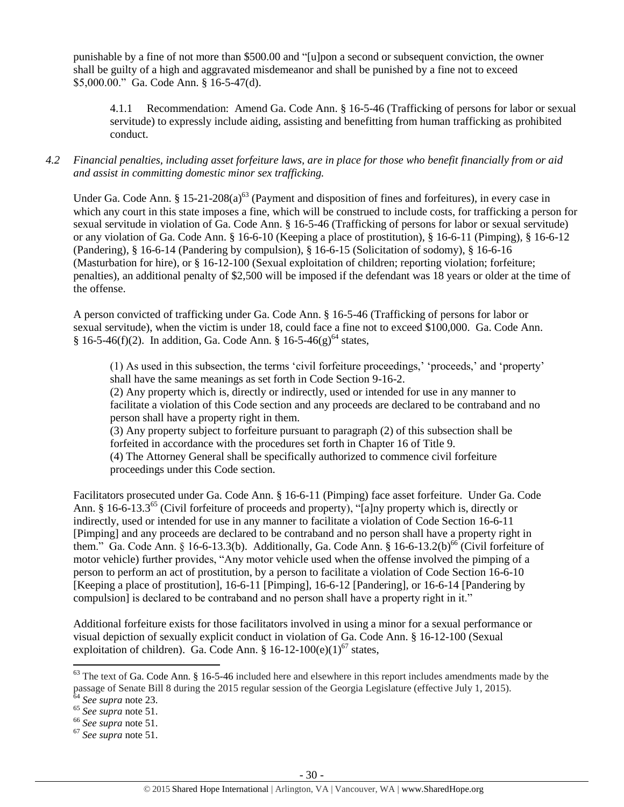punishable by a fine of not more than \$500.00 and "[u]pon a second or subsequent conviction, the owner shall be guilty of a high and aggravated misdemeanor and shall be punished by a fine not to exceed \$5,000.00." Ga. Code Ann. § 16-5-47(d).

4.1.1 Recommendation: Amend Ga. Code Ann. § 16-5-46 (Trafficking of persons for labor or sexual servitude) to expressly include aiding, assisting and benefitting from human trafficking as prohibited conduct.

# *4.2 Financial penalties, including asset forfeiture laws, are in place for those who benefit financially from or aid and assist in committing domestic minor sex trafficking.*

Under Ga. Code Ann. § 15-21-208(a)<sup>63</sup> (Payment and disposition of fines and forfeitures), in every case in which any court in this state imposes a fine, which will be construed to include costs, for trafficking a person for sexual servitude in violation of Ga. Code Ann. § 16-5-46 (Trafficking of persons for labor or sexual servitude) or any violation of Ga. Code Ann. § 16-6-10 (Keeping a place of prostitution), § 16-6-11 (Pimping), § 16-6-12 (Pandering), § 16-6-14 (Pandering by compulsion), § 16-6-15 (Solicitation of sodomy), § 16-6-16 (Masturbation for hire), or § 16-12-100 (Sexual exploitation of children; reporting violation; forfeiture; penalties), an additional penalty of \$2,500 will be imposed if the defendant was 18 years or older at the time of the offense.

A person convicted of trafficking under Ga. Code Ann. § 16-5-46 (Trafficking of persons for labor or sexual servitude), when the victim is under 18, could face a fine not to exceed \$100,000. Ga. Code Ann.  $§ 16-5-46(f)(2)$ . In addition, Ga. Code Ann. § 16-5-46(g)<sup>64</sup> states,

(1) As used in this subsection, the terms 'civil forfeiture proceedings,' 'proceeds,' and 'property' shall have the same meanings as set forth in Code Section 9-16-2.

(2) Any property which is, directly or indirectly, used or intended for use in any manner to facilitate a violation of this Code section and any proceeds are declared to be contraband and no person shall have a property right in them.

(3) Any property subject to forfeiture pursuant to paragraph (2) of this subsection shall be forfeited in accordance with the procedures set forth in Chapter 16 of Title 9. (4) The Attorney General shall be specifically authorized to commence civil forfeiture proceedings under this Code section.

Facilitators prosecuted under Ga. Code Ann. § 16-6-11 (Pimping) face asset forfeiture. Under Ga. Code Ann. § 16-6-13.3<sup>65</sup> (Civil forfeiture of proceeds and property), "[a]ny property which is, directly or indirectly, used or intended for use in any manner to facilitate a violation of Code Section 16-6-11 [Pimping] and any proceeds are declared to be contraband and no person shall have a property right in them." Ga. Code Ann. § 16-6-13.3(b). Additionally, Ga. Code Ann. § 16-6-13.2(b)<sup>66</sup> (Civil forfeiture of motor vehicle) further provides, "Any motor vehicle used when the offense involved the pimping of a person to perform an act of prostitution, by a person to facilitate a violation of Code Section 16-6-10 [Keeping a place of prostitution], 16-6-11 [Pimping], 16-6-12 [Pandering], or 16-6-14 [Pandering by compulsion] is declared to be contraband and no person shall have a property right in it."

Additional forfeiture exists for those facilitators involved in using a minor for a sexual performance or visual depiction of sexually explicit conduct in violation of Ga. Code Ann. § 16-12-100 (Sexual exploitation of children). Ga. Code Ann. § 16-12-100(e)(1)<sup>67</sup> states,

 $\overline{a}$ 

 $63$  The text of Ga. Code Ann. § 16-5-46 included here and elsewhere in this report includes amendments made by the passage of Senate Bill 8 during the 2015 regular session of the Georgia Legislature (effective July 1, 2015).

<sup>64</sup> *See supra* note [23.](#page-13-0)

<sup>65</sup> *See supra* note [51.](#page-23-0)

<sup>66</sup> *See supra* note [51.](#page-23-0)

<sup>67</sup> *See supra* note [51.](#page-23-0)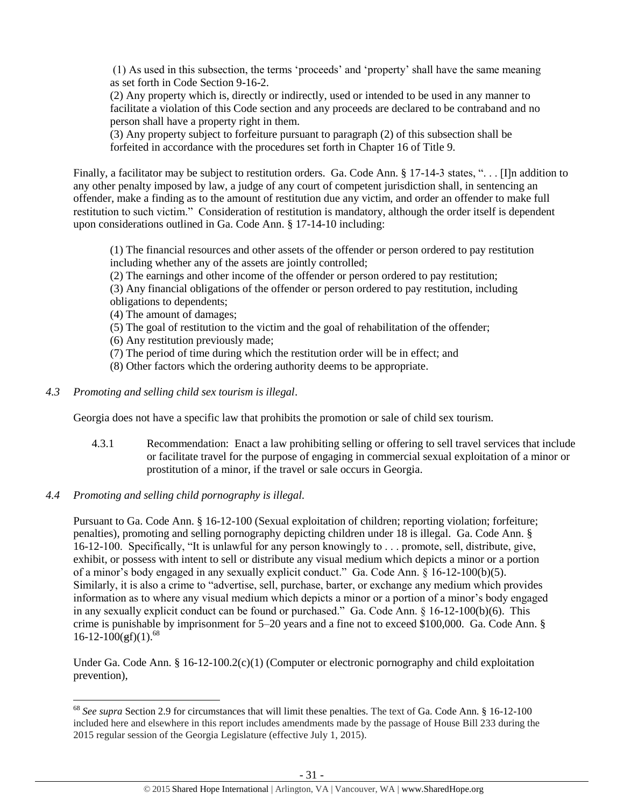(1) As used in this subsection, the terms 'proceeds' and 'property' shall have the same meaning as set forth in Code Section 9-16-2.

(2) Any property which is, directly or indirectly, used or intended to be used in any manner to facilitate a violation of this Code section and any proceeds are declared to be contraband and no person shall have a property right in them.

(3) Any property subject to forfeiture pursuant to paragraph (2) of this subsection shall be forfeited in accordance with the procedures set forth in Chapter 16 of Title 9.

Finally, a facilitator may be subject to restitution orders. Ga. Code Ann. § 17-14-3 states, "... [I]n addition to any other penalty imposed by law, a judge of any court of competent jurisdiction shall, in sentencing an offender, make a finding as to the amount of restitution due any victim, and order an offender to make full restitution to such victim." Consideration of restitution is mandatory, although the order itself is dependent upon considerations outlined in Ga. Code Ann. § 17-14-10 including:

(1) The financial resources and other assets of the offender or person ordered to pay restitution including whether any of the assets are jointly controlled;

(2) The earnings and other income of the offender or person ordered to pay restitution;

(3) Any financial obligations of the offender or person ordered to pay restitution, including obligations to dependents;

(4) The amount of damages;

- (5) The goal of restitution to the victim and the goal of rehabilitation of the offender;
- (6) Any restitution previously made;
- (7) The period of time during which the restitution order will be in effect; and
- (8) Other factors which the ordering authority deems to be appropriate.
- *4.3 Promoting and selling child sex tourism is illegal*.

Georgia does not have a specific law that prohibits the promotion or sale of child sex tourism.

- 4.3.1 Recommendation: Enact a law prohibiting selling or offering to sell travel services that include or facilitate travel for the purpose of engaging in commercial sexual exploitation of a minor or prostitution of a minor, if the travel or sale occurs in Georgia.
- *4.4 Promoting and selling child pornography is illegal.*

Pursuant to Ga. Code Ann. § 16-12-100 (Sexual exploitation of children; reporting violation; forfeiture; penalties), promoting and selling pornography depicting children under 18 is illegal. Ga. Code Ann. § 16-12-100. Specifically, "It is unlawful for any person knowingly to . . . promote, sell, distribute, give, exhibit, or possess with intent to sell or distribute any visual medium which depicts a minor or a portion of a minor's body engaged in any sexually explicit conduct." Ga. Code Ann. § 16-12-100(b)(5). Similarly, it is also a crime to "advertise, sell, purchase, barter, or exchange any medium which provides information as to where any visual medium which depicts a minor or a portion of a minor's body engaged in any sexually explicit conduct can be found or purchased." Ga. Code Ann. § 16-12-100(b)(6). This crime is punishable by imprisonment for 5–20 years and a fine not to exceed \$100,000. Ga. Code Ann. §  $16 - 12 - 100(gf)(1)^{68}$ 

Under Ga. Code Ann. § 16-12-100.2(c)(1) (Computer or electronic pornography and child exploitation prevention),

l <sup>68</sup> *See supra* Section 2.9 for circumstances that will limit these penalties. The text of Ga. Code Ann. § 16-12-100 included here and elsewhere in this report includes amendments made by the passage of House Bill 233 during the 2015 regular session of the Georgia Legislature (effective July 1, 2015).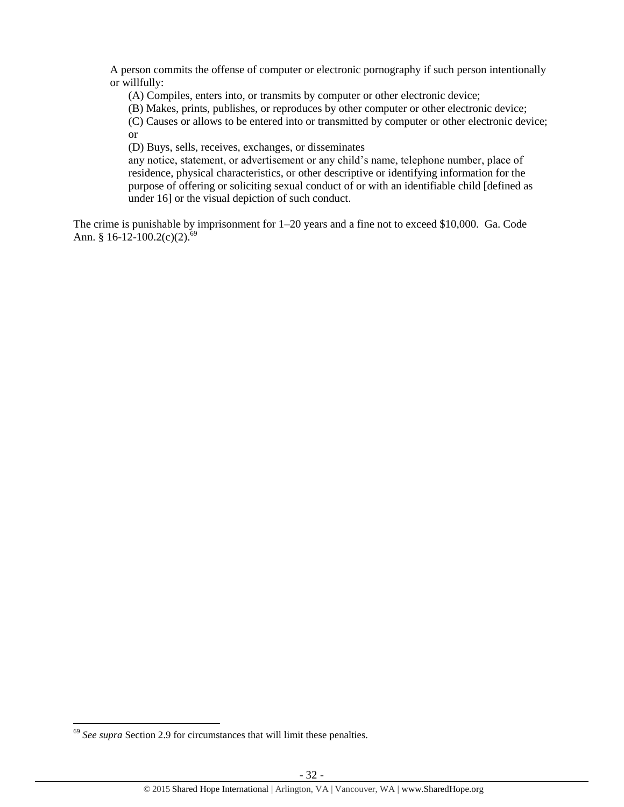A person commits the offense of computer or electronic pornography if such person intentionally or willfully:

(A) Compiles, enters into, or transmits by computer or other electronic device;

(B) Makes, prints, publishes, or reproduces by other computer or other electronic device;

(C) Causes or allows to be entered into or transmitted by computer or other electronic device;

or

(D) Buys, sells, receives, exchanges, or disseminates

any notice, statement, or advertisement or any child's name, telephone number, place of residence, physical characteristics, or other descriptive or identifying information for the purpose of offering or soliciting sexual conduct of or with an identifiable child [defined as under 16] or the visual depiction of such conduct.

The crime is punishable by imprisonment for 1–20 years and a fine not to exceed \$10,000. Ga. Code Ann. § 16-12-100.2(c)(2).<sup>69</sup>

<sup>69</sup> *See supra* Section 2.9 for circumstances that will limit these penalties.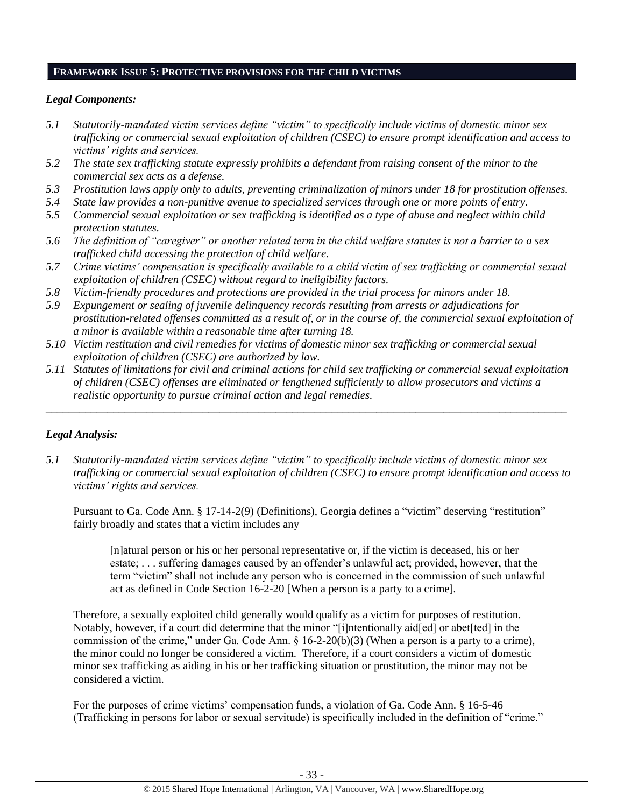#### **FRAMEWORK ISSUE 5: PROTECTIVE PROVISIONS FOR THE CHILD VICTIMS**

## *Legal Components:*

- *5.1 Statutorily-mandated victim services define "victim" to specifically include victims of domestic minor sex trafficking or commercial sexual exploitation of children (CSEC) to ensure prompt identification and access to victims' rights and services.*
- *5.2 The state sex trafficking statute expressly prohibits a defendant from raising consent of the minor to the commercial sex acts as a defense.*
- *5.3 Prostitution laws apply only to adults, preventing criminalization of minors under 18 for prostitution offenses.*
- *5.4 State law provides a non-punitive avenue to specialized services through one or more points of entry.*
- *5.5 Commercial sexual exploitation or sex trafficking is identified as a type of abuse and neglect within child protection statutes.*
- *5.6 The definition of "caregiver" or another related term in the child welfare statutes is not a barrier to a sex trafficked child accessing the protection of child welfare.*
- *5.7 Crime victims' compensation is specifically available to a child victim of sex trafficking or commercial sexual exploitation of children (CSEC) without regard to ineligibility factors.*
- *5.8 Victim-friendly procedures and protections are provided in the trial process for minors under 18.*
- *5.9 Expungement or sealing of juvenile delinquency records resulting from arrests or adjudications for prostitution-related offenses committed as a result of, or in the course of, the commercial sexual exploitation of a minor is available within a reasonable time after turning 18.*
- *5.10 Victim restitution and civil remedies for victims of domestic minor sex trafficking or commercial sexual exploitation of children (CSEC) are authorized by law.*
- *5.11 Statutes of limitations for civil and criminal actions for child sex trafficking or commercial sexual exploitation of children (CSEC) offenses are eliminated or lengthened sufficiently to allow prosecutors and victims a realistic opportunity to pursue criminal action and legal remedies.*

*\_\_\_\_\_\_\_\_\_\_\_\_\_\_\_\_\_\_\_\_\_\_\_\_\_\_\_\_\_\_\_\_\_\_\_\_\_\_\_\_\_\_\_\_\_\_\_\_\_\_\_\_\_\_\_\_\_\_\_\_\_\_\_\_\_\_\_\_\_\_\_\_\_\_\_\_\_\_\_\_\_\_\_\_\_\_\_\_\_\_\_\_\_*

# *Legal Analysis:*

*5.1 Statutorily-mandated victim services define "victim" to specifically include victims of domestic minor sex trafficking or commercial sexual exploitation of children (CSEC) to ensure prompt identification and access to victims' rights and services.*

Pursuant to Ga. Code Ann. § 17-14-2(9) (Definitions), Georgia defines a "victim" deserving "restitution" fairly broadly and states that a victim includes any

[n]atural person or his or her personal representative or, if the victim is deceased, his or her estate; . . . suffering damages caused by an offender's unlawful act; provided, however, that the term "victim" shall not include any person who is concerned in the commission of such unlawful act as defined in Code Section 16-2-20 [When a person is a party to a crime]*.*

Therefore, a sexually exploited child generally would qualify as a victim for purposes of restitution. Notably, however, if a court did determine that the minor "[i]ntentionally aid[ed] or abet[ted] in the commission of the crime," under Ga. Code Ann. § 16-2-20(b)(3) (When a person is a party to a crime), the minor could no longer be considered a victim. Therefore, if a court considers a victim of domestic minor sex trafficking as aiding in his or her trafficking situation or prostitution, the minor may not be considered a victim.

For the purposes of crime victims' compensation funds, a violation of Ga. Code Ann. § 16-5-46 (Trafficking in persons for labor or sexual servitude) is specifically included in the definition of "crime."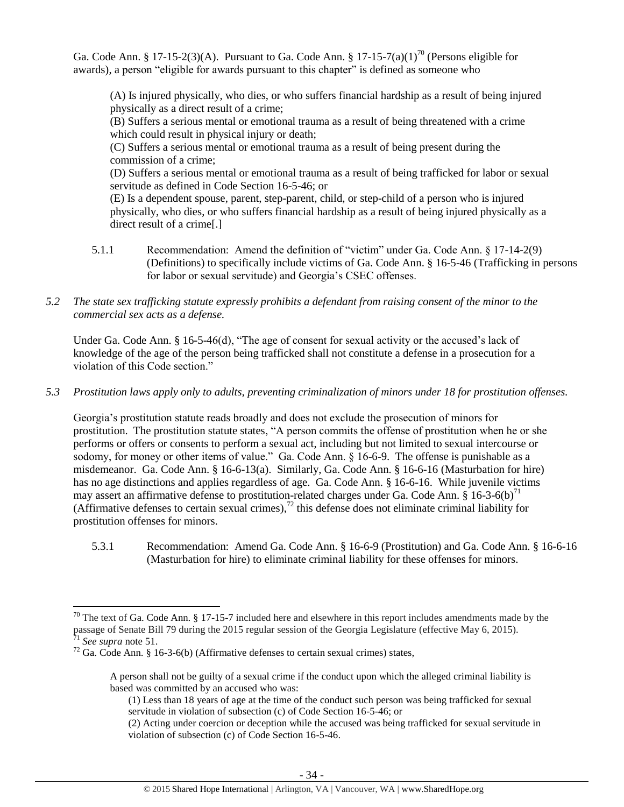Ga. Code Ann. § 17-15-2(3)(A). Pursuant to Ga. Code Ann. § 17-15-7(a)(1)<sup>70</sup> (Persons eligible for awards), a person "eligible for awards pursuant to this chapter" is defined as someone who

<span id="page-33-0"></span>(A) Is injured physically, who dies, or who suffers financial hardship as a result of being injured physically as a direct result of a crime;

(B) Suffers a serious mental or emotional trauma as a result of being threatened with a crime which could result in physical injury or death;

(C) Suffers a serious mental or emotional trauma as a result of being present during the commission of a crime;

(D) Suffers a serious mental or emotional trauma as a result of being trafficked for labor or sexual servitude as defined in Code Section 16-5-46; or

(E) Is a dependent spouse, parent, step-parent, child, or step-child of a person who is injured physically, who dies, or who suffers financial hardship as a result of being injured physically as a direct result of a crime[.]

- 5.1.1 Recommendation: Amend the definition of "victim" under Ga. Code Ann. § 17-14-2(9) (Definitions) to specifically include victims of Ga. Code Ann. § 16-5-46 (Trafficking in persons for labor or sexual servitude) and Georgia's CSEC offenses.
- *5.2 The state sex trafficking statute expressly prohibits a defendant from raising consent of the minor to the commercial sex acts as a defense.*

Under Ga. Code Ann. § 16-5-46(d), "The age of consent for sexual activity or the accused's lack of knowledge of the age of the person being trafficked shall not constitute a defense in a prosecution for a violation of this Code section."

*5.3 Prostitution laws apply only to adults, preventing criminalization of minors under 18 for prostitution offenses.*

Georgia's prostitution statute reads broadly and does not exclude the prosecution of minors for prostitution. The prostitution statute states, "A person commits the offense of prostitution when he or she performs or offers or consents to perform a sexual act, including but not limited to sexual intercourse or sodomy, for money or other items of value." Ga. Code Ann. § 16-6-9. The offense is punishable as a misdemeanor. Ga. Code Ann. § 16-6-13(a). Similarly, Ga. Code Ann. § 16-6-16 (Masturbation for hire) has no age distinctions and applies regardless of age. Ga. Code Ann. § 16-6-16. While juvenile victims may assert an affirmative defense to prostitution-related charges under Ga. Code Ann.  $\S 16$ -3-6(b)<sup>71</sup> (Affirmative defenses to certain sexual crimes),<sup>72</sup> this defense does not eliminate criminal liability for prostitution offenses for minors.

5.3.1 Recommendation: Amend Ga. Code Ann. § 16-6-9 (Prostitution) and Ga. Code Ann. § 16-6-16 (Masturbation for hire) to eliminate criminal liability for these offenses for minors.

 $70$  The text of Ga. Code Ann. § 17-15-7 included here and elsewhere in this report includes amendments made by the passage of Senate Bill 79 during the 2015 regular session of the Georgia Legislature (effective May 6, 2015). <sup>71</sup> *See supra* note [51.](#page-23-0)

<sup>&</sup>lt;sup>72</sup> Ga. Code Ann. § 16-3-6(b) (Affirmative defenses to certain sexual crimes) states,

A person shall not be guilty of a sexual crime if the conduct upon which the alleged criminal liability is based was committed by an accused who was:

<sup>(1)</sup> Less than 18 years of age at the time of the conduct such person was being trafficked for sexual servitude in violation of subsection (c) of Code Section 16-5-46; or

<sup>(2)</sup> Acting under coercion or deception while the accused was being trafficked for sexual servitude in violation of subsection (c) of Code Section 16-5-46.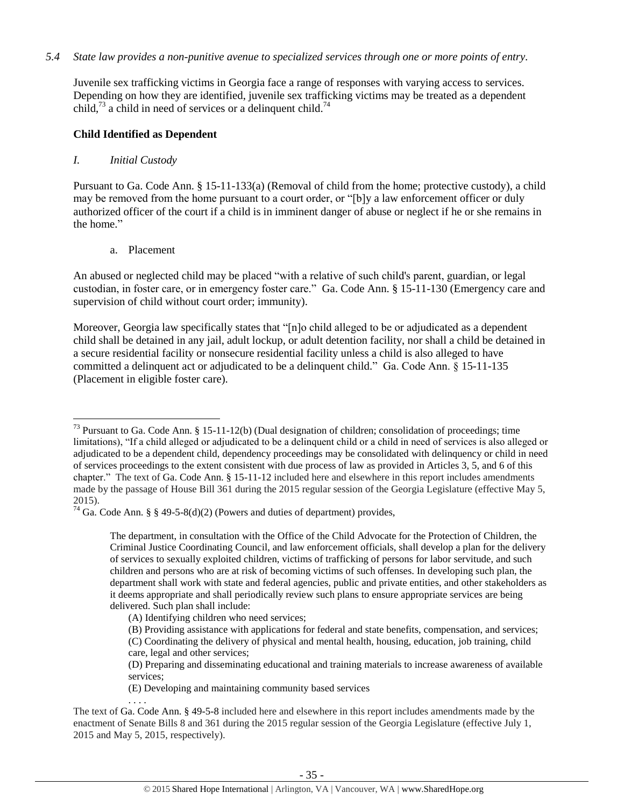## *5.4 State law provides a non-punitive avenue to specialized services through one or more points of entry.*

Juvenile sex trafficking victims in Georgia face a range of responses with varying access to services. Depending on how they are identified, juvenile sex trafficking victims may be treated as a dependent child,<sup>73</sup> a child in need of services or a delinquent child.<sup>74</sup>

## **Child Identified as Dependent**

#### *I. Initial Custody*

Pursuant to Ga. Code Ann. § 15-11-133(a) (Removal of child from the home; protective custody), a child may be removed from the home pursuant to a court order, or "[b]y a law enforcement officer or duly authorized officer of the court if a child is in imminent danger of abuse or neglect if he or she remains in the home."

a. Placement

An abused or neglected child may be placed "with a relative of such child's parent, guardian, or legal custodian, in foster care, or in emergency foster care." Ga. Code Ann. § 15-11-130 (Emergency care and supervision of child without court order; immunity).

Moreover, Georgia law specifically states that "[n]o child alleged to be or adjudicated as a dependent child shall be detained in any jail, adult lockup, or adult detention facility, nor shall a child be detained in a secure residential facility or nonsecure residential facility unless a child is also alleged to have committed a delinquent act or adjudicated to be a delinquent child." Ga. Code Ann. § 15-11-135 (Placement in eligible foster care).

. . . .

 $\overline{a}$ <sup>73</sup> Pursuant to Ga. Code Ann. § 15-11-12(b) (Dual designation of children; consolidation of proceedings; time limitations), "If a child alleged or adjudicated to be a delinquent child or a child in need of services is also alleged or adjudicated to be a dependent child, dependency proceedings may be consolidated with delinquency or child in need of services proceedings to the extent consistent with due process of law as provided in Articles 3, 5, and 6 of this chapter." The text of Ga. Code Ann. § 15-11-12 included here and elsewhere in this report includes amendments made by the passage of House Bill 361 during the 2015 regular session of the Georgia Legislature (effective May 5, 2015).

<sup>&</sup>lt;sup>74</sup> Ga. Code Ann. § § 49-5-8(d)(2) (Powers and duties of department) provides,

The department, in consultation with the Office of the Child Advocate for the Protection of Children, the Criminal Justice Coordinating Council, and law enforcement officials, shall develop a plan for the delivery of services to sexually exploited children, victims of trafficking of persons for labor servitude, and such children and persons who are at risk of becoming victims of such offenses. In developing such plan, the department shall work with state and federal agencies, public and private entities, and other stakeholders as it deems appropriate and shall periodically review such plans to ensure appropriate services are being delivered. Such plan shall include:

<sup>(</sup>A) Identifying children who need services;

<sup>(</sup>B) Providing assistance with applications for federal and state benefits, compensation, and services; (C) Coordinating the delivery of physical and mental health, housing, education, job training, child

care, legal and other services;

<sup>(</sup>D) Preparing and disseminating educational and training materials to increase awareness of available services;

<sup>(</sup>E) Developing and maintaining community based services

The text of Ga. Code Ann. § 49-5-8 included here and elsewhere in this report includes amendments made by the enactment of Senate Bills 8 and 361 during the 2015 regular session of the Georgia Legislature (effective July 1, 2015 and May 5, 2015, respectively).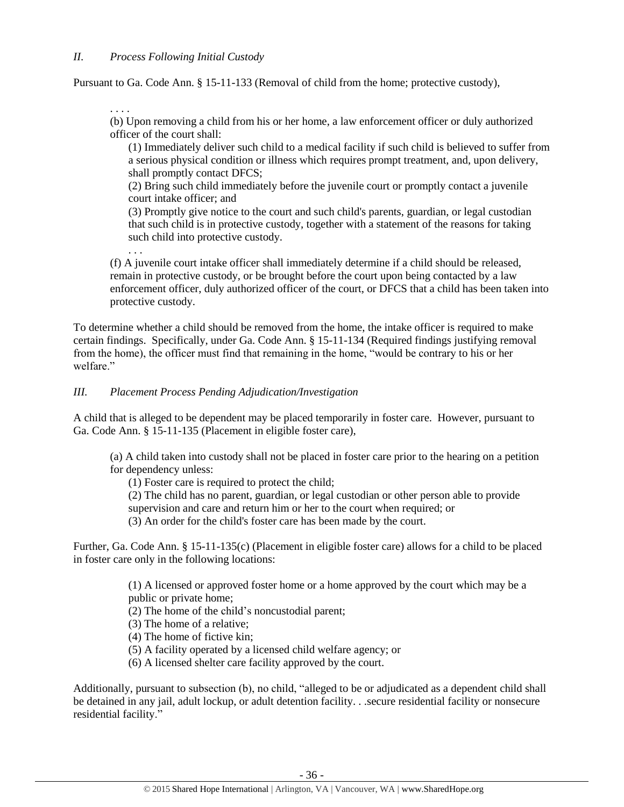Pursuant to Ga. Code Ann. § 15-11-133 (Removal of child from the home; protective custody),

. . . . (b) Upon removing a child from his or her home, a law enforcement officer or duly authorized officer of the court shall:

(1) Immediately deliver such child to a medical facility if such child is believed to suffer from a serious physical condition or illness which requires prompt treatment, and, upon delivery, shall promptly contact DFCS;

(2) Bring such child immediately before the juvenile court or promptly contact a juvenile court intake officer; and

(3) Promptly give notice to the court and such child's parents, guardian, or legal custodian that such child is in protective custody, together with a statement of the reasons for taking such child into protective custody.

. . . (f) A juvenile court intake officer shall immediately determine if a child should be released, remain in protective custody, or be brought before the court upon being contacted by a law enforcement officer, duly authorized officer of the court, or DFCS that a child has been taken into protective custody.

To determine whether a child should be removed from the home, the intake officer is required to make certain findings. Specifically, under Ga. Code Ann. § 15-11-134 (Required findings justifying removal from the home), the officer must find that remaining in the home, "would be contrary to his or her welfare."

# *III. Placement Process Pending Adjudication/Investigation*

A child that is alleged to be dependent may be placed temporarily in foster care. However, pursuant to Ga. Code Ann. § 15-11-135 (Placement in eligible foster care),

(a) A child taken into custody shall not be placed in foster care prior to the hearing on a petition for dependency unless:

(1) Foster care is required to protect the child;

(2) The child has no parent, guardian, or legal custodian or other person able to provide supervision and care and return him or her to the court when required; or

(3) An order for the child's foster care has been made by the court.

Further, Ga. Code Ann. § 15-11-135(c) (Placement in eligible foster care) allows for a child to be placed in foster care only in the following locations:

> (1) A licensed or approved foster home or a home approved by the court which may be a public or private home;

(2) The home of the child's noncustodial parent;

- (3) The home of a relative;
- (4) The home of fictive kin;
- (5) A facility operated by a licensed child welfare agency; or
- (6) A licensed shelter care facility approved by the court.

Additionally, pursuant to subsection (b), no child, "alleged to be or adjudicated as a dependent child shall be detained in any jail, adult lockup, or adult detention facility. . .secure residential facility or nonsecure residential facility."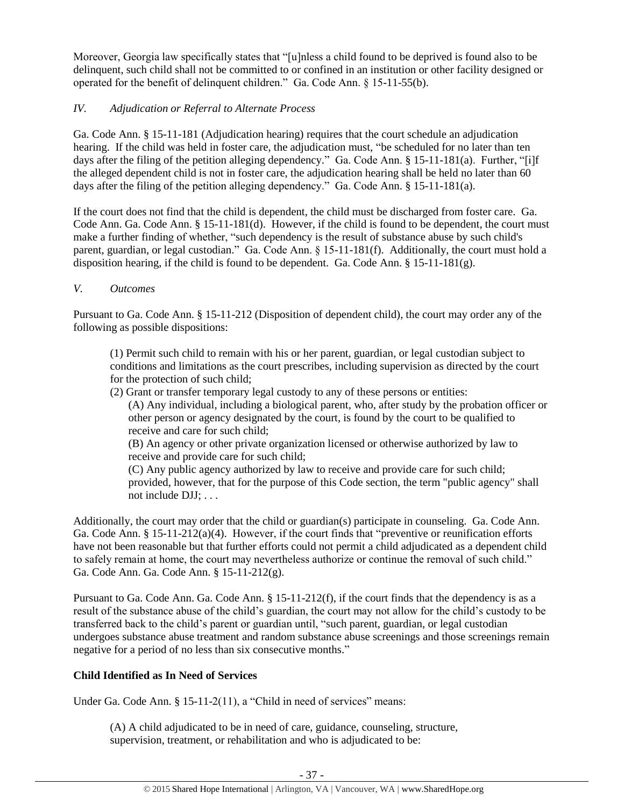Moreover, Georgia law specifically states that "[u]nless a child found to be deprived is found also to be delinquent, such child shall not be committed to or confined in an institution or other facility designed or operated for the benefit of delinquent children." Ga. Code Ann. § 15-11-55(b).

# *IV. Adjudication or Referral to Alternate Process*

Ga. Code Ann. § 15-11-181 (Adjudication hearing) requires that the court schedule an adjudication hearing. If the child was held in foster care, the adjudication must, "be scheduled for no later than ten days after the filing of the petition alleging dependency." Ga. Code Ann. § 15-11-181(a). Further, "[i]f the alleged dependent child is not in foster care, the adjudication hearing shall be held no later than 60 days after the filing of the petition alleging dependency." Ga. Code Ann. § 15-11-181(a).

If the court does not find that the child is dependent, the child must be discharged from foster care. Ga. Code Ann. Ga. Code Ann. § 15-11-181(d). However, if the child is found to be dependent, the court must make a further finding of whether, "such dependency is the result of substance abuse by such child's parent, guardian, or legal custodian." Ga. Code Ann. § 15-11-181(f). Additionally, the court must hold a disposition hearing, if the child is found to be dependent. Ga. Code Ann.  $\S 15{\text -}11{\text -}181(g)$ .

# *V. Outcomes*

Pursuant to Ga. Code Ann. § 15-11-212 (Disposition of dependent child), the court may order any of the following as possible dispositions:

(1) Permit such child to remain with his or her parent, guardian, or legal custodian subject to conditions and limitations as the court prescribes, including supervision as directed by the court for the protection of such child;

(2) Grant or transfer temporary legal custody to any of these persons or entities:

(A) Any individual, including a biological parent, who, after study by the probation officer or other person or agency designated by the court, is found by the court to be qualified to receive and care for such child;

(B) An agency or other private organization licensed or otherwise authorized by law to receive and provide care for such child;

(C) Any public agency authorized by law to receive and provide care for such child; provided, however, that for the purpose of this Code section, the term "public agency" shall not include DJJ; . . .

Additionally, the court may order that the child or guardian(s) participate in counseling. Ga. Code Ann. Ga. Code Ann. § 15-11-212(a)(4). However, if the court finds that "preventive or reunification efforts have not been reasonable but that further efforts could not permit a child adjudicated as a dependent child to safely remain at home, the court may nevertheless authorize or continue the removal of such child." Ga. Code Ann. Ga. Code Ann. § 15-11-212(g).

Pursuant to Ga. Code Ann. Ga. Code Ann. § 15-11-212(f), if the court finds that the dependency is as a result of the substance abuse of the child's guardian, the court may not allow for the child's custody to be transferred back to the child's parent or guardian until, "such parent, guardian, or legal custodian undergoes substance abuse treatment and random substance abuse screenings and those screenings remain negative for a period of no less than six consecutive months."

# **Child Identified as In Need of Services**

Under Ga. Code Ann. § 15-11-2(11), a "Child in need of services" means:

(A) A child adjudicated to be in need of care, guidance, counseling, structure, supervision, treatment, or rehabilitation and who is adjudicated to be: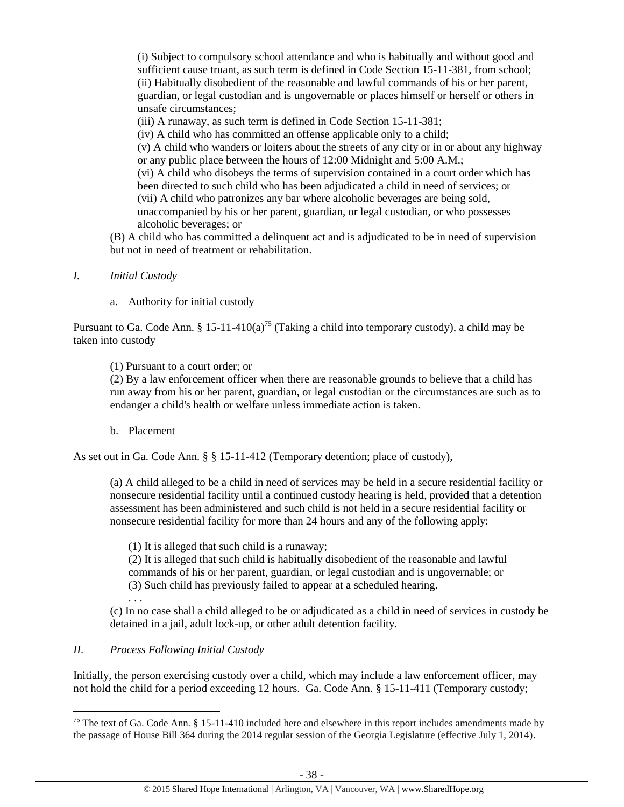(i) Subject to compulsory school attendance and who is habitually and without good and sufficient cause truant, as such term is defined in Code Section 15-11-381, from school; (ii) Habitually disobedient of the reasonable and lawful commands of his or her parent, guardian, or legal custodian and is ungovernable or places himself or herself or others in unsafe circumstances;

(iii) A runaway, as such term is defined in Code Section 15-11-381;

(iv) A child who has committed an offense applicable only to a child;

(v) A child who wanders or loiters about the streets of any city or in or about any highway or any public place between the hours of 12:00 Midnight and 5:00 A.M.; (vi) A child who disobeys the terms of supervision contained in a court order which has been directed to such child who has been adjudicated a child in need of services; or

(vii) A child who patronizes any bar where alcoholic beverages are being sold, unaccompanied by his or her parent, guardian, or legal custodian, or who possesses alcoholic beverages; or

(B) A child who has committed a delinquent act and is adjudicated to be in need of supervision but not in need of treatment or rehabilitation.

- *I. Initial Custody*
	- a. Authority for initial custody

Pursuant to Ga. Code Ann. § 15-11-410(a)<sup>75</sup> (Taking a child into temporary custody), a child may be taken into custody

(1) Pursuant to a court order; or

(2) By a law enforcement officer when there are reasonable grounds to believe that a child has run away from his or her parent, guardian, or legal custodian or the circumstances are such as to endanger a child's health or welfare unless immediate action is taken.

b. Placement

As set out in Ga. Code Ann. § § 15-11-412 (Temporary detention; place of custody),

(a) A child alleged to be a child in need of services may be held in a secure residential facility or nonsecure residential facility until a continued custody hearing is held, provided that a detention assessment has been administered and such child is not held in a secure residential facility or nonsecure residential facility for more than 24 hours and any of the following apply:

(1) It is alleged that such child is a runaway;

(2) It is alleged that such child is habitually disobedient of the reasonable and lawful commands of his or her parent, guardian, or legal custodian and is ungovernable; or (3) Such child has previously failed to appear at a scheduled hearing. . . .

(c) In no case shall a child alleged to be or adjudicated as a child in need of services in custody be detained in a jail, adult lock-up, or other adult detention facility.

# *II. Process Following Initial Custody*

 $\overline{\phantom{a}}$ 

Initially, the person exercising custody over a child, which may include a law enforcement officer, may not hold the child for a period exceeding 12 hours. Ga. Code Ann. § 15-11-411 (Temporary custody;

<sup>&</sup>lt;sup>75</sup> The text of Ga. Code Ann. § 15-11-410 included here and elsewhere in this report includes amendments made by the passage of House Bill 364 during the 2014 regular session of the Georgia Legislature (effective July 1, 2014).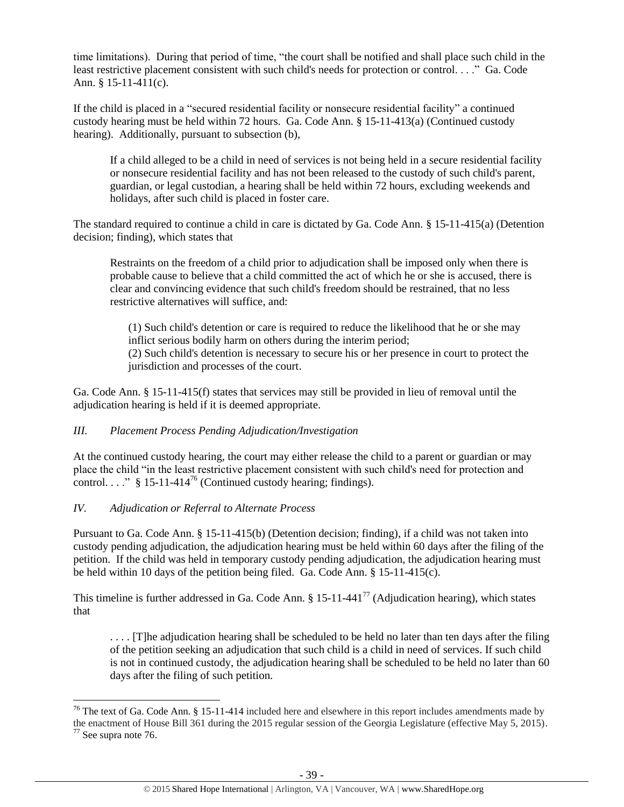time limitations). During that period of time, "the court shall be notified and shall place such child in the least restrictive placement consistent with such child's needs for protection or control. . . ." Ga. Code Ann. § 15-11-411(c).

If the child is placed in a "secured residential facility or nonsecure residential facility" a continued custody hearing must be held within 72 hours. Ga. Code Ann. § 15-11-413(a) (Continued custody hearing). Additionally, pursuant to subsection (b),

If a child alleged to be a child in need of services is not being held in a secure residential facility or nonsecure residential facility and has not been released to the custody of such child's parent, guardian, or legal custodian, a hearing shall be held within 72 hours, excluding weekends and holidays, after such child is placed in foster care.

The standard required to continue a child in care is dictated by Ga. Code Ann. § 15-11-415(a) (Detention decision; finding), which states that

Restraints on the freedom of a child prior to adjudication shall be imposed only when there is probable cause to believe that a child committed the act of which he or she is accused, there is clear and convincing evidence that such child's freedom should be restrained, that no less restrictive alternatives will suffice, and:

(1) Such child's detention or care is required to reduce the likelihood that he or she may inflict serious bodily harm on others during the interim period; (2) Such child's detention is necessary to secure his or her presence in court to protect the jurisdiction and processes of the court.

Ga. Code Ann. § 15-11-415(f) states that services may still be provided in lieu of removal until the adjudication hearing is held if it is deemed appropriate.

# *III. Placement Process Pending Adjudication/Investigation*

<span id="page-38-0"></span>At the continued custody hearing, the court may either release the child to a parent or guardian or may place the child "in the least restrictive placement consistent with such child's need for protection and control. . . ." § 15-11-414<sup>76</sup> (Continued custody hearing; findings).

# *IV. Adjudication or Referral to Alternate Process*

Pursuant to Ga. Code Ann. § 15-11-415(b) (Detention decision; finding), if a child was not taken into custody pending adjudication, the adjudication hearing must be held within 60 days after the filing of the petition. If the child was held in temporary custody pending adjudication, the adjudication hearing must be held within 10 days of the petition being filed. Ga. Code Ann. § 15-11-415(c).

This timeline is further addressed in Ga. Code Ann.  $\S 15{\text -}11{\text -}441^{77}$  (Adjudication hearing), which states that

. . . . [T]he adjudication hearing shall be scheduled to be held no later than ten days after the filing of the petition seeking an adjudication that such child is a child in need of services. If such child is not in continued custody, the adjudication hearing shall be scheduled to be held no later than 60 days after the filing of such petition.

l <sup>76</sup> The text of Ga. Code Ann. § 15-11-414 included here and elsewhere in this report includes amendments made by the enactment of House Bill 361 during the 2015 regular session of the Georgia Legislature (effective May 5, 2015). <sup>77</sup> See supra note [76.](#page-38-0)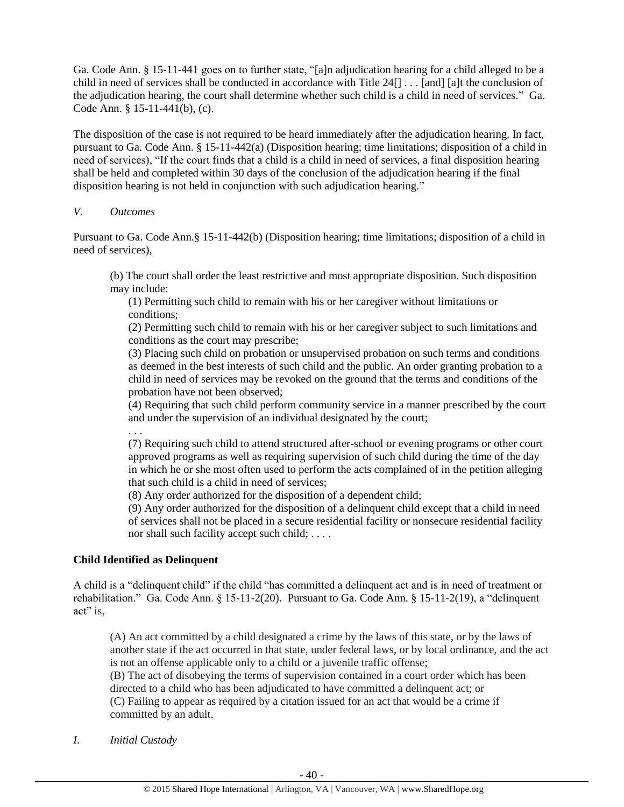Ga. Code Ann. § 15-11-441 goes on to further state, "[a]n adjudication hearing for a child alleged to be a child in need of services shall be conducted in accordance with Title 24[] . . . [and] [a]t the conclusion of the adjudication hearing, the court shall determine whether such child is a child in need of services." Ga. Code Ann. § 15-11-441(b), (c).

The disposition of the case is not required to be heard immediately after the adjudication hearing. In fact, pursuant to Ga. Code Ann. § 15-11-442(a) (Disposition hearing; time limitations; disposition of a child in need of services), "If the court finds that a child is a child in need of services, a final disposition hearing shall be held and completed within 30 days of the conclusion of the adjudication hearing if the final disposition hearing is not held in conjunction with such adjudication hearing."

### *V. Outcomes*

Pursuant to Ga. Code Ann.§ 15-11-442(b) (Disposition hearing; time limitations; disposition of a child in need of services),

(b) The court shall order the least restrictive and most appropriate disposition. Such disposition may include:

(1) Permitting such child to remain with his or her caregiver without limitations or conditions;

(2) Permitting such child to remain with his or her caregiver subject to such limitations and conditions as the court may prescribe;

(3) Placing such child on probation or unsupervised probation on such terms and conditions as deemed in the best interests of such child and the public. An order granting probation to a child in need of services may be revoked on the ground that the terms and conditions of the probation have not been observed;

(4) Requiring that such child perform community service in a manner prescribed by the court and under the supervision of an individual designated by the court;

. . .

(7) Requiring such child to attend structured after-school or evening programs or other court approved programs as well as requiring supervision of such child during the time of the day in which he or she most often used to perform the acts complained of in the petition alleging that such child is a child in need of services;

(8) Any order authorized for the disposition of a dependent child;

(9) Any order authorized for the disposition of a delinquent child except that a child in need of services shall not be placed in a secure residential facility or nonsecure residential facility nor shall such facility accept such child; . . . .

# **Child Identified as Delinquent**

A child is a "delinquent child" if the child "has committed a delinquent act and is in need of treatment or rehabilitation." Ga. Code Ann. § 15-11-2(20). Pursuant to Ga. Code Ann. § 15-11-2(19), a "delinquent act" is,

(A) An act committed by a child designated a crime by the laws of this state, or by the laws of another state if the act occurred in that state, under federal laws, or by local ordinance, and the act is not an offense applicable only to a child or a juvenile traffic offense;

(B) The act of disobeying the terms of supervision contained in a court order which has been directed to a child who has been adjudicated to have committed a delinquent act; or (C) Failing to appear as required by a citation issued for an act that would be a crime if committed by an adult.

*I. Initial Custody*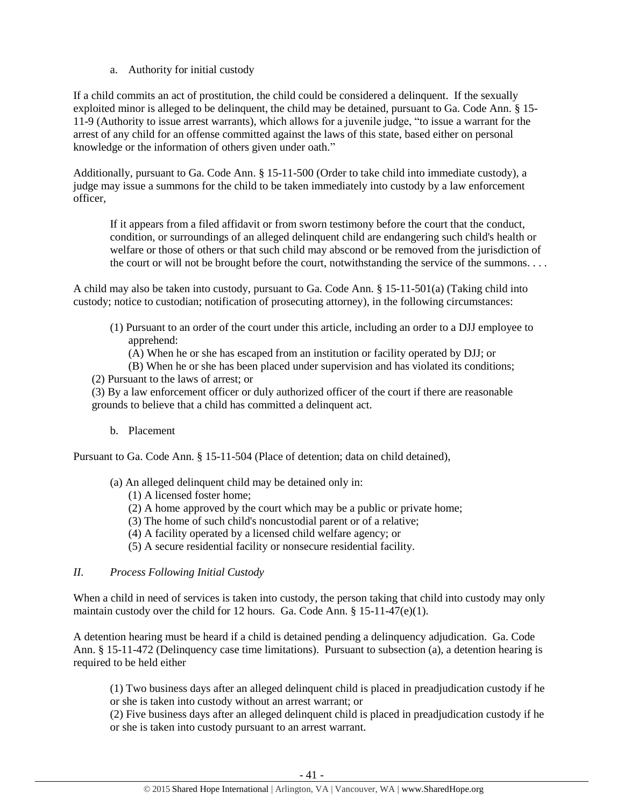a. Authority for initial custody

If a child commits an act of prostitution, the child could be considered a delinquent. If the sexually exploited minor is alleged to be delinquent, the child may be detained, pursuant to Ga. Code Ann. § 15- 11-9 (Authority to issue arrest warrants), which allows for a juvenile judge, "to issue a warrant for the arrest of any child for an offense committed against the laws of this state, based either on personal knowledge or the information of others given under oath."

Additionally, pursuant to Ga. Code Ann. § 15-11-500 (Order to take child into immediate custody), a judge may issue a summons for the child to be taken immediately into custody by a law enforcement officer,

If it appears from a filed affidavit or from sworn testimony before the court that the conduct, condition, or surroundings of an alleged delinquent child are endangering such child's health or welfare or those of others or that such child may abscond or be removed from the jurisdiction of the court or will not be brought before the court, notwithstanding the service of the summons. . . .

A child may also be taken into custody, pursuant to Ga. Code Ann. § 15-11-501(a) (Taking child into custody; notice to custodian; notification of prosecuting attorney), in the following circumstances:

- (1) Pursuant to an order of the court under this article, including an order to a DJJ employee to apprehend:
	- (A) When he or she has escaped from an institution or facility operated by DJJ; or
- (B) When he or she has been placed under supervision and has violated its conditions; (2) Pursuant to the laws of arrest; or
- (3) By a law enforcement officer or duly authorized officer of the court if there are reasonable grounds to believe that a child has committed a delinquent act.
	- b. Placement

Pursuant to Ga. Code Ann. § 15-11-504 (Place of detention; data on child detained),

- (a) An alleged delinquent child may be detained only in:
	- (1) A licensed foster home;
	- (2) A home approved by the court which may be a public or private home;
	- (3) The home of such child's noncustodial parent or of a relative;
	- (4) A facility operated by a licensed child welfare agency; or
	- (5) A secure residential facility or nonsecure residential facility.

# *II. Process Following Initial Custody*

When a child in need of services is taken into custody, the person taking that child into custody may only maintain custody over the child for 12 hours. Ga. Code Ann. § 15-11-47(e)(1).

A detention hearing must be heard if a child is detained pending a delinquency adjudication. Ga. Code Ann. § 15-11-472 (Delinquency case time limitations). Pursuant to subsection (a), a detention hearing is required to be held either

(1) Two business days after an alleged delinquent child is placed in preadjudication custody if he or she is taken into custody without an arrest warrant; or

(2) Five business days after an alleged delinquent child is placed in preadjudication custody if he or she is taken into custody pursuant to an arrest warrant.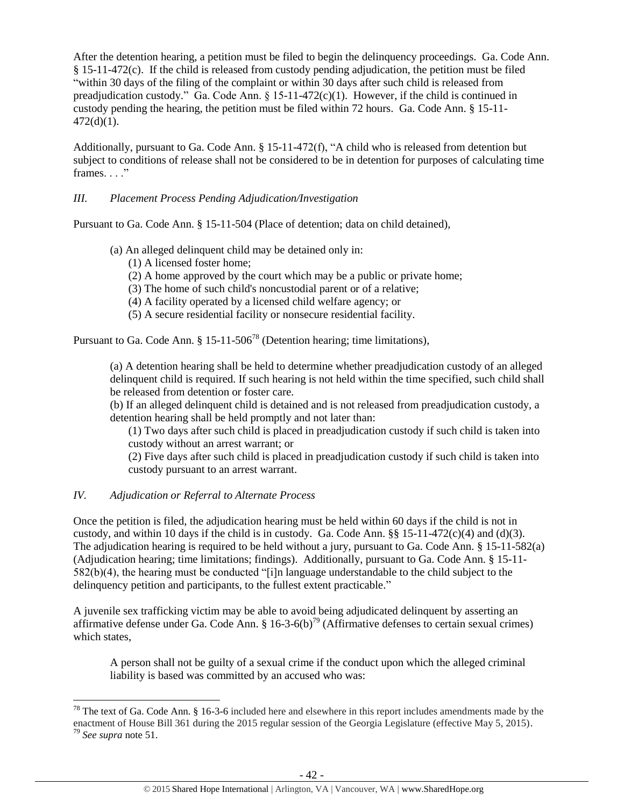After the detention hearing, a petition must be filed to begin the delinquency proceedings. Ga. Code Ann. § 15-11-472(c). If the child is released from custody pending adjudication, the petition must be filed "within 30 days of the filing of the complaint or within 30 days after such child is released from preadjudication custody." Ga. Code Ann. § 15-11-472(c)(1). However, if the child is continued in custody pending the hearing, the petition must be filed within 72 hours. Ga. Code Ann. § 15-11- 472(d)(1).

Additionally, pursuant to Ga. Code Ann. § 15-11-472(f), "A child who is released from detention but subject to conditions of release shall not be considered to be in detention for purposes of calculating time frames. . . ."

# *III. Placement Process Pending Adjudication/Investigation*

Pursuant to Ga. Code Ann. § 15-11-504 (Place of detention; data on child detained),

- (a) An alleged delinquent child may be detained only in:
	- (1) A licensed foster home;
	- (2) A home approved by the court which may be a public or private home;
	- (3) The home of such child's noncustodial parent or of a relative;
	- (4) A facility operated by a licensed child welfare agency; or
	- (5) A secure residential facility or nonsecure residential facility.

Pursuant to Ga. Code Ann.  $\S 15{\text -}11{\text -}506^{78}$  (Detention hearing; time limitations),

(a) A detention hearing shall be held to determine whether preadjudication custody of an alleged delinquent child is required. If such hearing is not held within the time specified, such child shall be released from detention or foster care.

(b) If an alleged delinquent child is detained and is not released from preadjudication custody, a detention hearing shall be held promptly and not later than:

(1) Two days after such child is placed in preadjudication custody if such child is taken into custody without an arrest warrant; or

(2) Five days after such child is placed in preadjudication custody if such child is taken into custody pursuant to an arrest warrant.

# *IV. Adjudication or Referral to Alternate Process*

Once the petition is filed, the adjudication hearing must be held within 60 days if the child is not in custody, and within 10 days if the child is in custody. Ga. Code Ann.  $\S$ § 15-11-472(c)(4) and (d)(3). The adjudication hearing is required to be held without a jury, pursuant to Ga. Code Ann. § 15-11-582(a) (Adjudication hearing; time limitations; findings). Additionally, pursuant to Ga. Code Ann. § 15-11- 582(b)(4), the hearing must be conducted "[i]n language understandable to the child subject to the delinquency petition and participants, to the fullest extent practicable."

A juvenile sex trafficking victim may be able to avoid being adjudicated delinquent by asserting an affirmative defense under Ga. Code Ann. §  $16-3-6(b)^{79}$  (Affirmative defenses to certain sexual crimes) which states,

A person shall not be guilty of a sexual crime if the conduct upon which the alleged criminal liability is based was committed by an accused who was:

l <sup>78</sup> The text of Ga. Code Ann. § 16-3-6 included here and elsewhere in this report includes amendments made by the enactment of House Bill 361 during the 2015 regular session of the Georgia Legislature (effective May 5, 2015). <sup>79</sup> *See supra* note [51.](#page-23-0)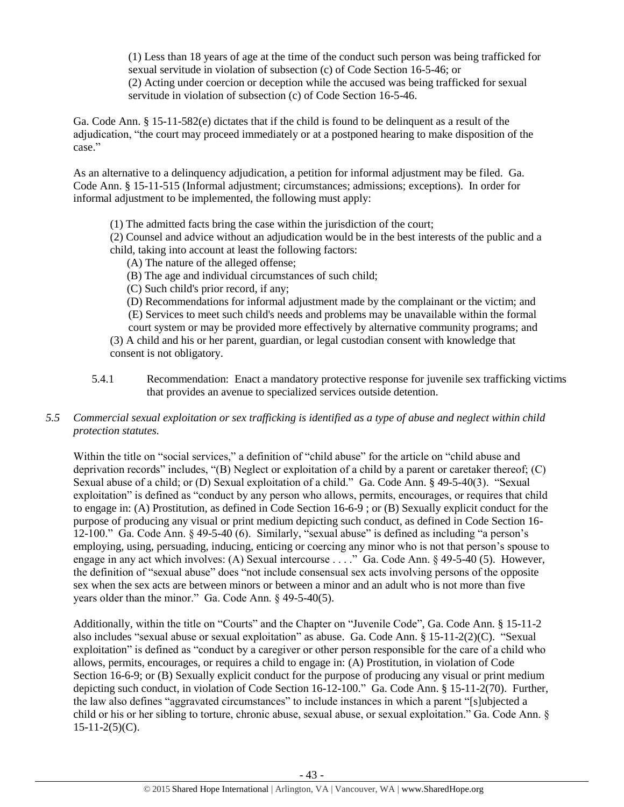(1) Less than 18 years of age at the time of the conduct such person was being trafficked for sexual servitude in violation of subsection (c) of Code Section 16-5-46; or (2) Acting under coercion or deception while the accused was being trafficked for sexual servitude in violation of subsection (c) of Code Section 16-5-46.

Ga. Code Ann. § 15-11-582(e) dictates that if the child is found to be delinquent as a result of the adjudication, "the court may proceed immediately or at a postponed hearing to make disposition of the case."

As an alternative to a delinquency adjudication, a petition for informal adjustment may be filed. Ga. Code Ann. § 15-11-515 (Informal adjustment; circumstances; admissions; exceptions). In order for informal adjustment to be implemented, the following must apply:

(1) The admitted facts bring the case within the jurisdiction of the court;

(2) Counsel and advice without an adjudication would be in the best interests of the public and a child, taking into account at least the following factors:

(A) The nature of the alleged offense;

(B) The age and individual circumstances of such child;

(C) Such child's prior record, if any;

 (D) Recommendations for informal adjustment made by the complainant or the victim; and (E) Services to meet such child's needs and problems may be unavailable within the formal court system or may be provided more effectively by alternative community programs; and (3) A child and his or her parent, guardian, or legal custodian consent with knowledge that

consent is not obligatory.

5.4.1 Recommendation: Enact a mandatory protective response for juvenile sex trafficking victims that provides an avenue to specialized services outside detention.

# *5.5 Commercial sexual exploitation or sex trafficking is identified as a type of abuse and neglect within child protection statutes.*

Within the title on "social services," a definition of "child abuse" for the article on "child abuse and deprivation records" includes, "(B) Neglect or exploitation of a child by a parent or caretaker thereof; (C) Sexual abuse of a child; or (D) Sexual exploitation of a child." Ga. Code Ann. § 49-5-40(3). "Sexual exploitation" is defined as "conduct by any person who allows, permits, encourages, or requires that child to engage in: (A) Prostitution, as defined in Code Section 16-6-9 ; or (B) Sexually explicit conduct for the purpose of producing any visual or print medium depicting such conduct, as defined in Code Section 16- 12-100." Ga. Code Ann. § 49-5-40 (6). Similarly, "sexual abuse" is defined as including "a person's employing, using, persuading, inducing, enticing or coercing any minor who is not that person's spouse to engage in any act which involves: (A) Sexual intercourse . . . ." Ga. Code Ann. § 49-5-40 (5). However, the definition of "sexual abuse" does "not include consensual sex acts involving persons of the opposite sex when the sex acts are between minors or between a minor and an adult who is not more than five years older than the minor." Ga. Code Ann. § 49-5-40(5).

Additionally, within the title on "Courts" and the Chapter on "Juvenile Code", Ga. Code Ann. § 15-11-2 also includes "sexual abuse or sexual exploitation" as abuse. Ga. Code Ann. § 15-11-2(2)(C). "Sexual exploitation" is defined as "conduct by a caregiver or other person responsible for the care of a child who allows, permits, encourages, or requires a child to engage in: (A) Prostitution, in violation of Code Section 16-6-9; or (B) Sexually explicit conduct for the purpose of producing any visual or print medium depicting such conduct, in violation of Code Section 16-12-100." Ga. Code Ann. § 15-11-2(70). Further, the law also defines "aggravated circumstances" to include instances in which a parent "[s]ubjected a child or his or her sibling to torture, chronic abuse, sexual abuse, or sexual exploitation." Ga. Code Ann. §  $15-11-2(5)(C)$ .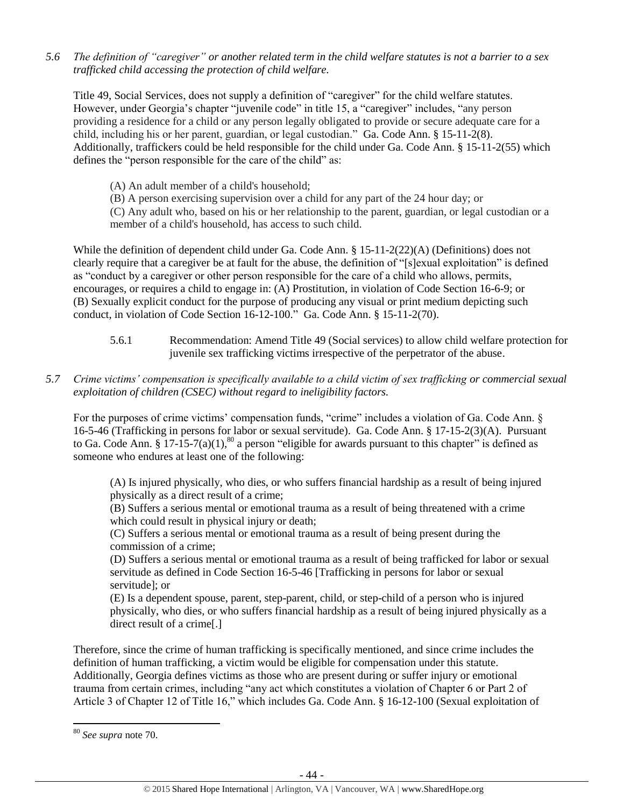*5.6 The definition of "caregiver" or another related term in the child welfare statutes is not a barrier to a sex trafficked child accessing the protection of child welfare.*

Title 49, Social Services, does not supply a definition of "caregiver" for the child welfare statutes. However, under Georgia's chapter "juvenile code" in title 15, a "caregiver" includes, "any person providing a residence for a child or any person legally obligated to provide or secure adequate care for a child, including his or her parent, guardian, or legal custodian." Ga. Code Ann. § 15-11-2(8). Additionally, traffickers could be held responsible for the child under Ga. Code Ann. § 15-11-2(55) which defines the "person responsible for the care of the child" as:

(A) An adult member of a child's household;

(B) A person exercising supervision over a child for any part of the 24 hour day; or

(C) Any adult who, based on his or her relationship to the parent, guardian, or legal custodian or a member of a child's household, has access to such child.

While the definition of dependent child under Ga. Code Ann. § 15-11-2(22)(A) (Definitions) does not clearly require that a caregiver be at fault for the abuse, the definition of "[s]exual exploitation" is defined as "conduct by a caregiver or other person responsible for the care of a child who allows, permits, encourages, or requires a child to engage in: (A) Prostitution, in violation of Code Section 16-6-9; or (B) Sexually explicit conduct for the purpose of producing any visual or print medium depicting such conduct, in violation of Code Section 16-12-100." Ga. Code Ann. § 15-11-2(70).

- 5.6.1 Recommendation: Amend Title 49 (Social services) to allow child welfare protection for juvenile sex trafficking victims irrespective of the perpetrator of the abuse.
- *5.7 Crime victims' compensation is specifically available to a child victim of sex trafficking or commercial sexual exploitation of children (CSEC) without regard to ineligibility factors.*

For the purposes of crime victims' compensation funds, "crime" includes a violation of Ga. Code Ann. § 16-5-46 (Trafficking in persons for labor or sexual servitude). Ga. Code Ann. § 17-15-2(3)(A). Pursuant to Ga. Code Ann. § 17-15-7(a)(1),<sup>80</sup> a person "eligible for awards pursuant to this chapter" is defined as someone who endures at least one of the following:

(A) Is injured physically, who dies, or who suffers financial hardship as a result of being injured physically as a direct result of a crime;

(B) Suffers a serious mental or emotional trauma as a result of being threatened with a crime which could result in physical injury or death;

(C) Suffers a serious mental or emotional trauma as a result of being present during the commission of a crime;

(D) Suffers a serious mental or emotional trauma as a result of being trafficked for labor or sexual servitude as defined in Code Section 16-5-46 [Trafficking in persons for labor or sexual servitude]; or

(E) Is a dependent spouse, parent, step-parent, child, or step-child of a person who is injured physically, who dies, or who suffers financial hardship as a result of being injured physically as a direct result of a crime[.]

Therefore, since the crime of human trafficking is specifically mentioned, and since crime includes the definition of human trafficking, a victim would be eligible for compensation under this statute. Additionally, Georgia defines victims as those who are present during or suffer injury or emotional trauma from certain crimes, including "any act which constitutes a violation of Chapter 6 or Part 2 of Article 3 of Chapter 12 of Title 16," which includes Ga. Code Ann. § 16-12-100 (Sexual exploitation of

<sup>80</sup> *See supra* note [70.](#page-33-0)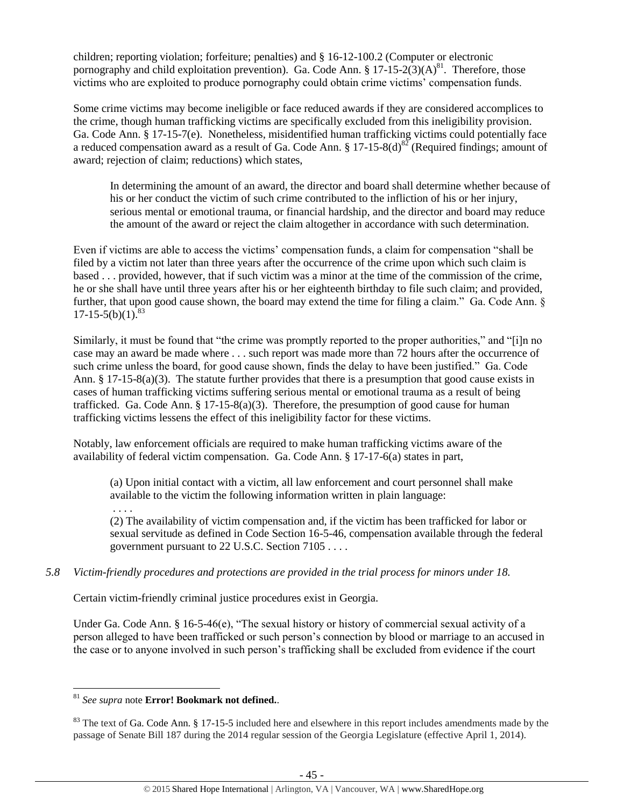children; reporting violation; forfeiture; penalties) and § 16-12-100.2 (Computer or electronic pornography and child exploitation prevention). Ga. Code Ann.  $\S 17-15-2(3)(A)^{81}$ . Therefore, those victims who are exploited to produce pornography could obtain crime victims' compensation funds.

Some crime victims may become ineligible or face reduced awards if they are considered accomplices to the crime, though human trafficking victims are specifically excluded from this ineligibility provision. Ga. Code Ann. § 17-15-7(e). Nonetheless, misidentified human trafficking victims could potentially face a reduced compensation award as a result of Ga. Code Ann. § 17-15-8(d)<sup>82</sup> (Required findings; amount of award; rejection of claim; reductions) which states,

In determining the amount of an award, the director and board shall determine whether because of his or her conduct the victim of such crime contributed to the infliction of his or her injury, serious mental or emotional trauma, or financial hardship, and the director and board may reduce the amount of the award or reject the claim altogether in accordance with such determination.

Even if victims are able to access the victims' compensation funds, a claim for compensation "shall be filed by a victim not later than three years after the occurrence of the crime upon which such claim is based . . . provided, however, that if such victim was a minor at the time of the commission of the crime, he or she shall have until three years after his or her eighteenth birthday to file such claim; and provided, further, that upon good cause shown, the board may extend the time for filing a claim." Ga. Code Ann. §  $17-15-5(b)(1)^{83}$ 

Similarly, it must be found that "the crime was promptly reported to the proper authorities," and "[i]n no case may an award be made where . . . such report was made more than 72 hours after the occurrence of such crime unless the board, for good cause shown, finds the delay to have been justified." Ga. Code Ann. § 17-15-8(a)(3). The statute further provides that there is a presumption that good cause exists in cases of human trafficking victims suffering serious mental or emotional trauma as a result of being trafficked. Ga. Code Ann. § 17-15-8(a)(3). Therefore, the presumption of good cause for human trafficking victims lessens the effect of this ineligibility factor for these victims.

Notably, law enforcement officials are required to make human trafficking victims aware of the availability of federal victim compensation. Ga. Code Ann. § 17-17-6(a) states in part,

(a) Upon initial contact with a victim, all law enforcement and court personnel shall make available to the victim the following information written in plain language:

. . . . (2) The availability of victim compensation and, if the victim has been trafficked for labor or sexual servitude as defined in Code Section 16-5-46, compensation available through the federal government pursuant to 22 U.S.C. Section 7105 . . . .

# *5.8 Victim-friendly procedures and protections are provided in the trial process for minors under 18.*

Certain victim-friendly criminal justice procedures exist in Georgia.

Under Ga. Code Ann. § 16-5-46(e), "The sexual history or history of commercial sexual activity of a person alleged to have been trafficked or such person's connection by blood or marriage to an accused in the case or to anyone involved in such person's trafficking shall be excluded from evidence if the court

 $\overline{\phantom{a}}$ <sup>81</sup> *See supra* note **Error! Bookmark not defined.**.

<sup>&</sup>lt;sup>83</sup> The text of Ga. Code Ann. § 17-15-5 included here and elsewhere in this report includes amendments made by the passage of Senate Bill 187 during the 2014 regular session of the Georgia Legislature (effective April 1, 2014).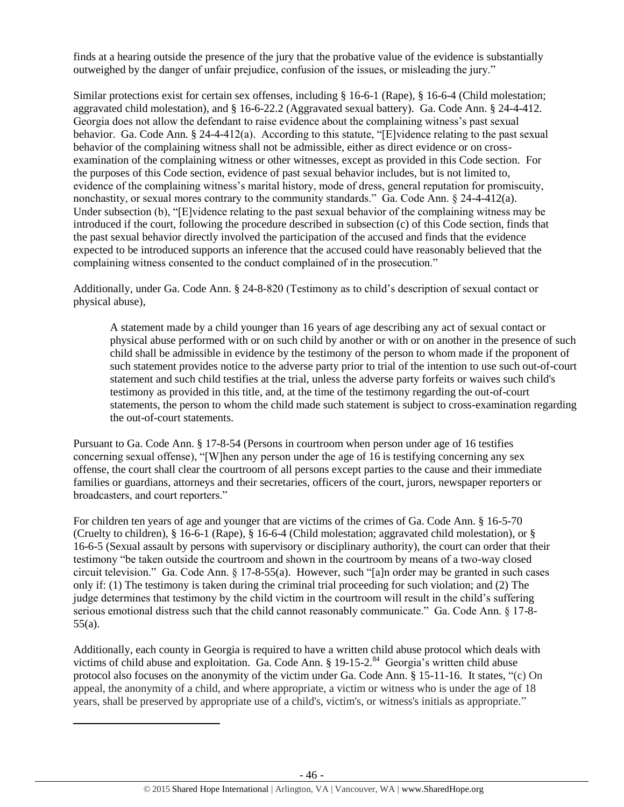finds at a hearing outside the presence of the jury that the probative value of the evidence is substantially outweighed by the danger of unfair prejudice, confusion of the issues, or misleading the jury."

Similar protections exist for certain sex offenses, including § 16-6-1 (Rape), § 16-6-4 (Child molestation; aggravated child molestation), and § 16-6-22.2 (Aggravated sexual battery). Ga. Code Ann. § 24-4-412. Georgia does not allow the defendant to raise evidence about the complaining witness's past sexual behavior. Ga. Code Ann. § 24-4-412(a). According to this statute, "[E]vidence relating to the past sexual behavior of the complaining witness shall not be admissible, either as direct evidence or on crossexamination of the complaining witness or other witnesses, except as provided in this Code section. For the purposes of this Code section, evidence of past sexual behavior includes, but is not limited to, evidence of the complaining witness's marital history, mode of dress, general reputation for promiscuity, nonchastity, or sexual mores contrary to the community standards." Ga. Code Ann. § 24-4-412(a). Under subsection (b), "[E]vidence relating to the past sexual behavior of the complaining witness may be introduced if the court, following the procedure described in subsection (c) of this Code section, finds that the past sexual behavior directly involved the participation of the accused and finds that the evidence expected to be introduced supports an inference that the accused could have reasonably believed that the complaining witness consented to the conduct complained of in the prosecution."

Additionally, under Ga. Code Ann. § 24-8-820 (Testimony as to child's description of sexual contact or physical abuse),

A statement made by a child younger than 16 years of age describing any act of sexual contact or physical abuse performed with or on such child by another or with or on another in the presence of such child shall be admissible in evidence by the testimony of the person to whom made if the proponent of such statement provides notice to the adverse party prior to trial of the intention to use such out-of-court statement and such child testifies at the trial, unless the adverse party forfeits or waives such child's testimony as provided in this title, and, at the time of the testimony regarding the out-of-court statements, the person to whom the child made such statement is subject to cross-examination regarding the out-of-court statements.

Pursuant to Ga. Code Ann. § 17-8-54 (Persons in courtroom when person under age of 16 testifies concerning sexual offense), "[W]hen any person under the age of 16 is testifying concerning any sex offense, the court shall clear the courtroom of all persons except parties to the cause and their immediate families or guardians, attorneys and their secretaries, officers of the court, jurors, newspaper reporters or broadcasters, and court reporters."

For children ten years of age and younger that are victims of the crimes of Ga. Code Ann. § 16-5-70 (Cruelty to children), § 16-6-1 (Rape), § 16-6-4 (Child molestation; aggravated child molestation), or § 16-6-5 (Sexual assault by persons with supervisory or disciplinary authority), the court can order that their testimony "be taken outside the courtroom and shown in the courtroom by means of a two-way closed circuit television." Ga. Code Ann. § 17-8-55(a). However, such "[a]n order may be granted in such cases only if: (1) The testimony is taken during the criminal trial proceeding for such violation; and (2) The judge determines that testimony by the child victim in the courtroom will result in the child's suffering serious emotional distress such that the child cannot reasonably communicate." Ga. Code Ann. § 17-8-55(a).

Additionally, each county in Georgia is required to have a written child abuse protocol which deals with victims of child abuse and exploitation. Ga. Code Ann. § 19-15-2.<sup>84</sup> Georgia's written child abuse protocol also focuses on the anonymity of the victim under Ga. Code Ann. § 15-11-16. It states, "(c) On appeal, the anonymity of a child, and where appropriate, a victim or witness who is under the age of 18 years, shall be preserved by appropriate use of a child's, victim's, or witness's initials as appropriate."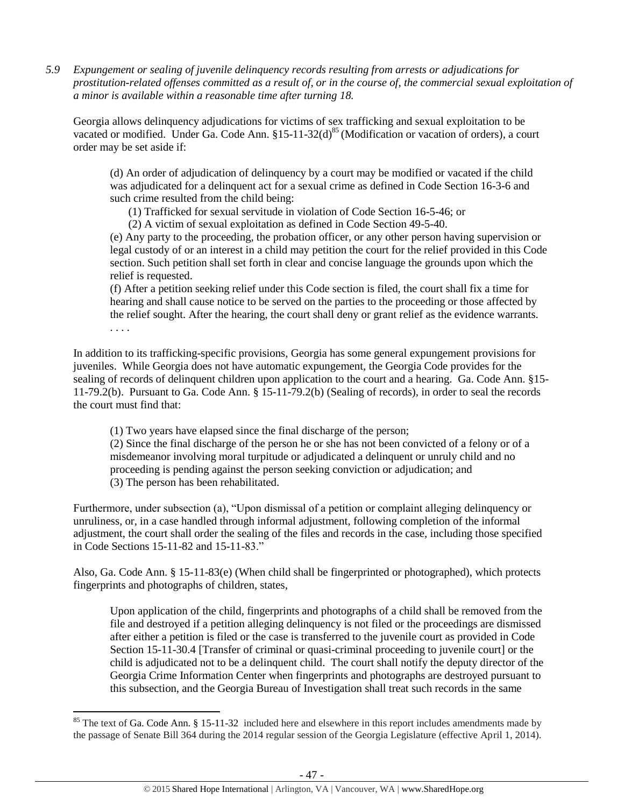*5.9 Expungement or sealing of juvenile delinquency records resulting from arrests or adjudications for prostitution-related offenses committed as a result of, or in the course of, the commercial sexual exploitation of a minor is available within a reasonable time after turning 18.*

Georgia allows delinquency adjudications for victims of sex trafficking and sexual exploitation to be vacated or modified. Under Ga. Code Ann.  $$15-11-32(d)<sup>85</sup>$  (Modification or vacation of orders), a court order may be set aside if:

(d) An order of adjudication of delinquency by a court may be modified or vacated if the child was adjudicated for a delinquent act for a sexual crime as defined in Code Section 16-3-6 and such crime resulted from the child being:

(1) Trafficked for sexual servitude in violation of Code Section 16-5-46; or

(2) A victim of sexual exploitation as defined in Code Section 49-5-40.

(e) Any party to the proceeding, the probation officer, or any other person having supervision or legal custody of or an interest in a child may petition the court for the relief provided in this Code section. Such petition shall set forth in clear and concise language the grounds upon which the relief is requested.

(f) After a petition seeking relief under this Code section is filed, the court shall fix a time for hearing and shall cause notice to be served on the parties to the proceeding or those affected by the relief sought. After the hearing, the court shall deny or grant relief as the evidence warrants. . . . .

In addition to its trafficking-specific provisions, Georgia has some general expungement provisions for juveniles. While Georgia does not have automatic expungement, the Georgia Code provides for the sealing of records of delinquent children upon application to the court and a hearing. Ga. Code Ann. §15- 11-79.2(b). Pursuant to Ga. Code Ann. § 15-11-79.2(b) (Sealing of records), in order to seal the records the court must find that:

(1) Two years have elapsed since the final discharge of the person;

(2) Since the final discharge of the person he or she has not been convicted of a felony or of a misdemeanor involving moral turpitude or adjudicated a delinquent or unruly child and no proceeding is pending against the person seeking conviction or adjudication; and (3) The person has been rehabilitated.

Furthermore, under subsection (a), "Upon dismissal of a petition or complaint alleging delinquency or unruliness, or, in a case handled through informal adjustment, following completion of the informal adjustment, the court shall order the sealing of the files and records in the case, including those specified in Code Sections 15-11-82 and 15-11-83."

Also, Ga. Code Ann. § 15-11-83(e) (When child shall be fingerprinted or photographed), which protects fingerprints and photographs of children, states,

Upon application of the child, fingerprints and photographs of a child shall be removed from the file and destroyed if a petition alleging delinquency is not filed or the proceedings are dismissed after either a petition is filed or the case is transferred to the juvenile court as provided in Code Section 15-11-30.4 [Transfer of criminal or quasi-criminal proceeding to juvenile court] or the child is adjudicated not to be a delinquent child. The court shall notify the deputy director of the Georgia Crime Information Center when fingerprints and photographs are destroyed pursuant to this subsection, and the Georgia Bureau of Investigation shall treat such records in the same

<sup>&</sup>lt;sup>85</sup> The text of Ga. Code Ann. § 15-11-32 included here and elsewhere in this report includes amendments made by the passage of Senate Bill 364 during the 2014 regular session of the Georgia Legislature (effective April 1, 2014).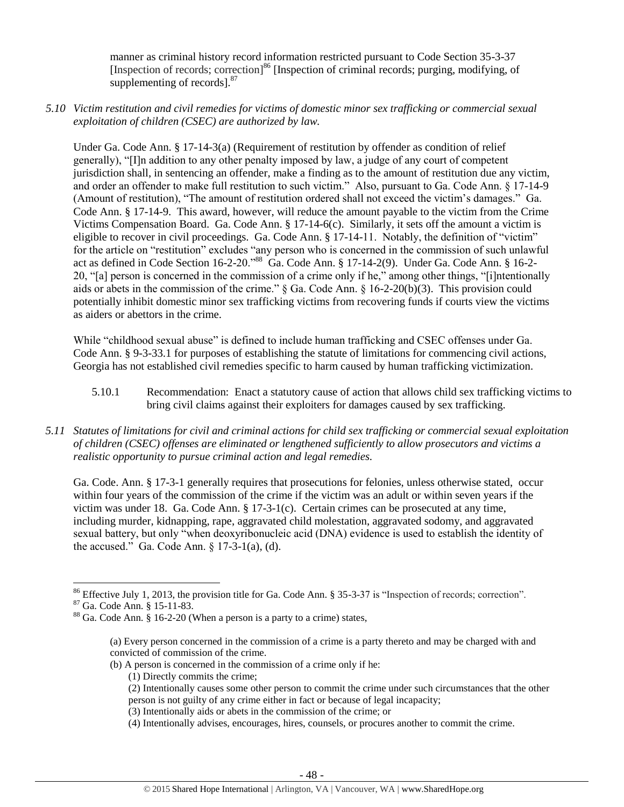manner as criminal history record information restricted pursuant to Code Section 35-3-37 [Inspection of records; correction]<sup>86</sup> [Inspection of criminal records; purging, modifying, of supplementing of records]. $87$ 

*5.10 Victim restitution and civil remedies for victims of domestic minor sex trafficking or commercial sexual exploitation of children (CSEC) are authorized by law.* 

Under Ga. Code Ann. § 17-14-3(a) (Requirement of restitution by offender as condition of relief generally), "[I]n addition to any other penalty imposed by law, a judge of any court of competent jurisdiction shall, in sentencing an offender, make a finding as to the amount of restitution due any victim, and order an offender to make full restitution to such victim." Also, pursuant to Ga. Code Ann. § 17-14-9 (Amount of restitution), "The amount of restitution ordered shall not exceed the victim's damages." Ga. Code Ann. § 17-14-9. This award, however, will reduce the amount payable to the victim from the Crime Victims Compensation Board. Ga. Code Ann. § 17-14-6(c). Similarly, it sets off the amount a victim is eligible to recover in civil proceedings. Ga. Code Ann. § 17-14-11. Notably, the definition of "victim" for the article on "restitution" excludes "any person who is concerned in the commission of such unlawful act as defined in Code Section 16-2-20."<sup>88</sup> Ga. Code Ann. § 17-14-2(9). Under Ga. Code Ann. § 16-2- 20, "[a] person is concerned in the commission of a crime only if he," among other things, "[i]ntentionally aids or abets in the commission of the crime." § Ga. Code Ann. § 16-2-20(b)(3). This provision could potentially inhibit domestic minor sex trafficking victims from recovering funds if courts view the victims as aiders or abettors in the crime.

While "childhood sexual abuse" is defined to include human trafficking and CSEC offenses under Ga. Code Ann. § 9-3-33.1 for purposes of establishing the statute of limitations for commencing civil actions, Georgia has not established civil remedies specific to harm caused by human trafficking victimization.

- 5.10.1 Recommendation: Enact a statutory cause of action that allows child sex trafficking victims to bring civil claims against their exploiters for damages caused by sex trafficking.
- *5.11 Statutes of limitations for civil and criminal actions for child sex trafficking or commercial sexual exploitation of children (CSEC) offenses are eliminated or lengthened sufficiently to allow prosecutors and victims a realistic opportunity to pursue criminal action and legal remedies.*

Ga. Code. Ann. § 17-3-1 generally requires that prosecutions for felonies, unless otherwise stated, occur within four years of the commission of the crime if the victim was an adult or within seven years if the victim was under 18. Ga. Code Ann. § 17-3-1(c). Certain crimes can be prosecuted at any time, including murder, kidnapping, rape, aggravated child molestation, aggravated sodomy, and aggravated sexual battery, but only "when deoxyribonucleic acid (DNA) evidence is used to establish the identity of the accused." Ga. Code Ann.  $\S 17-3-1$ (a), (d).

l

- (1) Directly commits the crime;
- (2) Intentionally causes some other person to commit the crime under such circumstances that the other person is not guilty of any crime either in fact or because of legal incapacity;
- (3) Intentionally aids or abets in the commission of the crime; or
- (4) Intentionally advises, encourages, hires, counsels, or procures another to commit the crime.

<sup>86</sup> Effective July 1, 2013, the provision title for Ga. Code Ann. § 35-3-37 is "Inspection of records; correction".

<sup>87</sup> Ga. Code Ann. § 15-11-83.

<sup>88</sup> Ga. Code Ann. § 16-2-20 (When a person is a party to a crime) states,

<sup>(</sup>a) Every person concerned in the commission of a crime is a party thereto and may be charged with and convicted of commission of the crime.

<sup>(</sup>b) A person is concerned in the commission of a crime only if he: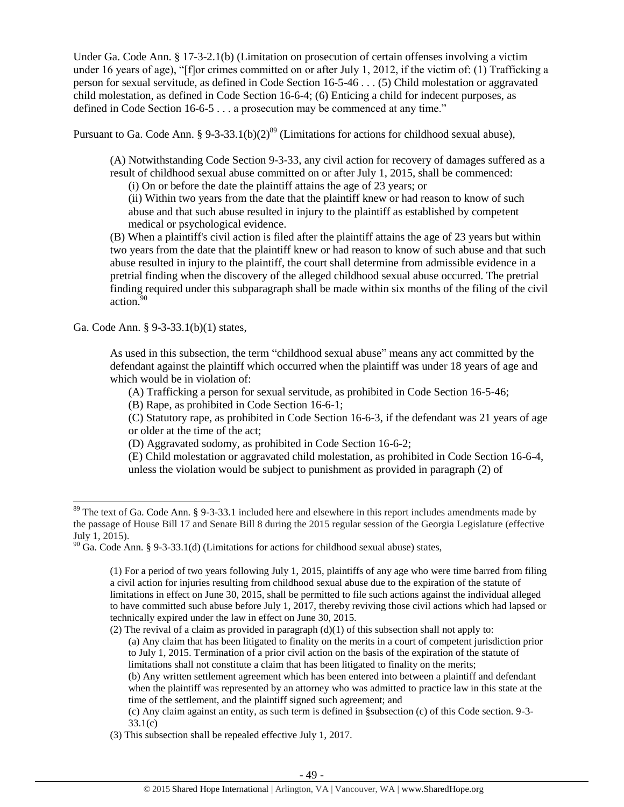Under Ga. Code Ann. § 17-3-2.1(b) (Limitation on prosecution of certain offenses involving a victim under 16 years of age), "[f]or crimes committed on or after July 1, 2012, if the victim of: (1) Trafficking a person for sexual servitude, as defined in Code Section 16-5-46 . . . (5) Child molestation or aggravated child molestation, as defined in Code Section 16-6-4; (6) Enticing a child for indecent purposes, as defined in Code Section 16-6-5 . . . a prosecution may be commenced at any time."

Pursuant to Ga. Code Ann. § 9-3-33.1(b)(2)<sup>89</sup> (Limitations for actions for childhood sexual abuse),

(A) Notwithstanding Code Section 9-3-33, any civil action for recovery of damages suffered as a result of childhood sexual abuse committed on or after July 1, 2015, shall be commenced:

(i) On or before the date the plaintiff attains the age of 23 years; or

(ii) Within two years from the date that the plaintiff knew or had reason to know of such abuse and that such abuse resulted in injury to the plaintiff as established by competent medical or psychological evidence.

(B) When a plaintiff's civil action is filed after the plaintiff attains the age of 23 years but within two years from the date that the plaintiff knew or had reason to know of such abuse and that such abuse resulted in injury to the plaintiff, the court shall determine from admissible evidence in a pretrial finding when the discovery of the alleged childhood sexual abuse occurred. The pretrial finding required under this subparagraph shall be made within six months of the filing of the civil  $\arctan.90$ 

Ga. Code Ann. § 9-3-33.1(b)(1) states,

 $\overline{\phantom{a}}$ 

As used in this subsection, the term "childhood sexual abuse" means any act committed by the defendant against the plaintiff which occurred when the plaintiff was under 18 years of age and which would be in violation of:

(A) Trafficking a person for sexual servitude, as prohibited in Code Section 16-5-46;

(B) Rape, as prohibited in Code Section 16-6-1;

(C) Statutory rape, as prohibited in Code Section 16-6-3, if the defendant was 21 years of age or older at the time of the act;

(D) Aggravated sodomy, as prohibited in Code Section 16-6-2;

(E) Child molestation or aggravated child molestation, as prohibited in Code Section 16-6-4, unless the violation would be subject to punishment as provided in paragraph (2) of

 $89$  The text of Ga. Code Ann. § 9-3-33.1 included here and elsewhere in this report includes amendments made by the passage of House Bill 17 and Senate Bill 8 during the 2015 regular session of the Georgia Legislature (effective July 1, 2015).

 $90$  Ga. Code Ann. § 9-3-33.1(d) (Limitations for actions for childhood sexual abuse) states,

<sup>(1)</sup> For a period of two years following July 1, 2015, plaintiffs of any age who were time barred from filing a civil action for injuries resulting from childhood sexual abuse due to the expiration of the statute of limitations in effect on June 30, 2015, shall be permitted to file such actions against the individual alleged to have committed such abuse before July 1, 2017, thereby reviving those civil actions which had lapsed or technically expired under the law in effect on June 30, 2015.

<sup>(2)</sup> The revival of a claim as provided in paragraph  $(d)(1)$  of this subsection shall not apply to: (a) Any claim that has been litigated to finality on the merits in a court of competent jurisdiction prior to July 1, 2015. Termination of a prior civil action on the basis of the expiration of the statute of limitations shall not constitute a claim that has been litigated to finality on the merits;

<sup>(</sup>b) Any written settlement agreement which has been entered into between a plaintiff and defendant when the plaintiff was represented by an attorney who was admitted to practice law in this state at the time of the settlement, and the plaintiff signed such agreement; and

<sup>(</sup>c) Any claim against an entity, as such term is defined in §subsection (c) of this Code section. 9-3- 33.1(c)

<sup>(3)</sup> This subsection shall be repealed effective July 1, 2017.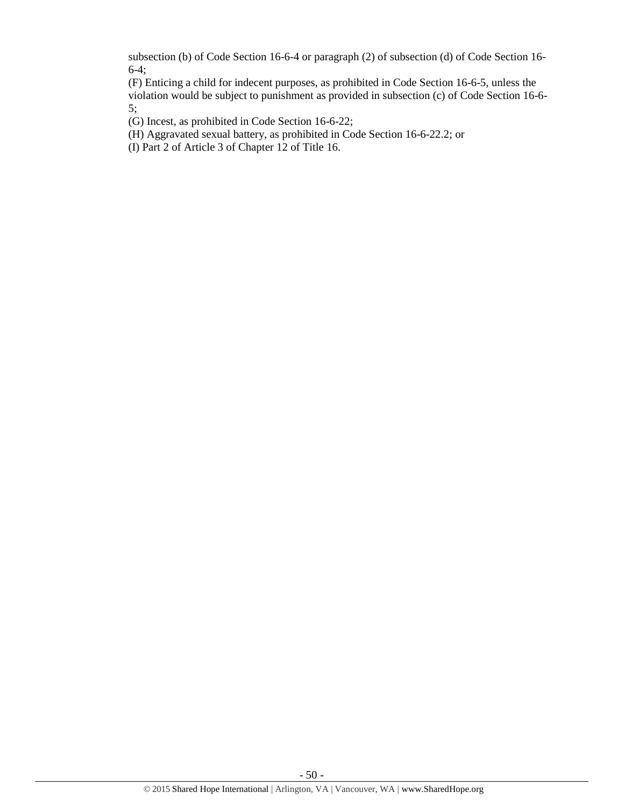subsection (b) of Code Section 16-6-4 or paragraph (2) of subsection (d) of Code Section 16- 6-4;

(F) Enticing a child for indecent purposes, as prohibited in Code Section 16-6-5, unless the violation would be subject to punishment as provided in subsection (c) of Code Section 16-6- 5;

(G) Incest, as prohibited in Code Section 16-6-22;

(H) Aggravated sexual battery, as prohibited in Code Section 16-6-22.2; or

(I) Part 2 of Article 3 of Chapter 12 of Title 16.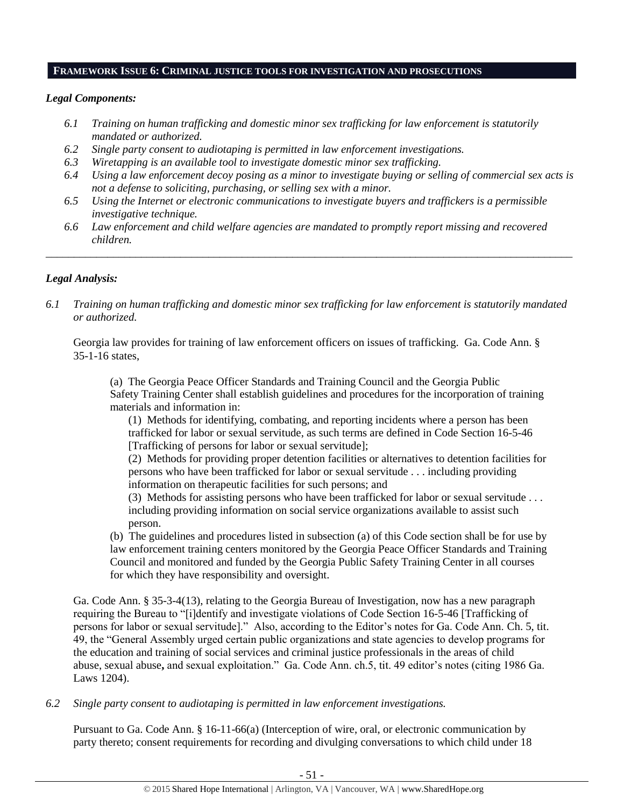## **FRAMEWORK ISSUE 6: CRIMINAL JUSTICE TOOLS FOR INVESTIGATION AND PROSECUTIONS**

# *Legal Components:*

- *6.1 Training on human trafficking and domestic minor sex trafficking for law enforcement is statutorily mandated or authorized.*
- *6.2 Single party consent to audiotaping is permitted in law enforcement investigations.*
- *6.3 Wiretapping is an available tool to investigate domestic minor sex trafficking.*
- *6.4 Using a law enforcement decoy posing as a minor to investigate buying or selling of commercial sex acts is not a defense to soliciting, purchasing, or selling sex with a minor.*
- *6.5 Using the Internet or electronic communications to investigate buyers and traffickers is a permissible investigative technique.*
- *6.6 Law enforcement and child welfare agencies are mandated to promptly report missing and recovered children.*

*\_\_\_\_\_\_\_\_\_\_\_\_\_\_\_\_\_\_\_\_\_\_\_\_\_\_\_\_\_\_\_\_\_\_\_\_\_\_\_\_\_\_\_\_\_\_\_\_\_\_\_\_\_\_\_\_\_\_\_\_\_\_\_\_\_\_\_\_\_\_\_\_\_\_\_\_\_\_\_\_\_\_\_\_\_\_\_\_\_\_\_\_\_\_*

# *Legal Analysis:*

*6.1 Training on human trafficking and domestic minor sex trafficking for law enforcement is statutorily mandated or authorized.*

Georgia law provides for training of law enforcement officers on issues of trafficking. Ga. Code Ann. § 35-1-16 states,

(a) The Georgia Peace Officer Standards and Training Council and the Georgia Public Safety Training Center shall establish guidelines and procedures for the incorporation of training materials and information in:

(1) Methods for identifying, combating, and reporting incidents where a person has been trafficked for labor or sexual servitude, as such terms are defined in Code Section 16-5-46 [Trafficking of persons for labor or sexual servitude];

(2) Methods for providing proper detention facilities or alternatives to detention facilities for persons who have been trafficked for labor or sexual servitude . . . including providing information on therapeutic facilities for such persons; and

(3) Methods for assisting persons who have been trafficked for labor or sexual servitude . . . including providing information on social service organizations available to assist such person.

(b) The guidelines and procedures listed in subsection (a) of this Code section shall be for use by law enforcement training centers monitored by the Georgia Peace Officer Standards and Training Council and monitored and funded by the Georgia Public Safety Training Center in all courses for which they have responsibility and oversight.

Ga. Code Ann. § 35-3-4(13), relating to the Georgia Bureau of Investigation, now has a new paragraph requiring the Bureau to "[i]dentify and investigate violations of Code Section 16-5-46 [Trafficking of persons for labor or sexual servitude]." Also, according to the Editor's notes for Ga. Code Ann. Ch. 5, tit. 49, the "General Assembly urged certain public organizations and state agencies to develop programs for the education and training of social services and criminal justice professionals in the areas of child abuse, sexual abuse**,** and sexual exploitation." Ga. Code Ann. ch.5, tit. 49 editor's notes (citing 1986 Ga. Laws 1204).

*6.2 Single party consent to audiotaping is permitted in law enforcement investigations.*

Pursuant to Ga. Code Ann. § 16-11-66(a) (Interception of wire, oral, or electronic communication by party thereto; consent requirements for recording and divulging conversations to which child under 18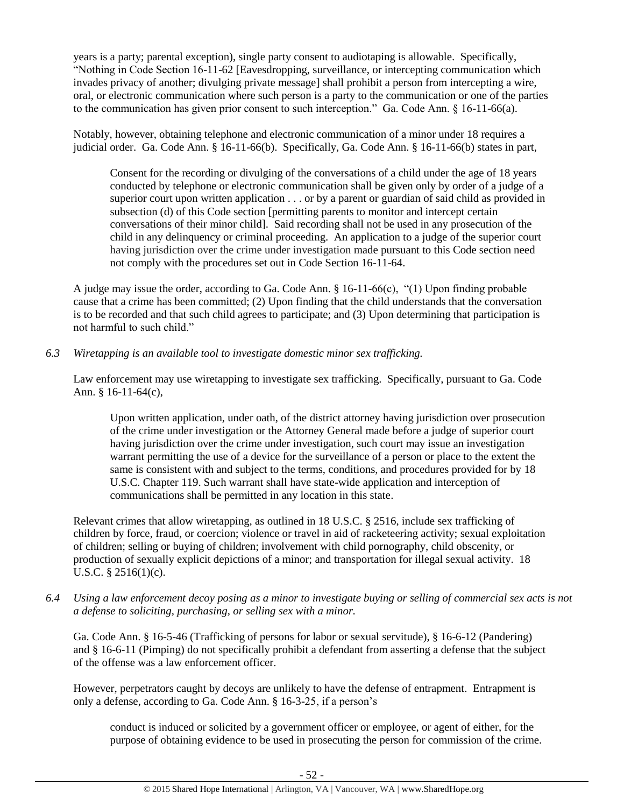years is a party; parental exception), single party consent to audiotaping is allowable. Specifically, "Nothing in Code Section 16-11-62 [Eavesdropping, surveillance, or intercepting communication which invades privacy of another; divulging private message] shall prohibit a person from intercepting a wire, oral, or electronic communication where such person is a party to the communication or one of the parties to the communication has given prior consent to such interception." Ga. Code Ann. § 16-11-66(a).

Notably, however, obtaining telephone and electronic communication of a minor under 18 requires a judicial order. Ga. Code Ann. § 16-11-66(b). Specifically, Ga. Code Ann. § 16-11-66(b) states in part,

Consent for the recording or divulging of the conversations of a child under the age of 18 years conducted by telephone or electronic communication shall be given only by order of a judge of a superior court upon written application . . . or by a parent or guardian of said child as provided in subsection (d) of this Code section [permitting parents to monitor and intercept certain conversations of their minor child]. Said recording shall not be used in any prosecution of the child in any delinquency or criminal proceeding. An application to a judge of the superior court having jurisdiction over the crime under investigation made pursuant to this Code section need not comply with the procedures set out in Code Section 16-11-64.

A judge may issue the order, according to Ga. Code Ann. § 16-11-66(c), "(1) Upon finding probable cause that a crime has been committed; (2) Upon finding that the child understands that the conversation is to be recorded and that such child agrees to participate; and (3) Upon determining that participation is not harmful to such child."

*6.3 Wiretapping is an available tool to investigate domestic minor sex trafficking.* 

Law enforcement may use wiretapping to investigate sex trafficking. Specifically, pursuant to Ga. Code Ann. § 16-11-64(c),

Upon written application, under oath, of the district attorney having jurisdiction over prosecution of the crime under investigation or the Attorney General made before a judge of superior court having jurisdiction over the crime under investigation, such court may issue an investigation warrant permitting the use of a device for the surveillance of a person or place to the extent the same is consistent with and subject to the terms, conditions, and procedures provided for by 18 U.S.C. Chapter 119. Such warrant shall have state-wide application and interception of communications shall be permitted in any location in this state.

Relevant crimes that allow wiretapping, as outlined in 18 U.S.C. § 2516, include sex trafficking of children by force, fraud, or coercion; violence or travel in aid of racketeering activity; sexual exploitation of children; selling or buying of children; involvement with child pornography, child obscenity, or production of sexually explicit depictions of a minor; and transportation for illegal sexual activity. 18 U.S.C. § 2516(1)(c).

*6.4 Using a law enforcement decoy posing as a minor to investigate buying or selling of commercial sex acts is not a defense to soliciting, purchasing, or selling sex with a minor.*

Ga. Code Ann. § 16-5-46 (Trafficking of persons for labor or sexual servitude), § 16-6-12 (Pandering) and § 16-6-11 (Pimping) do not specifically prohibit a defendant from asserting a defense that the subject of the offense was a law enforcement officer.

However, perpetrators caught by decoys are unlikely to have the defense of entrapment. Entrapment is only a defense, according to Ga. Code Ann. § 16-3-25, if a person's

conduct is induced or solicited by a government officer or employee, or agent of either, for the purpose of obtaining evidence to be used in prosecuting the person for commission of the crime.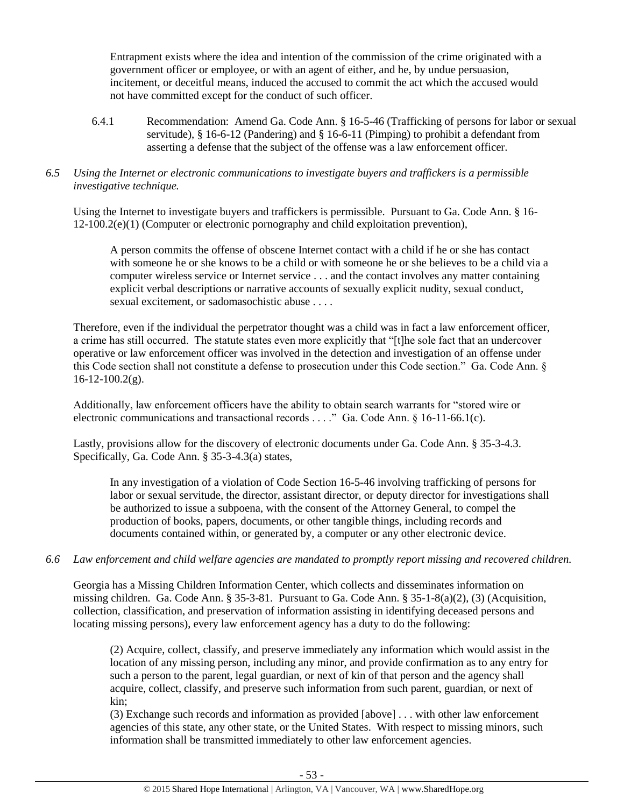Entrapment exists where the idea and intention of the commission of the crime originated with a government officer or employee, or with an agent of either, and he, by undue persuasion, incitement, or deceitful means, induced the accused to commit the act which the accused would not have committed except for the conduct of such officer.

6.4.1 Recommendation: Amend Ga. Code Ann. § 16-5-46 (Trafficking of persons for labor or sexual servitude),  $§$  16-6-12 (Pandering) and  $§$  16-6-11 (Pimping) to prohibit a defendant from asserting a defense that the subject of the offense was a law enforcement officer.

# *6.5 Using the Internet or electronic communications to investigate buyers and traffickers is a permissible investigative technique.*

Using the Internet to investigate buyers and traffickers is permissible. Pursuant to Ga. Code Ann. § 16- 12-100.2(e)(1) (Computer or electronic pornography and child exploitation prevention),

A person commits the offense of obscene Internet contact with a child if he or she has contact with someone he or she knows to be a child or with someone he or she believes to be a child via a computer wireless service or Internet service . . . and the contact involves any matter containing explicit verbal descriptions or narrative accounts of sexually explicit nudity, sexual conduct, sexual excitement, or sadomasochistic abuse . . . .

Therefore, even if the individual the perpetrator thought was a child was in fact a law enforcement officer, a crime has still occurred. The statute states even more explicitly that "[t]he sole fact that an undercover operative or law enforcement officer was involved in the detection and investigation of an offense under this Code section shall not constitute a defense to prosecution under this Code section." Ga. Code Ann. §  $16-12-100.2(g)$ .

Additionally, law enforcement officers have the ability to obtain search warrants for "stored wire or electronic communications and transactional records . . . ." Ga. Code Ann. § 16-11-66.1(c).

Lastly, provisions allow for the discovery of electronic documents under Ga. Code Ann. § 35-3-4.3. Specifically, Ga. Code Ann. § 35-3-4.3(a) states,

In any investigation of a violation of Code Section 16-5-46 involving trafficking of persons for labor or sexual servitude, the director, assistant director, or deputy director for investigations shall be authorized to issue a subpoena, with the consent of the Attorney General, to compel the production of books, papers, documents, or other tangible things, including records and documents contained within, or generated by, a computer or any other electronic device.

# *6.6 Law enforcement and child welfare agencies are mandated to promptly report missing and recovered children.*

Georgia has a Missing Children Information Center, which collects and disseminates information on missing children. Ga. Code Ann. § 35-3-81. Pursuant to Ga. Code Ann. § 35-1-8(a)(2), (3) (Acquisition, collection, classification, and preservation of information assisting in identifying deceased persons and locating missing persons), every law enforcement agency has a duty to do the following:

(2) Acquire, collect, classify, and preserve immediately any information which would assist in the location of any missing person, including any minor, and provide confirmation as to any entry for such a person to the parent, legal guardian, or next of kin of that person and the agency shall acquire, collect, classify, and preserve such information from such parent, guardian, or next of kin;

(3) Exchange such records and information as provided [above] . . . with other law enforcement agencies of this state, any other state, or the United States. With respect to missing minors, such information shall be transmitted immediately to other law enforcement agencies.